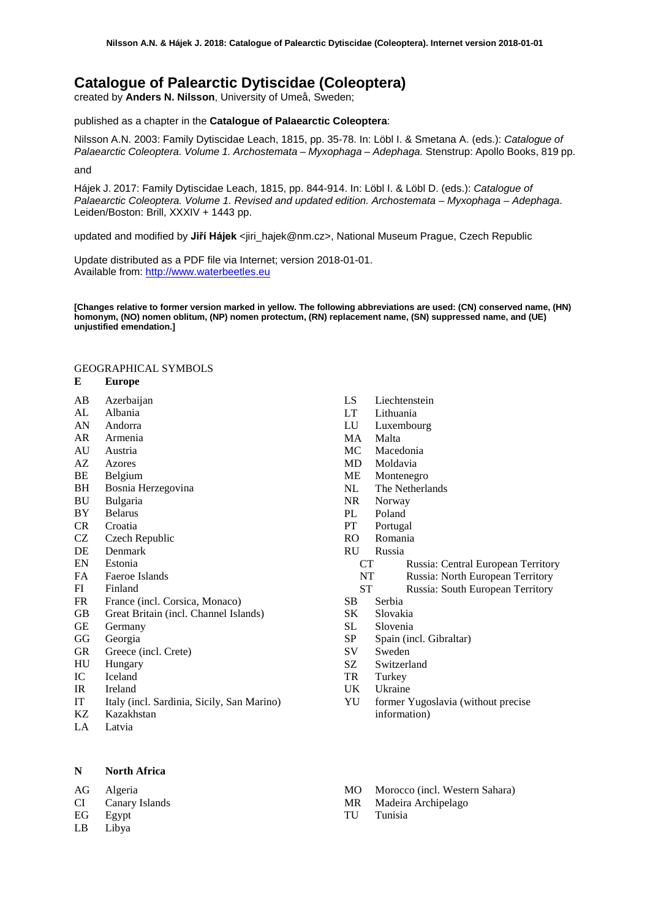# **Catalogue of Palearctic Dytiscidae (Coleoptera)**

created by **Anders N. Nilsson**, University of Umeå, Sweden;

### published as a chapter in the **Catalogue of Palaearctic Coleoptera**:

Nilsson A.N. 2003: Family Dytiscidae Leach, 1815, pp. 35-78. In: Löbl I. & Smetana A. (eds.): *Catalogue of Palaearctic Coleoptera. Volume 1. Archostemata – Myxophaga – Adephaga.* Stenstrup: Apollo Books, 819 pp.

and

Hájek J. 2017: Family Dytiscidae Leach, 1815, pp. 844-914. In: Löbl I. & Löbl D. (eds.): *Catalogue of Palaearctic Coleoptera. Volume 1. Revised and updated edition. Archostemata – Myxophaga – Adephaga*. Leiden/Boston: Brill, XXXIV + 1443 pp.

updated and modified by Jiří Hájek <jiri\_hajek@nm.cz>, National Museum Prague, Czech Republic

Update distributed as a PDF file via Internet; version 2018-01-01. Available from: [http://www.waterbeetles.eu](http://www.emg.umu.se/biginst/andersn/Cat_main.htm)

**[Changes relative to former version marked in yellow. The following abbreviations are used: (CN) conserved name, (HN) homonym, (NO) nomen oblitum, (NP) nomen protectum, (RN) replacement name, (SN) suppressed name, and (UE) unjustified emendation.]**

## GEOGRAPHICAL SYMBOLS

### **E Europe**

- AB Azerbaijan
- AL Albania
- AN Andorra
- AR Armenia
- AU Austria<br>AZ Azores
- **Azores**
- BE Belgium
- BH Bosnia Herzegovina<br>BU Bulgaria
- **Bulgaria**
- BY Belarus
- CR Croatia
- CZ Czech Republic
- DE Denmark
- EN Estonia
- FA Faeroe Islands
- FI Finland
- FR France (incl. Corsica, Monaco)<br>GB Great Britain (incl. Channel Isla
- Great Britain (incl. Channel Islands)
- GE Germany
- GG Georgia
- GR Greece (incl. Crete)
- HU Hungary
- IC Iceland
- IR Ireland
- IT Italy (incl. Sardinia, Sicily, San Marino)
- Kazakhstan
- LA Latvia

**N North Africa** 

- AG Algeria
- CI Canary Islands
- EG Egypt
- LB Libya
- LS Liechtenstein
- LT Lithuania
- LU Luxembourg
- MA Malta
- MC Macedonia
- MD Moldavia
- ME Montenegro
- NL The Netherlands
- NR Norway
- PL Poland<br>PT Portuga
- Portugal
- RO Romania
- RU Russia
	- CT Russia: Central European Territory
	- NT Russia: North European Territory
	- ST Russia: South European Territory
- SB Serbia
- SK Slovakia
- SL Slovenia
- SP Spain (incl. Gibraltar)<br>SV Sweden
- Sweden
- SZ Switzerland
- TR Turkey
- UK Ukraine
- YU former Yugoslavia (without precise information)
- MO Morocco (incl. Western Sahara)
- MR Madeira Archipelago
- TU Tunisia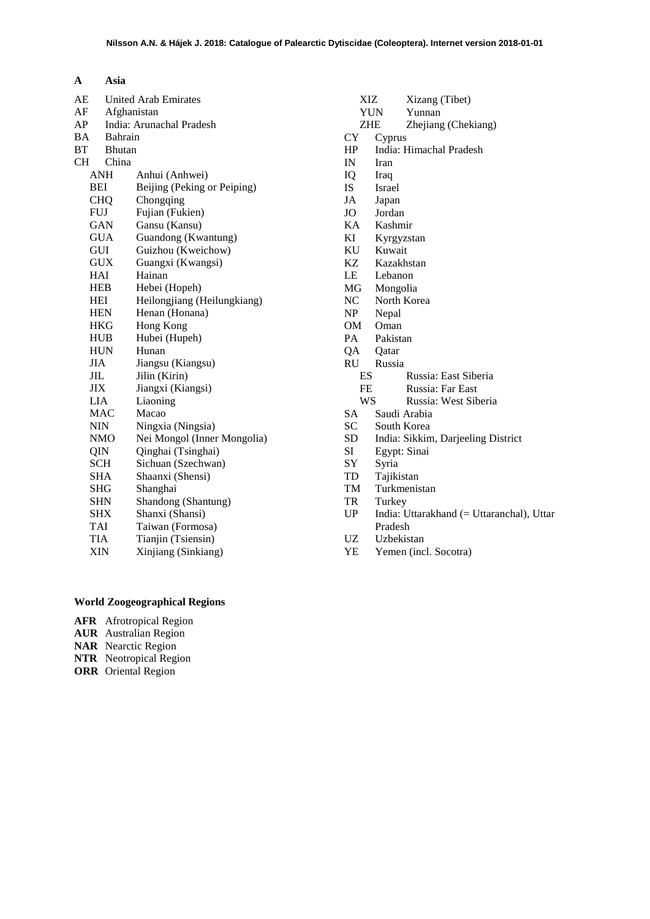| $\mathbf{A}$ | <b>Asia</b>             |
|--------------|-------------------------|
|              | AE United Arab Emirates |
|              | $\blacksquare$          |

| AF         |               | Afghanistan                 |  |
|------------|---------------|-----------------------------|--|
| AP         |               | India: Arunachal Pradesh    |  |
| BA         |               | Bahrain                     |  |
| <b>BT</b>  | <b>Bhutan</b> |                             |  |
|            | CH China      |                             |  |
|            | ANH           | Anhui (Anhwei)              |  |
|            | BEI           | Beijing (Peking or Peiping) |  |
|            | <b>CHQ</b>    | Chongqing                   |  |
|            | <b>FUJ</b>    | Fujian (Fukien)             |  |
|            | GAN           | Gansu (Kansu)               |  |
|            | <b>GUA</b>    | Guandong (Kwantung)         |  |
|            | GUI           | Guizhou (Kweichow)          |  |
|            | <b>GUX</b>    | Guangxi (Kwangsi)           |  |
|            | HAI           | Hainan                      |  |
|            | HEB           | Hebei (Hopeh)               |  |
|            | HEI           | Heilongjiang (Heilungkiang) |  |
|            | HEN           | Henan (Honana)              |  |
|            | HKG           | <b>Hong Kong</b>            |  |
|            | HUB           | Hubei (Hupeh)               |  |
|            | <b>HUN</b>    | Hunan                       |  |
| <b>JIA</b> |               | Jiangsu (Kiangsu)           |  |
| JIL        |               | Jilin (Kirin)               |  |
|            | ЛX            | Jiangxi (Kiangsi)           |  |
|            | LIA           | Liaoning                    |  |
|            | <b>MAC</b>    | Macao                       |  |
|            | <b>NIN</b>    | Ningxia (Ningsia)           |  |
|            | <b>NMO</b>    | Nei Mongol (Inner Mongolia) |  |
|            | QIN           | Qinghai (Tsinghai)          |  |
|            | <b>SCH</b>    | Sichuan (Szechwan)          |  |
|            | SHA           | Shaanxi (Shensi)            |  |
|            | SHG           | Shanghai                    |  |
|            | <b>SHN</b>    | Shandong (Shantung)         |  |
|            | <b>SHX</b>    | Shanxi (Shansi)             |  |
|            | TAI           | Taiwan (Formosa)            |  |
|            | TIA           | Tianjin (Tsiensin)          |  |
|            | XIN           | Xinjiang (Sinkiang)         |  |
|            |               |                             |  |

## XIZ Xizang (Tibet) YUN Yunnan ZHE Zhejiang (Chekiang)<br>CY Cyprus **Cyprus** HP India: Himachal Pradesh IN Iran<br>IO Iraq IQ Iraq IS Israel JA Japan JO Jordan<br>KA Kashm KA Kashmir KI Kyrgyzstan<br>KU Kuwait KU Kuwait KZ Kazakhstan LE Lebanon MG Mongolia NC North Korea NP Nepal OM Oman PA Pakistan<br>QA Qatar QA Qatar RU Russia ES Russia: East Siberia FE Russia: Far East WS Russia: West Siberia SA Saudi Arabia<br>SC South Korea SC South Korea<br>SD India: Sikkin SD India: Sikkim, Darjeeling District<br>SI Egypt: Sinai Egypt: Sinai SY Syria<br>TD Tajiki TD Tajikistan<br>TM Turkmenis Turkmenistan TR Turkey<br>UP India: U India: Uttarakhand (= Uttaranchal), Uttar Pradesh UZ Uzbekistan<br>YE Yemen (inc Yemen (incl. Socotra)

- **World Zoogeographical Regions**
- **AFR** Afrotropical Region
- **AUR** Australian Region
- **NAR** Nearctic Region
- **NTR** Neotropical Region
- **ORR** Oriental Region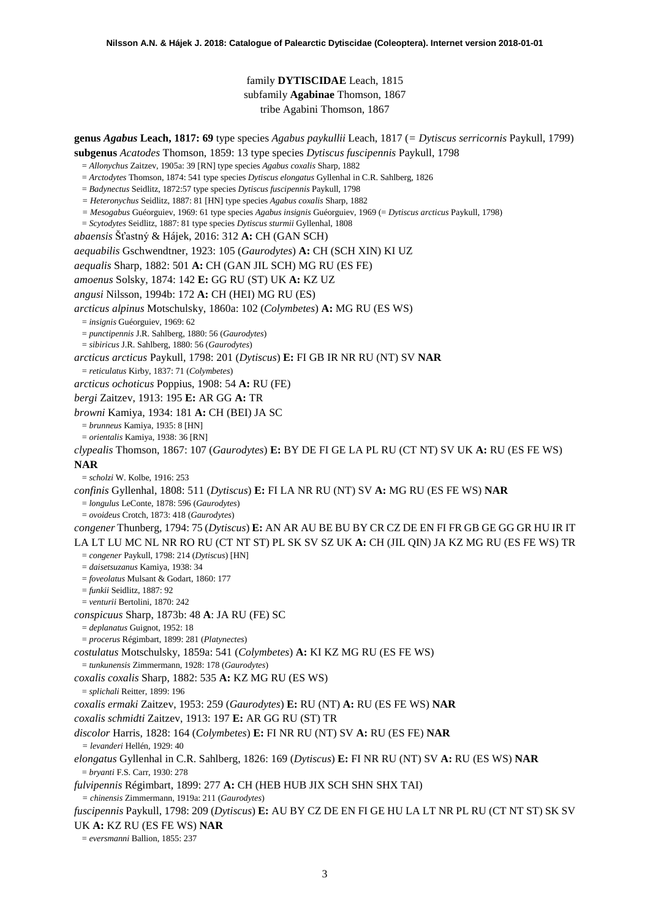family **DYTISCIDAE** Leach, 1815 subfamily **Agabinae** Thomson, 1867 tribe Agabini Thomson, 1867

**genus** *Agabus* **Leach, 1817: 69** type species *Agabus paykullii* Leach, 1817 (*= Dytiscus serricornis* Paykull, 1799)

**subgenus** *Acatodes* Thomson, 1859: 13 type species *Dytiscus fuscipennis* Paykull, 1798

- = *Allonychus* Zaitzev, 1905a: 39 [RN] type species *Agabus coxalis* Sharp, 1882
- = *Arctodytes* Thomson, 1874: 541 type species *Dytiscus elongatus* Gyllenhal in C.R. Sahlberg, 1826
- = *Badynectus* Seidlitz, 1872:57 type species *Dytiscus fuscipennis* Paykull, 1798
- *= Heteronychus* Seidlitz, 1887: 81 [HN] type species *Agabus coxalis* Sharp, 1882
- *= Mesogabus* Guéorguiev, 1969: 61 type species *Agabus insignis* Guéorguiev, 1969 (= *Dytiscus arcticus* Paykull, 1798)
- = *Scytodytes* Seidlitz, 1887: 81 type species *Dytiscus sturmii* Gyllenhal, 1808
- *abaensis* Šťastný & Hájek, 2016: 312 **A:** CH (GAN SCH)

*aequabilis* Gschwendtner, 1923: 105 (*Gaurodytes*) **A:** CH (SCH XIN) KI UZ

*aequalis* Sharp, 1882: 501 **A:** CH (GAN JIL SCH) MG RU (ES FE)

*amoenus* Solsky, 1874: 142 **E:** GG RU (ST) UK **A:** KZ UZ

- 
- *angusi* Nilsson, 1994b: 172 **A:** CH (HEI) MG RU (ES)

*arcticus alpinus* Motschulsky, 1860a: 102 (*Colymbetes*) **A:** MG RU (ES WS)

= *insignis* Guéorguiev, 1969: 62

= *punctipennis* J.R. Sahlberg, 1880: 56 (*Gaurodytes*)

= *sibiricus* J.R. Sahlberg, 1880: 56 (*Gaurodytes*)

*arcticus arcticus* Paykull, 1798: 201 (*Dytiscus*) **E:** FI GB IR NR RU (NT) SV **NAR**

= *reticulatus* Kirby, 1837: 71 (*Colymbetes*)

*arcticus ochoticus* Poppius, 1908: 54 **A:** RU (FE)

*bergi* Zaitzev, 1913: 195 **E:** AR GG **A:** TR

*browni* Kamiya, 1934: 181 **A:** CH (BEI) JA SC

= *brunneus* Kamiya, 1935: 8 [HN]

= *orientalis* Kamiya, 1938: 36 [RN]

*clypealis* Thomson, 1867: 107 (*Gaurodytes*) **E:** BY DE FI GE LA PL RU (CT NT) SV UK **A:** RU (ES FE WS)

**NAR**

= *scholzi* W. Kolbe, 1916: 253

*confinis* Gyllenhal, 1808: 511 (*Dytiscus*) **E:** FI LA NR RU (NT) SV **A:** MG RU (ES FE WS) **NAR**

= *longulus* LeConte, 1878: 596 (*Gaurodytes*)

= *ovoideus* Crotch, 1873: 418 (*Gaurodytes*)

*congener* Thunberg, 1794: 75 (*Dytiscus*) **E:** AN AR AU BE BU BY CR CZ DE EN FI FR GB GE GG GR HU IR IT LA LT LU MC NL NR RO RU (CT NT ST) PL SK SV SZ UK **A:** CH (JIL QIN) JA KZ MG RU (ES FE WS) TR

= *congener* Paykull, 1798: 214 (*Dytiscus*) [HN]

= *daisetsuzanus* Kamiya, 1938: 34

= *foveolatus* Mulsant & Godart, 1860: 177

= *funkii* Seidlitz, 1887: 92

= *venturii* Bertolini, 1870: 242

*conspicuus* Sharp, 1873b: 48 **A**: JA RU (FE) SC

= *deplanatus* Guignot, 1952: 18

= *procerus* Régimbart, 1899: 281 (*Platynectes*)

*costulatus* Motschulsky, 1859a: 541 (*Colymbetes*) **A:** KI KZ MG RU (ES FE WS)

= *tunkunensis* Zimmermann, 1928: 178 (*Gaurodytes*)

*coxalis coxalis* Sharp, 1882: 535 **A:** KZ MG RU (ES WS)

= *splichali* Reitter, 1899: 196

*coxalis ermaki* Zaitzev, 1953: 259 (*Gaurodytes*) **E:** RU (NT) **A:** RU (ES FE WS) **NAR**

*coxalis schmidti* Zaitzev, 1913: 197 **E:** AR GG RU (ST) TR

*discolor* Harris, 1828: 164 (*Colymbetes*) **E:** FI NR RU (NT) SV **A:** RU (ES FE) **NAR**

*= levanderi* Hellén, 1929: 40

*elongatus* Gyllenhal in C.R. Sahlberg, 1826: 169 (*Dytiscus*) **E:** FI NR RU (NT) SV **A:** RU (ES WS) **NAR** = *bryanti* F.S. Carr, 1930: 278

*fulvipennis* Régimbart, 1899: 277 **A:** CH (HEB HUB JIX SCH SHN SHX TAI)

*= chinensis* Zimmermann, 1919a: 211 (*Gaurodytes*)

*fuscipennis* Paykull, 1798: 209 (*Dytiscus*) **E:** AU BY CZ DE EN FI GE HU LA LT NR PL RU (CT NT ST) SK SV

UK **A:** KZ RU (ES FE WS) **NAR**

= *eversmanni* Ballion, 1855: 237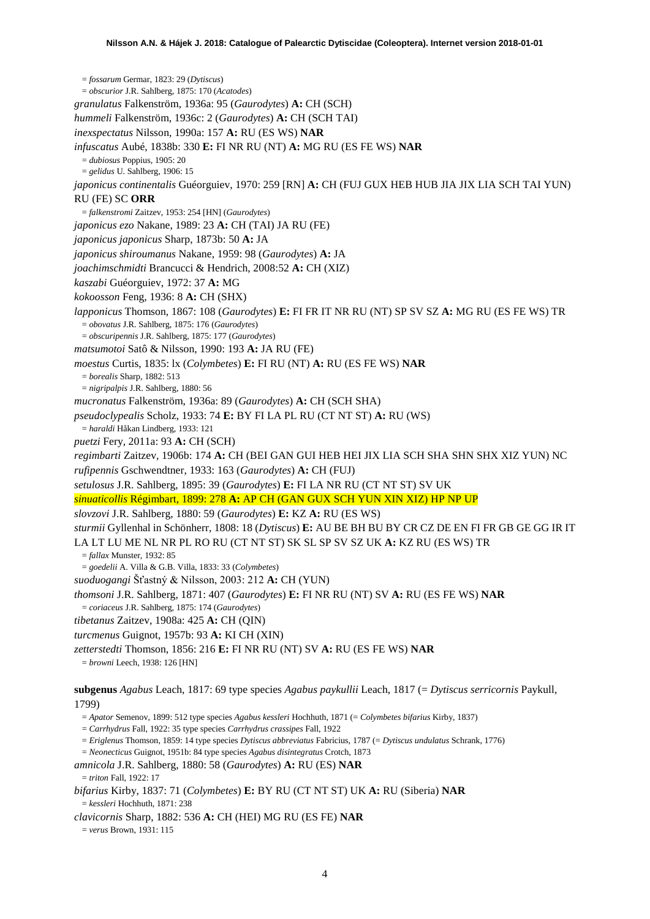= *fossarum* Germar, 1823: 29 (*Dytiscus*) = *obscurior* J.R. Sahlberg, 1875: 170 (*Acatodes*) *granulatus* Falkenström, 1936a: 95 (*Gaurodytes*) **A:** CH (SCH) *hummeli* Falkenström, 1936c: 2 (*Gaurodytes*) **A:** CH (SCH TAI) *inexspectatus* Nilsson, 1990a: 157 **A:** RU (ES WS) **NAR** *infuscatus* Aubé, 1838b: 330 **E:** FI NR RU (NT) **A:** MG RU (ES FE WS) **NAR** = *dubiosus* Poppius, 1905: 20 = *gelidus* U. Sahlberg, 1906: 15 *japonicus continentalis* Guéorguiev, 1970: 259 [RN] **A:** CH (FUJ GUX HEB HUB JIA JIX LIA SCH TAI YUN) RU (FE) SC **ORR** = *falkenstromi* Zaitzev, 1953: 254 [HN] (*Gaurodytes*) *japonicus ezo* Nakane, 1989: 23 **A:** CH (TAI) JA RU (FE) *japonicus japonicus* Sharp, 1873b: 50 **A:** JA *japonicus shiroumanus* Nakane, 1959: 98 (*Gaurodytes*) **A:** JA *joachimschmidti* Brancucci & Hendrich, 2008:52 **A:** CH (XIZ) *kaszabi* Guéorguiev, 1972: 37 **A:** MG *kokoosson* Feng, 1936: 8 **A:** CH (SHX) *lapponicus* Thomson, 1867: 108 (*Gaurodytes*) **E:** FI FR IT NR RU (NT) SP SV SZ **A:** MG RU (ES FE WS) TR = *obovatus* J.R. Sahlberg, 1875: 176 (*Gaurodytes*) = *obscuripennis* J.R. Sahlberg, 1875: 177 (*Gaurodytes*) *matsumotoi* Satô & Nilsson, 1990: 193 **A:** JA RU (FE) *moestus* Curtis, 1835: lx (*Colymbetes*) **E:** FI RU (NT) **A:** RU (ES FE WS) **NAR** = *borealis* Sharp, 1882: 513 = *nigripalpis* J.R. Sahlberg, 1880: 56 *mucronatus* Falkenström, 1936a: 89 (*Gaurodytes*) **A:** CH (SCH SHA) *pseudoclypealis* Scholz, 1933: 74 **E:** BY FI LA PL RU (CT NT ST) **A:** RU (WS) = *haraldi* Håkan Lindberg, 1933: 121 *puetzi* Fery, 2011a: 93 **A:** CH (SCH) *regimbarti* Zaitzev, 1906b: 174 **A:** CH (BEI GAN GUI HEB HEI JIX LIA SCH SHA SHN SHX XIZ YUN) NC *rufipennis* Gschwendtner, 1933: 163 (*Gaurodytes*) **A:** CH (FUJ) *setulosus* J.R. Sahlberg, 1895: 39 (*Gaurodytes*) **E:** FI LA NR RU (CT NT ST) SV UK *sinuaticollis* Régimbart, 1899: 278 **A:** AP CH (GAN GUX SCH YUN XIN XIZ) HP NP UP *slovzovi* J.R. Sahlberg, 1880: 59 (*Gaurodytes*) **E:** KZ **A:** RU (ES WS) *sturmii* Gyllenhal in Schönherr, 1808: 18 (*Dytiscus*) **E:** AU BE BH BU BY CR CZ DE EN FI FR GB GE GG IR IT LA LT LU ME NL NR PL RO RU (CT NT ST) SK SL SP SV SZ UK **A:** KZ RU (ES WS) TR = *fallax* Munster, 1932: 85 = *goedelii* A. Villa & G.B. Villa, 1833: 33 (*Colymbetes*) *suoduogangi* Šťastný & Nilsson, 2003: 212 **A:** CH (YUN) *thomsoni* J.R. Sahlberg, 1871: 407 (*Gaurodytes*) **E:** FI NR RU (NT) SV **A:** RU (ES FE WS) **NAR** = *coriaceus* J.R. Sahlberg, 1875: 174 (*Gaurodytes*) *tibetanus* Zaitzev, 1908a: 425 **A:** CH (QIN) *turcmenus* Guignot, 1957b: 93 **A:** KI CH (XIN) *zetterstedti* Thomson, 1856: 216 **E:** FI NR RU (NT) SV **A:** RU (ES FE WS) **NAR** = *browni* Leech, 1938: 126 [HN] **subgenus** *Agabus* Leach, 1817: 69 type species *Agabus paykullii* Leach, 1817 (= *Dytiscus serricornis* Paykull, 1799) = *Apator* Semenov, 1899: 512 type species *Agabus kessleri* Hochhuth, 1871 (= *Colymbetes bifarius* Kirby, 1837) = *Carrhydrus* Fall, 1922: 35 type species *Carrhydrus crassipes* Fall, 1922 = *Eriglenus* Thomson, 1859: 14 type species *Dytiscus abbreviatus* Fabricius, 1787 (= *Dytiscus undulatus* Schrank, 1776) = *Neonecticus* Guignot, 1951b: 84 type species *Agabus disintegratus* Crotch, 1873

*amnicola* J.R. Sahlberg, 1880: 58 (*Gaurodytes*) **A:** RU (ES) **NAR**  $=$  *triton* Fall, 1922: 17

*bifarius* Kirby, 1837: 71 (*Colymbetes*) **E:** BY RU (CT NT ST) UK **A:** RU (Siberia) **NAR** = *kessleri* Hochhuth, 1871: 238

*clavicornis* Sharp, 1882: 536 **A:** CH (HEI) MG RU (ES FE) **NAR**

= *verus* Brown, 1931: 115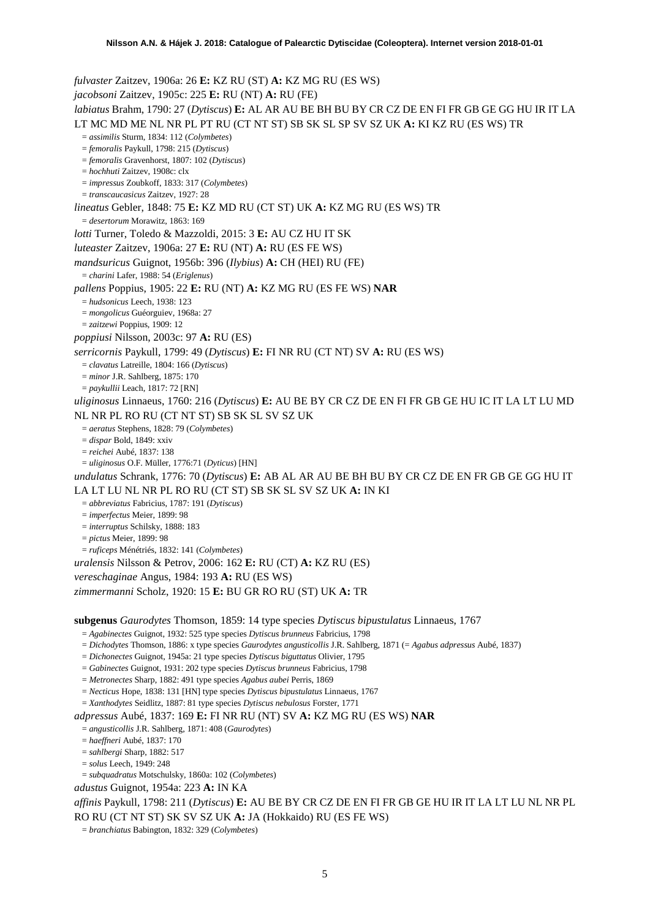*fulvaster* Zaitzev, 1906a: 26 **E:** KZ RU (ST) **A:** KZ MG RU (ES WS) *jacobsoni* Zaitzev, 1905c: 225 **E:** RU (NT) **A:** RU (FE) *labiatus* Brahm, 1790: 27 (*Dytiscus*) **E:** AL AR AU BE BH BU BY CR CZ DE EN FI FR GB GE GG HU IR IT LA LT MC MD ME NL NR PL PT RU (CT NT ST) SB SK SL SP SV SZ UK **A:** KI KZ RU (ES WS) TR = *assimilis* Sturm, 1834: 112 (*Colymbetes*) = *femoralis* Paykull, 1798: 215 (*Dytiscus*) = *femoralis* Gravenhorst, 1807: 102 (*Dytiscus*) = *hochhuti* Zaitzev, 1908c: clx = *impressus* Zoubkoff, 1833: 317 (*Colymbetes*) = *transcaucasicus* Zaitzev, 1927: 28 *lineatus* Gebler, 1848: 75 **E:** KZ MD RU (CT ST) UK **A:** KZ MG RU (ES WS) TR = *desertorum* Morawitz, 1863: 169 *lotti* Turner, Toledo & Mazzoldi, 2015: 3 **E:** AU CZ HU IT SK *luteaster* Zaitzev, 1906a: 27 **E:** RU (NT) **A:** RU (ES FE WS) *mandsuricus* Guignot, 1956b: 396 (*Ilybius*) **A:** CH (HEI) RU (FE) = *charini* Lafer, 1988: 54 (*Eriglenus*) *pallens* Poppius, 1905: 22 **E:** RU (NT) **A:** KZ MG RU (ES FE WS) **NAR** = *hudsonicus* Leech, 1938: 123 = *mongolicus* Guéorguiev, 1968a: 27 = *zaitzewi* Poppius, 1909: 12 *poppiusi* Nilsson, 2003c: 97 **A:** RU (ES) *serricornis* Paykull, 1799: 49 (*Dytiscus*) **E:** FI NR RU (CT NT) SV **A:** RU (ES WS) = *clavatus* Latreille, 1804: 166 (*Dytiscus*) = *minor* J.R. Sahlberg, 1875: 170 = *paykullii* Leach, 1817: 72 [RN] *uliginosus* Linnaeus, 1760: 216 (*Dytiscus*) **E:** AU BE BY CR CZ DE EN FI FR GB GE HU IC IT LA LT LU MD NL NR PL RO RU (CT NT ST) SB SK SL SV SZ UK = *aeratus* Stephens, 1828: 79 (*Colymbetes*) = *dispar* Bold, 1849: xxiv = *reichei* Aubé, 1837: 138 = *uliginosus* O.F. Müller, 1776:71 (*Dyticus*) [HN] *undulatus* Schrank, 1776: 70 (*Dytiscus*) **E:** AB AL AR AU BE BH BU BY CR CZ DE EN FR GB GE GG HU IT LA LT LU NL NR PL RO RU (CT ST) SB SK SL SV SZ UK **A:** IN KI = *abbreviatus* Fabricius, 1787: 191 (*Dytiscus*) = *imperfectus* Meier, 1899: 98 = *interruptus* Schilsky, 1888: 183 = *pictus* Meier, 1899: 98 = *ruficeps* Ménétriés, 1832: 141 (*Colymbetes*) *uralensis* Nilsson & Petrov, 2006: 162 **E:** RU (CT) **A:** KZ RU (ES) *vereschaginae* Angus, 1984: 193 **A:** RU (ES WS) *zimmermanni* Scholz, 1920: 15 **E:** BU GR RO RU (ST) UK **A:** TR **subgenus** *Gaurodytes* Thomson, 1859: 14 type species *Dytiscus bipustulatus* Linnaeus, 1767 = *Agabinectes* Guignot, 1932: 525 type species *Dytiscus brunneus* Fabricius, 1798

= *Dichodytes* Thomson, 1886: x type species *Gaurodytes angusticollis* J.R. Sahlberg, 1871 (= *Agabus adpressus* Aubé, 1837)

= *Dichonectes* Guignot, 1945a: 21 type species *Dytiscus biguttatus* Olivier, 1795

= *Gabinectes* Guignot, 1931: 202 type species *Dytiscus brunneus* Fabricius, 1798

= *Metronectes* Sharp, 1882: 491 type species *Agabus aubei* Perris, 1869

= *Necticus* Hope, 1838: 131 [HN] type species *Dytiscus bipustulatus* Linnaeus, 1767

= *Xanthodytes* Seidlitz, 1887: 81 type species *Dytiscus nebulosus* Forster, 1771

*adpressus* Aubé, 1837: 169 **E:** FI NR RU (NT) SV **A:** KZ MG RU (ES WS) **NAR**

= *angusticollis* J.R. Sahlberg, 1871: 408 (*Gaurodytes*)

= *haeffneri* Aubé, 1837: 170

= *sahlbergi* Sharp, 1882: 517

= *solus* Leech, 1949: 248

= *subquadratus* Motschulsky, 1860a: 102 (*Colymbetes*)

*adustus* Guignot, 1954a: 223 **A:** IN KA

*affinis* Paykull, 1798: 211 (*Dytiscus*) **E:** AU BE BY CR CZ DE EN FI FR GB GE HU IR IT LA LT LU NL NR PL RO RU (CT NT ST) SK SV SZ UK **A:** JA (Hokkaido) RU (ES FE WS)

= *branchiatus* Babington, 1832: 329 (*Colymbetes*)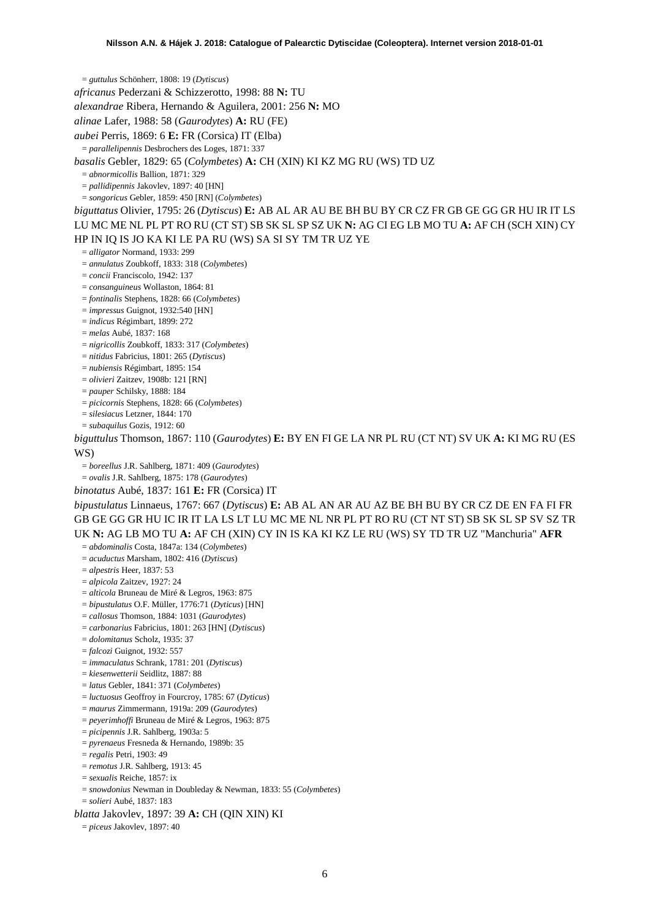= *guttulus* Schönherr, 1808: 19 (*Dytiscus*)

*africanus* Pederzani & Schizzerotto, 1998: 88 **N:** TU

*alexandrae* Ribera, Hernando & Aguilera, 2001: 256 **N:** MO

*alinae* Lafer, 1988: 58 (*Gaurodytes*) **A:** RU (FE)

*aubei* Perris, 1869: 6 **E:** FR (Corsica) IT (Elba)

= *parallelipennis* Desbrochers des Loges, 1871: 337

*basalis* Gebler, 1829: 65 (*Colymbetes*) **A:** CH (XIN) KI KZ MG RU (WS) TD UZ

= *abnormicollis* Ballion, 1871: 329

= *pallidipennis* Jakovlev, 1897: 40 [HN]

= *songoricus* Gebler, 1859: 450 [RN] (*Colymbetes*)

*biguttatus* Olivier, 1795: 26 (*Dytiscus*) **E:** AB AL AR AU BE BH BU BY CR CZ FR GB GE GG GR HU IR IT LS LU MC ME NL PL PT RO RU (CT ST) SB SK SL SP SZ UK **N:** AG CI EG LB MO TU **A:** AF CH (SCH XIN) CY HP IN IQ IS JO KA KI LE PA RU (WS) SA SI SY TM TR UZ YE

= *alligator* Normand, 1933: 299

= *annulatus* Zoubkoff, 1833: 318 (*Colymbetes*)

= *concii* Franciscolo, 1942: 137

= *consanguineus* Wollaston, 1864: 81

= *fontinalis* Stephens, 1828: 66 (*Colymbetes*)

= *impressus* Guignot, 1932:540 [HN]

= *indicus* Régimbart, 1899: 272

= *melas* Aubé, 1837: 168

= *nigricollis* Zoubkoff, 1833: 317 (*Colymbetes*)

= *nitidus* Fabricius, 1801: 265 (*Dytiscus*)

= *nubiensis* Régimbart, 1895: 154

= *olivieri* Zaitzev, 1908b: 121 [RN]

= *pauper* Schilsky, 1888: 184

= *picicornis* Stephens, 1828: 66 (*Colymbetes*)

= *silesiacus* Letzner, 1844: 170

= *subaquilus* Gozis, 1912: 60

*biguttulus* Thomson, 1867: 110 (*Gaurodytes*) **E:** BY EN FI GE LA NR PL RU (CT NT) SV UK **A:** KI MG RU (ES WS)

= *boreellus* J.R. Sahlberg, 1871: 409 (*Gaurodytes*)

= *ovalis* J.R. Sahlberg, 1875: 178 (*Gaurodytes*)

*binotatus* Aubé, 1837: 161 **E:** FR (Corsica) IT

*bipustulatus* Linnaeus, 1767: 667 (*Dytiscus*) **E:** AB AL AN AR AU AZ BE BH BU BY CR CZ DE EN FA FI FR GB GE GG GR HU IC IR IT LA LS LT LU MC ME NL NR PL PT RO RU (CT NT ST) SB SK SL SP SV SZ TR UK **N:** AG LB MO TU **A:** AF CH (XIN) CY IN IS KA KI KZ LE RU (WS) SY TD TR UZ "Manchuria" **AFR**

= *abdominalis* Costa, 1847a: 134 (*Colymbetes*)

= *acuductus* Marsham, 1802: 416 (*Dytiscus*)

= *alpestris* Heer, 1837: 53

= *alpicola* Zaitzev, 1927: 24

= *alticola* Bruneau de Miré & Legros, 1963: 875

= *bipustulatus* O.F. Müller, 1776:71 (*Dyticus*) [HN]

= *callosus* Thomson, 1884: 1031 (*Gaurodytes*)

= *carbonarius* Fabricius, 1801: 263 [HN] (*Dytiscus*)

= *dolomitanus* Scholz, 1935: 37

= *falcozi* Guignot, 1932: 557

= *immaculatus* Schrank, 1781: 201 (*Dytiscus*)

= *kiesenwetterii* Seidlitz, 1887: 88

= *latus* Gebler, 1841: 371 (*Colymbetes*)

= *luctuosus* Geoffroy in Fourcroy, 1785: 67 (*Dyticus*)

= *maurus* Zimmermann, 1919a: 209 (*Gaurodytes*)

= *peyerimhoffi* Bruneau de Miré & Legros, 1963: 875

= *picipennis* J.R. Sahlberg, 1903a: 5

= *pyrenaeus* Fresneda & Hernando, 1989b: 35

= *regalis* Petri, 1903: 49

= *remotus* J.R. Sahlberg, 1913: 45

= *sexualis* Reiche, 1857: ix

= *snowdonius* Newman in Doubleday & Newman, 1833: 55 (*Colymbetes*)

= *solieri* Aubé, 1837: 183

*blatta* Jakovlev, 1897: 39 **A:** CH (QIN XIN) KI

= *piceus* Jakovlev, 1897: 40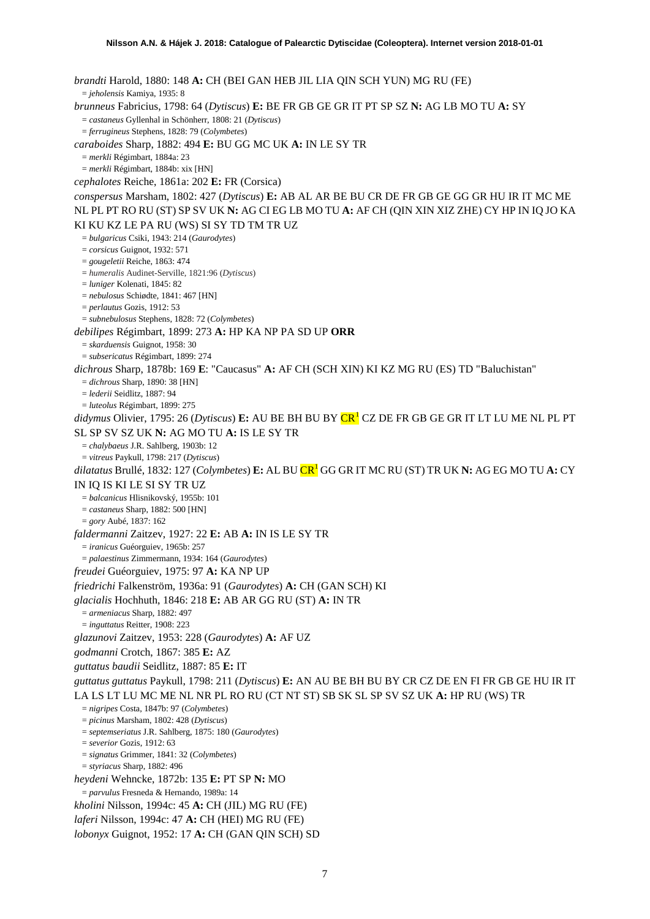<span id="page-6-0"></span>*brandti* Harold, 1880: 148 **A:** CH (BEI GAN HEB JIL LIA QIN SCH YUN) MG RU (FE) = *jeholensis* Kamiya, 1935: 8 *brunneus* Fabricius, 1798: 64 (*Dytiscus*) **E:** BE FR GB GE GR IT PT SP SZ **N:** AG LB MO TU **A:** SY = *castaneus* Gyllenhal in Schönherr, 1808: 21 (*Dytiscus*) = *ferrugineus* Stephens, 1828: 79 (*Colymbetes*) *caraboides* Sharp, 1882: 494 **E:** BU GG MC UK **A:** IN LE SY TR = *merkli* Régimbart, 1884a: 23 = *merkli* Régimbart, 1884b: xix [HN] *cephalotes* Reiche, 1861a: 202 **E:** FR (Corsica) *conspersus* Marsham, 1802: 427 (*Dytiscus*) **E:** AB AL AR BE BU CR DE FR GB GE GG GR HU IR IT MC ME NL PL PT RO RU (ST) SP SV UK **N:** AG CI EG LB MO TU **A:** AF CH (QIN XIN XIZ ZHE) CY HP IN IQ JO KA KI KU KZ LE PA RU (WS) SI SY TD TM TR UZ = *bulgaricus* Csiki, 1943: 214 (*Gaurodytes*) = *corsicus* Guignot, 1932: 571 = *gougeletii* Reiche, 1863: 474 = *humeralis* Audinet-Serville, 1821:96 (*Dytiscus*) = *luniger* Kolenati, 1845: 82 = *nebulosus* Schiødte, 1841: 467 [HN] = *perlautus* Gozis, 1912: 53 = *subnebulosus* Stephens, 1828: 72 (*Colymbetes*) *debilipes* Régimbart, 1899: 273 **A:** HP KA NP PA SD UP **ORR** = *skarduensis* Guignot, 1958: 30 = *subsericatus* Régimbart, 1899: 274 *dichrous* Sharp, 1878b: 169 **E**: "Caucasus" **A:** AF CH (SCH XIN) KI KZ MG RU (ES) TD "Baluchistan" = *dichrous* Sharp, 1890: 38 [HN] = *lederii* Seidlitz, 1887: 94 = *luteolus* Régimbart, 1899: 275 *didymus* Olivier, 1795: 26 (*Dytiscus*) **E:** AU BE BH BU BY CR[1](#page-50-0) CZ DE FR GB GE GR IT LT LU ME NL PL PT SL SP SV SZ UK **N:** AG MO TU **A:** IS LE SY TR = *chalybaeus* J.R. Sahlberg, 1903b: 12 = *vitreus* Paykull, 1798: 217 (*Dytiscus*) *dilatatus* Brullé, 1832: 127 (*Colymbetes*) **E:** AL BU C[R1](#page-6-0) GG GR IT MC RU (ST) TR UK **N:** AG EG MO TU **A:** CY IN IQ IS KI LE SI SY TR UZ = *balcanicus* Hlisnikovský, 1955b: 101 = *castaneus* Sharp, 1882: 500 [HN] = *gory* Aubé, 1837: 162 *faldermanni* Zaitzev, 1927: 22 **E:** AB **A:** IN IS LE SY TR = *iranicus* Guéorguiev, 1965b: 257 = *palaestinus* Zimmermann, 1934: 164 (*Gaurodytes*) *freudei* Guéorguiev, 1975: 97 **A:** KA NP UP *friedrichi* Falkenström, 1936a: 91 (*Gaurodytes*) **A:** CH (GAN SCH) KI *glacialis* Hochhuth, 1846: 218 **E:** AB AR GG RU (ST) **A:** IN TR = *armeniacus* Sharp, 1882: 497 = *inguttatus* Reitter, 1908: 223 *glazunovi* Zaitzev, 1953: 228 (*Gaurodytes*) **A:** AF UZ *godmanni* Crotch, 1867: 385 **E:** AZ *guttatus baudii* Seidlitz, 1887: 85 **E:** IT *guttatus guttatus* Paykull, 1798: 211 (*Dytiscus*) **E:** AN AU BE BH BU BY CR CZ DE EN FI FR GB GE HU IR IT LA LS LT LU MC ME NL NR PL RO RU (CT NT ST) SB SK SL SP SV SZ UK **A:** HP RU (WS) TR = *nigripes* Costa, 1847b: 97 (*Colymbetes*) = *picinus* Marsham, 1802: 428 (*Dytiscus*) = *septemseriatus* J.R. Sahlberg, 1875: 180 (*Gaurodytes*) = *severior* Gozis, 1912: 63 = *signatus* Grimmer, 1841: 32 (*Colymbetes*) = *styriacus* Sharp, 1882: 496 *heydeni* Wehncke, 1872b: 135 **E:** PT SP **N:** MO = *parvulus* Fresneda & Hernando, 1989a: 14 *kholini* Nilsson, 1994c: 45 **A:** CH (JIL) MG RU (FE) *laferi* Nilsson, 1994c: 47 **A:** CH (HEI) MG RU (FE)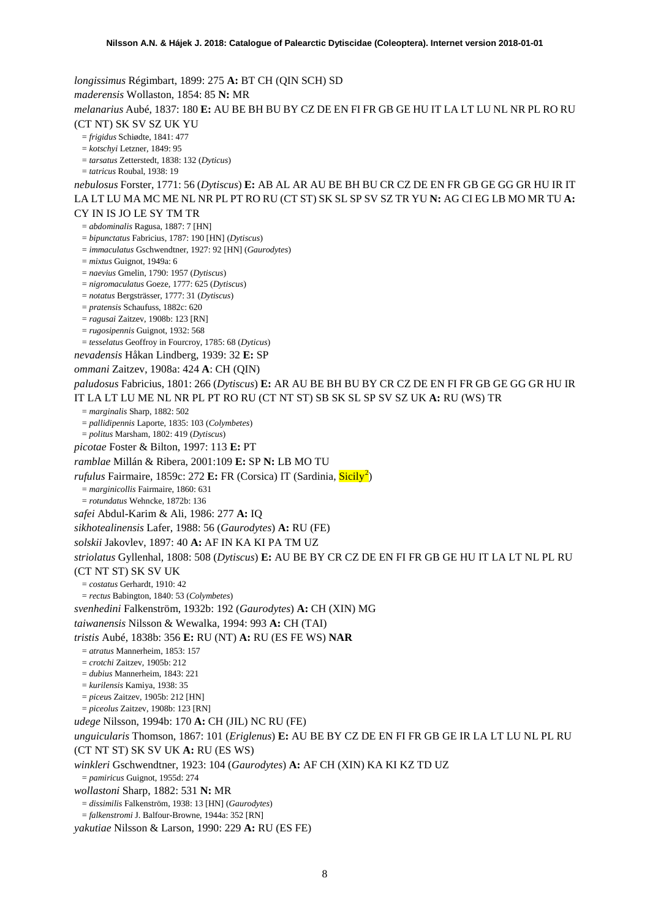*longissimus* Régimbart, 1899: 275 **A:** BT CH (QIN SCH) SD *maderensis* Wollaston, 1854: 85 **N:** MR *melanarius* Aubé, 1837: 180 **E:** AU BE BH BU BY CZ DE EN FI FR GB GE HU IT LA LT LU NL NR PL RO RU (CT NT) SK SV SZ UK YU = *frigidus* Schiødte, 1841: 477 = *kotschyi* Letzner, 1849: 95 = *tarsatus* Zetterstedt, 1838: 132 (*Dyticus*) = *tatricus* Roubal, 1938: 19 *nebulosus* Forster, 1771: 56 (*Dytiscus*) **E:** AB AL AR AU BE BH BU CR CZ DE EN FR GB GE GG GR HU IR IT LA LT LU MA MC ME NL NR PL PT RO RU (CT ST) SK SL SP SV SZ TR YU **N:** AG CI EG LB MO MR TU **A:**  CY IN IS JO LE SY TM TR = *abdominalis* Ragusa, 1887: 7 [HN] = *bipunctatus* Fabricius, 1787: 190 [HN] (*Dytiscus*) = *immaculatus* Gschwendtner, 1927: 92 [HN] (*Gaurodytes*) = *mixtus* Guignot, 1949a: 6 = *naevius* Gmelin, 1790: 1957 (*Dytiscus*) = *nigromaculatus* Goeze, 1777: 625 (*Dytiscus*) = *notatus* Bergsträsser, 1777: 31 (*Dytiscus*) = *pratensis* Schaufuss, 1882c: 620 = *ragusai* Zaitzev, 1908b: 123 [RN] = *rugosipennis* Guignot, 1932: 568 = *tesselatus* Geoffroy in Fourcroy, 1785: 68 (*Dyticus*) *nevadensis* Håkan Lindberg, 1939: 32 **E:** SP *ommani* Zaitzev, 1908a: 424 **A**: CH (QIN) *paludosus* Fabricius, 1801: 266 (*Dytiscus*) **E:** AR AU BE BH BU BY CR CZ DE EN FI FR GB GE GG GR HU IR IT LA LT LU ME NL NR PL PT RO RU (CT NT ST) SB SK SL SP SV SZ UK **A:** RU (WS) TR = *marginalis* Sharp, 1882: 502 = *pallidipennis* Laporte, 1835: 103 (*Colymbetes*) = *politus* Marsham, 1802: 419 (*Dytiscus*) *picotae* Foster & Bilton, 1997: 113 **E:** PT *ramblae* Millán & Ribera, 2001:109 **E:** SP **N:** LB MO TU rufulus Fairmaire, 1859c: [2](#page-50-1)72 E: FR (Corsica) IT (Sardinia, Sicily<sup>2</sup>) = *marginicollis* Fairmaire, 1860: 631 = *rotundatus* Wehncke, 1872b: 136 *safei* Abdul-Karim & Ali, 1986: 277 **A:** IQ *sikhotealinensis* Lafer, 1988: 56 (*Gaurodytes*) **A:** RU (FE) *solskii* Jakovlev, 1897: 40 **A:** AF IN KA KI PA TM UZ *striolatus* Gyllenhal, 1808: 508 (*Dytiscus*) **E:** AU BE BY CR CZ DE EN FI FR GB GE HU IT LA LT NL PL RU (CT NT ST) SK SV UK = *costatus* Gerhardt, 1910: 42 = *rectus* Babington, 1840: 53 (*Colymbetes*) *svenhedini* Falkenström, 1932b: 192 (*Gaurodytes*) **A:** CH (XIN) MG *taiwanensis* Nilsson & Wewalka, 1994: 993 **A:** CH (TAI) *tristis* Aubé, 1838b: 356 **E:** RU (NT) **A:** RU (ES FE WS) **NAR** = *atratus* Mannerheim, 1853: 157 = *crotchi* Zaitzev, 1905b: 212 = *dubius* Mannerheim, 1843: 221 = *kurilensis* Kamiya, 1938: 35 = *piceu*s Zaitzev, 1905b: 212 [HN] = *piceolus* Zaitzev, 1908b: 123 [RN] *udege* Nilsson, 1994b: 170 **A:** CH (JIL) NC RU (FE) *unguicularis* Thomson, 1867: 101 (*Eriglenus*) **E:** AU BE BY CZ DE EN FI FR GB GE IR LA LT LU NL PL RU (CT NT ST) SK SV UK **A:** RU (ES WS) *winkleri* Gschwendtner, 1923: 104 (*Gaurodytes*) **A:** AF CH (XIN) KA KI KZ TD UZ = *pamiricus* Guignot, 1955d: 274 *wollastoni* Sharp, 1882: 531 **N:** MR = *dissimilis* Falkenström, 1938: 13 [HN] (*Gaurodytes*) = *falkenstromi* J. Balfour-Browne, 1944a: 352 [RN] *yakutiae* Nilsson & Larson, 1990: 229 **A:** RU (ES FE)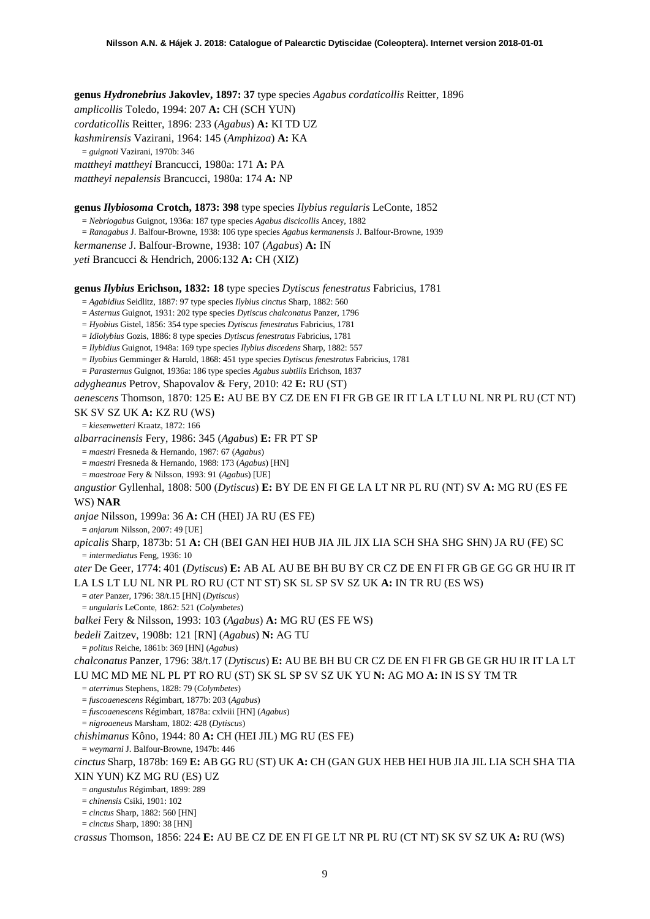**genus** *Hydronebrius* **Jakovlev, 1897: 37** type species *Agabus cordaticollis* Reitter, 1896 *amplicollis* Toledo, 1994: 207 **A:** CH (SCH YUN) *cordaticollis* Reitter, 1896: 233 (*Agabus*) **A:** KI TD UZ *kashmirensis* Vazirani, 1964: 145 (*Amphizoa*) **A:** KA = *guignoti* Vazirani, 1970b: 346 *mattheyi mattheyi* Brancucci, 1980a: 171 **A:** PA *mattheyi nepalensis* Brancucci, 1980a: 174 **A:** NP

### **genus** *Ilybiosoma* **Crotch, 1873: 398** type species *Ilybius regularis* LeConte, 1852

= *Nebriogabus* Guignot, 1936a: 187 type species *Agabus discicollis* Ancey, 1882 = *Ranagabus* J. Balfour-Browne, 1938: 106 type species *Agabus kermanensis* J. Balfour-Browne, 1939 *kermanense* J. Balfour-Browne, 1938: 107 (*Agabus*) **A:** IN *yeti* Brancucci & Hendrich, 2006:132 **A:** CH (XIZ)

**genus** *Ilybius* **Erichson, 1832: 18** type species *Dytiscus fenestratus* Fabricius, 1781

= *Agabidius* Seidlitz, 1887: 97 type species *Ilybius cinctus* Sharp, 1882: 560

= *Asternus* Guignot, 1931: 202 type species *Dytiscus chalconatus* Panzer, 1796

= *Hyobius* Gistel, 1856: 354 type species *Dytiscus fenestratus* Fabricius, 1781

= *Idiolybius* Gozis, 1886: 8 type species *Dytiscus fenestratus* Fabricius, 1781

= *Ilybidius* Guignot, 1948a: 169 type species *Ilybius discedens* Sharp, 1882: 557

= *Ilyobius* Gemminger & Harold, 1868: 451 type species *Dytiscus fenestratus* Fabricius, 1781

= *Parasternus* Guignot, 1936a: 186 type species *Agabus subtilis* Erichson, 1837

*adygheanus* Petrov, Shapovalov & Fery, 2010: 42 **E:** RU (ST)

*aenescens* Thomson, 1870: 125 **E:** AU BE BY CZ DE EN FI FR GB GE IR IT LA LT LU NL NR PL RU (CT NT)

SK SV SZ UK **A:** KZ RU (WS)

= *kiesenwetteri* Kraatz, 1872: 166

*albarracinensis* Fery, 1986: 345 (*Agabus*) **E:** FR PT SP

= *maestri* Fresneda & Hernando, 1987: 67 (*Agabus*)

= *maestri* Fresneda & Hernando, 1988: 173 (*Agabus*) [HN]

= *maestroae* Fery & Nilsson, 1993: 91 (*Agabus*) [UE]

*angustior* Gyllenhal, 1808: 500 (*Dytiscus*) **E:** BY DE EN FI GE LA LT NR PL RU (NT) SV **A:** MG RU (ES FE WS) **NAR**

*anjae* Nilsson, 1999a: 36 **A:** CH (HEI) JA RU (ES FE)

**=** *anjarum* Nilsson, 2007: 49 [UE]

*apicalis* Sharp, 1873b: 51 **A:** CH (BEI GAN HEI HUB JIA JIL JIX LIA SCH SHA SHG SHN) JA RU (FE) SC = *intermediatus* Feng, 1936: 10

*ater* De Geer, 1774: 401 (*Dytiscus*) **E:** AB AL AU BE BH BU BY CR CZ DE EN FI FR GB GE GG GR HU IR IT LA LS LT LU NL NR PL RO RU (CT NT ST) SK SL SP SV SZ UK **A:** IN TR RU (ES WS)

= *ater* Panzer, 1796: 38/t.15 [HN] (*Dytiscus*)

= *ungularis* LeConte, 1862: 521 (*Colymbetes*)

*balkei* Fery & Nilsson, 1993: 103 (*Agabus*) **A:** MG RU (ES FE WS)

*bedeli* Zaitzev, 1908b: 121 [RN] (*Agabus*) **N:** AG TU

= *politus* Reiche, 1861b: 369 [HN] (*Agabus*)

*chalconatus* Panzer, 1796: 38/t.17 (*Dytiscus*) **E:** AU BE BH BU CR CZ DE EN FI FR GB GE GR HU IR IT LA LT LU MC MD ME NL PL PT RO RU (ST) SK SL SP SV SZ UK YU **N:** AG MO **A:** IN IS SY TM TR

= *aterrimus* Stephens, 1828: 79 (*Colymbetes*)

= *fuscoaenescens* Régimbart, 1877b: 203 (*Agabus*)

= *fuscoaenescens* Régimbart, 1878a: cxlviii [HN] (*Agabus*)

= *nigroaeneus* Marsham, 1802: 428 (*Dytiscus*)

*chishimanus* Kôno, 1944: 80 **A:** CH (HEI JIL) MG RU (ES FE)

= *weymarni* J. Balfour-Browne, 1947b: 446

*cinctus* Sharp, 1878b: 169 **E:** AB GG RU (ST) UK **A:** CH (GAN GUX HEB HEI HUB JIA JIL LIA SCH SHA TIA XIN YUN) KZ MG RU (ES) UZ

= *angustulus* Régimbart, 1899: 289

= *chinensis* Csiki, 1901: 102

= *cinctus* Sharp, 1882: 560 [HN]

= *cinctus* Sharp, 1890: 38 [HN]

*crassus* Thomson, 1856: 224 **E:** AU BE CZ DE EN FI GE LT NR PL RU (CT NT) SK SV SZ UK **A:** RU (WS)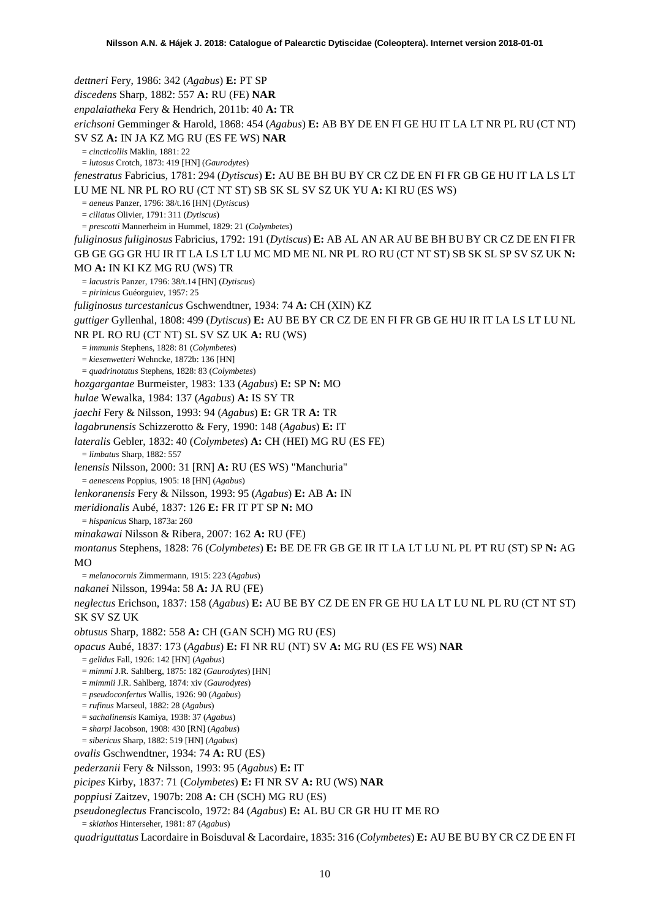*dettneri* Fery, 1986: 342 (*Agabus*) **E:** PT SP *discedens* Sharp, 1882: 557 **A:** RU (FE) **NAR** *enpalaiatheka* Fery & Hendrich, 2011b: 40 **A:** TR *erichsoni* Gemminger & Harold, 1868: 454 (*Agabus*) **E:** AB BY DE EN FI GE HU IT LA LT NR PL RU (CT NT) SV SZ **A:** IN JA KZ MG RU (ES FE WS) **NAR** = *cincticollis* Mäklin, 1881: 22 = *lutosus* Crotch, 1873: 419 [HN] (*Gaurodytes*) *fenestratus* Fabricius, 1781: 294 (*Dytiscus*) **E:** AU BE BH BU BY CR CZ DE EN FI FR GB GE HU IT LA LS LT LU ME NL NR PL RO RU (CT NT ST) SB SK SL SV SZ UK YU **A:** KI RU (ES WS) = *aeneus* Panzer, 1796: 38/t.16 [HN] (*Dytiscus*) = *ciliatus* Olivier, 1791: 311 (*Dytiscus*) = *prescotti* Mannerheim in Hummel, 1829: 21 (*Colymbetes*) *fuliginosus fuliginosus* Fabricius, 1792: 191 (*Dytiscus*) **E:** AB AL AN AR AU BE BH BU BY CR CZ DE EN FI FR GB GE GG GR HU IR IT LA LS LT LU MC MD ME NL NR PL RO RU (CT NT ST) SB SK SL SP SV SZ UK **N:**  MO **A:** IN KI KZ MG RU (WS) TR = *lacustris* Panzer, 1796: 38/t.14 [HN] (*Dytiscus*) = *pirinicus* Guéorguiev, 1957: 25 *fuliginosus turcestanicus* Gschwendtner, 1934: 74 **A:** CH (XIN) KZ *guttiger* Gyllenhal, 1808: 499 (*Dytiscus*) **E:** AU BE BY CR CZ DE EN FI FR GB GE HU IR IT LA LS LT LU NL NR PL RO RU (CT NT) SL SV SZ UK **A:** RU (WS) = *immunis* Stephens, 1828: 81 (*Colymbetes*) = *kiesenwetteri* Wehncke, 1872b: 136 [HN] = *quadrinotatus* Stephens, 1828: 83 (*Colymbetes*) *hozgargantae* Burmeister, 1983: 133 (*Agabus*) **E:** SP **N:** MO *hulae* Wewalka, 1984: 137 (*Agabus*) **A:** IS SY TR *jaechi* Fery & Nilsson, 1993: 94 (*Agabus*) **E:** GR TR **A:** TR *lagabrunensis* Schizzerotto & Fery, 1990: 148 (*Agabus*) **E:** IT *lateralis* Gebler, 1832: 40 (*Colymbetes*) **A:** CH (HEI) MG RU (ES FE) = *limbatus* Sharp, 1882: 557 *lenensis* Nilsson, 2000: 31 [RN] **A:** RU (ES WS) "Manchuria" = *aenescens* Poppius, 1905: 18 [HN] (*Agabus*) *lenkoranensis* Fery & Nilsson, 1993: 95 (*Agabus*) **E:** AB **A:** IN *meridionalis* Aubé, 1837: 126 **E:** FR IT PT SP **N:** MO = *hispanicus* Sharp, 1873a: 260 *minakawai* Nilsson & Ribera, 2007: 162 **A:** RU (FE) *montanus* Stephens, 1828: 76 (*Colymbetes*) **E:** BE DE FR GB GE IR IT LA LT LU NL PL PT RU (ST) SP **N:** AG  $MO$ = *melanocornis* Zimmermann, 1915: 223 (*Agabus*) *nakanei* Nilsson, 1994a: 58 **A:** JA RU (FE) *neglectus* Erichson, 1837: 158 (*Agabus*) **E:** AU BE BY CZ DE EN FR GE HU LA LT LU NL PL RU (CT NT ST) SK SV SZ UK *obtusus* Sharp, 1882: 558 **A:** CH (GAN SCH) MG RU (ES) *opacus* Aubé, 1837: 173 (*Agabus*) **E:** FI NR RU (NT) SV **A:** MG RU (ES FE WS) **NAR** = *gelidus* Fall, 1926: 142 [HN] (*Agabus*) = *mimmi* J.R. Sahlberg, 1875: 182 (*Gaurodytes*) [HN] = *mimmii* J.R. Sahlberg, 1874: xiv (*Gaurodytes*) = *pseudoconfertus* Wallis, 1926: 90 (*Agabus*) = *rufinus* Marseul, 1882: 28 (*Agabus*) = *sachalinensis* Kamiya, 1938: 37 (*Agabus*) = *sharpi* Jacobson, 1908: 430 [RN] (*Agabus*) = *sibericus* Sharp, 1882: 519 [HN] (*Agabus*) *ovalis* Gschwendtner, 1934: 74 **A:** RU (ES) *pederzanii* Fery & Nilsson, 1993: 95 (*Agabus*) **E:** IT *picipes* Kirby, 1837: 71 (*Colymbetes*) **E:** FI NR SV **A:** RU (WS) **NAR** *poppiusi* Zaitzev, 1907b: 208 **A:** CH (SCH) MG RU (ES) *pseudoneglectus* Franciscolo, 1972: 84 (*Agabus*) **E:** AL BU CR GR HU IT ME RO = *skiathos* Hinterseher, 1981: 87 (*Agabus*)

*quadriguttatus* Lacordaire in Boisduval & Lacordaire, 1835: 316 (*Colymbetes*) **E:** AU BE BU BY CR CZ DE EN FI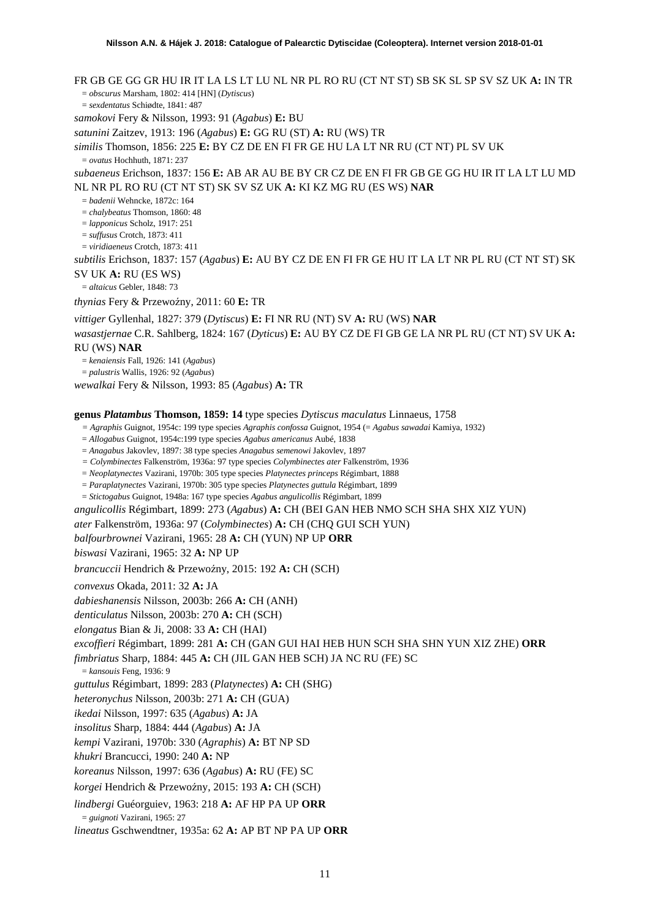FR GB GE GG GR HU IR IT LA LS LT LU NL NR PL RO RU (CT NT ST) SB SK SL SP SV SZ UK **A:** IN TR = *obscurus* Marsham, 1802: 414 [HN] (*Dytiscus*) = *sexdentatus* Schiødte, 1841: 487 *samokovi* Fery & Nilsson, 1993: 91 (*Agabus*) **E:** BU *satunini* Zaitzev, 1913: 196 (*Agabus*) **E:** GG RU (ST) **A:** RU (WS) TR *similis* Thomson, 1856: 225 **E:** BY CZ DE EN FI FR GE HU LA LT NR RU (CT NT) PL SV UK = *ovatus* Hochhuth, 1871: 237 *subaeneus* Erichson, 1837: 156 **E:** AB AR AU BE BY CR CZ DE EN FI FR GB GE GG HU IR IT LA LT LU MD NL NR PL RO RU (CT NT ST) SK SV SZ UK **A:** KI KZ MG RU (ES WS) **NAR** = *badenii* Wehncke, 1872c: 164 = *chalybeatus* Thomson, 1860: 48 = *lapponicus* Scholz, 1917: 251 = *suffusus* Crotch, 1873: 411 = *viridiaeneus* Crotch, 1873: 411 *subtilis* Erichson, 1837: 157 (*Agabus*) **E:** AU BY CZ DE EN FI FR GE HU IT LA LT NR PL RU (CT NT ST) SK SV UK **A:** RU (ES WS) = *altaicus* Gebler, 1848: 73 *thynias* Fery & Przewoźny, 2011: 60 E: TR *vittiger* Gyllenhal, 1827: 379 (*Dytiscus*) **E:** FI NR RU (NT) SV **A:** RU (WS) **NAR** *wasastjernae* C.R. Sahlberg, 1824: 167 (*Dyticus*) **E:** AU BY CZ DE FI GB GE LA NR PL RU (CT NT) SV UK **A:**  RU (WS) **NAR**

= *kenaiensis* Fall, 1926: 141 (*Agabus*)

= *palustris* Wallis, 1926: 92 (*Agabus*) *wewalkai* Fery & Nilsson, 1993: 85 (*Agabus*) **A:** TR

**genus** *Platambus* **Thomson, 1859: 14** type species *Dytiscus maculatus* Linnaeus, 1758

*= Agraphis* Guignot, 1954c: 199 type species *Agraphis confossa* Guignot, 1954 (= *Agabus sawadai* Kamiya, 1932)

= *Allogabus* Guignot, 1954c:199 type species *Agabus americanus* Aubé, 1838

= *Anagabus* Jakovlev, 1897: 38 type species *Anagabus semenowi* Jakovlev, 1897

*= Colymbinectes* Falkenström, 1936a: 97 type species *Colymbinectes ater* Falkenström, 1936

= *Neoplatynectes* Vazirani, 1970b: 305 type species *Platynectes princeps* Régimbart, 1888

= *Paraplatynectes* Vazirani, 1970b: 305 type species *Platynectes guttula* Régimbart, 1899

= *Stictogabus* Guignot, 1948a: 167 type species *Agabus angulicollis* Régimbart, 1899

*angulicollis* Régimbart, 1899: 273 (*Agabus*) **A:** CH (BEI GAN HEB NMO SCH SHA SHX XIZ YUN)

*ater* Falkenström, 1936a: 97 (*Colymbinectes*) **A:** CH (CHQ GUI SCH YUN)

*balfourbrownei* Vazirani, 1965: 28 **A:** CH (YUN) NP UP **ORR**

*biswasi* Vazirani, 1965: 32 **A:** NP UP

*brancuccii* Hendrich & Przewoźny, 2015: 192 A: CH (SCH)

*convexus* Okada, 2011: 32 **A:** JA

*dabieshanensis* Nilsson, 2003b: 266 **A:** CH (ANH)

*denticulatus* Nilsson, 2003b: 270 **A:** CH (SCH)

*elongatus* Bian & Ji, 2008: 33 **A:** CH (HAI)

*excoffieri* Régimbart, 1899: 281 **A:** CH (GAN GUI HAI HEB HUN SCH SHA SHN YUN XIZ ZHE) **ORR**

*fimbriatus* Sharp, 1884: 445 **A:** CH (JIL GAN HEB SCH) JA NC RU (FE) SC

= *kansouis* Feng, 1936: 9

*guttulus* Régimbart, 1899: 283 (*Platynectes*) **A:** CH (SHG)

*heteronychus* Nilsson, 2003b: 271 **A:** CH (GUA)

*ikedai* Nilsson, 1997: 635 (*Agabus*) **A:** JA

*insolitus* Sharp, 1884: 444 (*Agabus*) **A:** JA

*kempi* Vazirani, 1970b: 330 (*Agraphis*) **A:** BT NP SD

*khukri* Brancucci, 1990: 240 **A:** NP

*koreanus* Nilsson, 1997: 636 (*Agabus*) **A:** RU (FE) SC

*korgei* Hendrich & Przewoźny, 2015: 193 A: CH (SCH)

*lindbergi* Guéorguiev, 1963: 218 **A:** AF HP PA UP **ORR**

= *guignoti* Vazirani, 1965: 27

*lineatus* Gschwendtner, 1935a: 62 **A:** AP BT NP PA UP **ORR**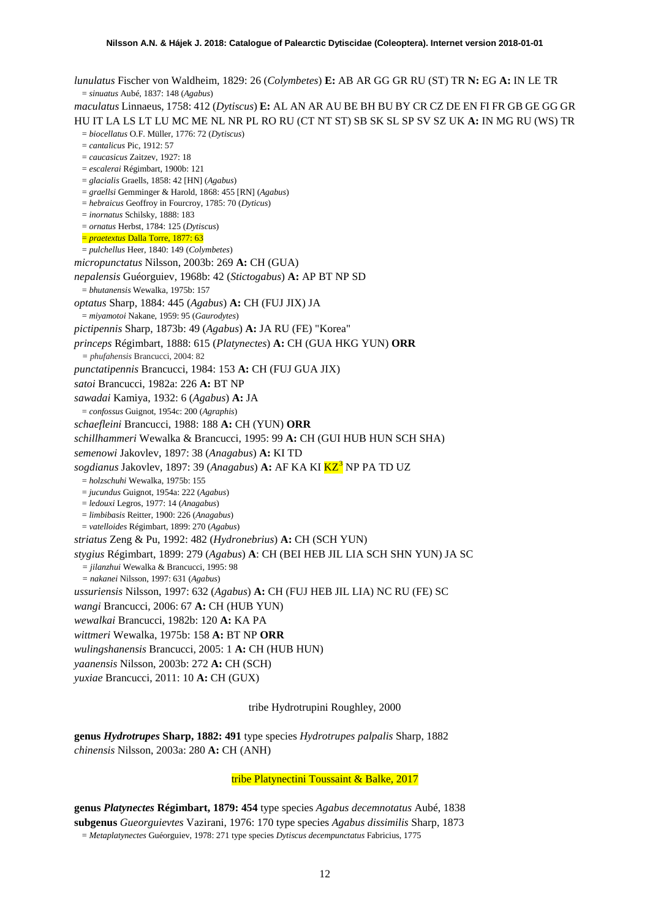*lunulatus* Fischer von Waldheim, 1829: 26 (*Colymbetes*) **E:** AB AR GG GR RU (ST) TR **N:** EG **A:** IN LE TR = *sinuatus* Aubé, 1837: 148 (*Agabus*) *maculatus* Linnaeus, 1758: 412 (*Dytiscus*) **E:** AL AN AR AU BE BH BU BY CR CZ DE EN FI FR GB GE GG GR HU IT LA LS LT LU MC ME NL NR PL RO RU (CT NT ST) SB SK SL SP SV SZ UK **A:** IN MG RU (WS) TR = *biocellatus* O.F. Müller, 1776: 72 (*Dytiscus*) = *cantalicus* Pic, 1912: 57 = *caucasicus* Zaitzev, 1927: 18 = *escalerai* Régimbart, 1900b: 121 = *glacialis* Graells, 1858: 42 [HN] (*Agabus*) = *graellsi* Gemminger & Harold, 1868: 455 [RN] (*Agabus*) = *hebraicus* Geoffroy in Fourcroy, 1785: 70 (*Dyticus*) = *inornatus* Schilsky, 1888: 183 = *ornatus* Herbst, 1784: 125 (*Dytiscus*) = *praetextus* Dalla Torre, 1877: 63 = *pulchellus* Heer, 1840: 149 (*Colymbetes*) *micropunctatus* Nilsson, 2003b: 269 **A:** CH (GUA) *nepalensis* Guéorguiev, 1968b: 42 (*Stictogabus*) **A:** AP BT NP SD = *bhutanensis* Wewalka, 1975b: 157 *optatus* Sharp, 1884: 445 (*Agabus*) **A:** CH (FUJ JIX) JA = *miyamotoi* Nakane, 1959: 95 (*Gaurodytes*) *pictipennis* Sharp, 1873b: 49 (*Agabus*) **A:** JA RU (FE) "Korea" *princeps* Régimbart, 1888: 615 (*Platynectes*) **A:** CH (GUA HKG YUN) **ORR** *= phufahensis* Brancucci, 2004: 82 *punctatipennis* Brancucci, 1984: 153 **A:** CH (FUJ GUA JIX) *satoi* Brancucci, 1982a: 226 **A:** BT NP *sawadai* Kamiya, 1932: 6 (*Agabus*) **A:** JA = *confossus* Guignot, 1954c: 200 (*Agraphis*) *schaefleini* Brancucci, 1988: 188 **A:** CH (YUN) **ORR** *schillhammeri* Wewalka & Brancucci, 1995: 99 **A:** CH (GUI HUB HUN SCH SHA) *semenowi* Jakovlev, 1897: 38 (*Anagabus*) **A:** KI TD *sogdianus* Jakovlev, 1897: [3](#page-51-0)9 (*Anagabus*) **A:** AF KA KI KZ<sup>3</sup> NP PA TD UZ = *holzschuhi* Wewalka, 1975b: 155 = *jucundus* Guignot, 1954a: 222 (*Agabus*) = *ledouxi* Legros, 1977: 14 (*Anagabus*) = *limbibasis* Reitter, 1900: 226 (*Anagabus*) = *vatelloides* Régimbart, 1899: 270 (*Agabus*) *striatus* Zeng & Pu, 1992: 482 (*Hydronebrius*) **A:** CH (SCH YUN) *stygius* Régimbart, 1899: 279 (*Agabus*) **A**: CH (BEI HEB JIL LIA SCH SHN YUN) JA SC *= jilanzhui* Wewalka & Brancucci, 1995: 98 *= nakanei* Nilsson, 1997: 631 (*Agabus*) *ussuriensis* Nilsson, 1997: 632 (*Agabus*) **A:** CH (FUJ HEB JIL LIA) NC RU (FE) SC *wangi* Brancucci, 2006: 67 **A:** CH (HUB YUN) *wewalkai* Brancucci, 1982b: 120 **A:** KA PA *wittmeri* Wewalka, 1975b: 158 **A:** BT NP **ORR** *wulingshanensis* Brancucci, 2005: 1 **A:** CH (HUB HUN) *yaanensis* Nilsson, 2003b: 272 **A:** CH (SCH) *yuxiae* Brancucci, 2011: 10 **A:** CH (GUX)

tribe Hydrotrupini Roughley, 2000

**genus** *Hydrotrupes* **Sharp, 1882: 491** type species *Hydrotrupes palpalis* Sharp, 1882 *chinensis* Nilsson, 2003a: 280 **A:** CH (ANH)

tribe Platynectini Toussaint & Balke, 2017

**genus** *Platynectes* **Régimbart, 1879: 454** type species *Agabus decemnotatus* Aubé, 1838 **subgenus** *Gueorguievtes* Vazirani, 1976: 170 type species *Agabus dissimilis* Sharp, 1873 = *Metaplatynectes* Guéorguiev, 1978: 271 type species *Dytiscus decempunctatus* Fabricius, 1775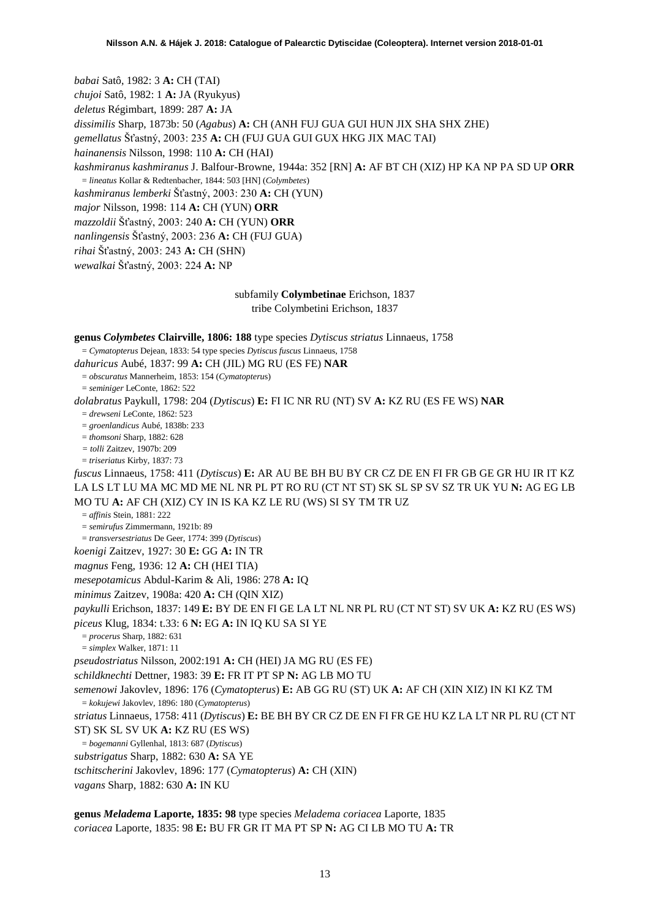*babai* Satô, 1982: 3 **A:** CH (TAI) *chujoi* Satô, 1982: 1 **A:** JA (Ryukyus) *deletus* Régimbart, 1899: 287 **A:** JA *dissimilis* Sharp, 1873b: 50 (*Agabus*) **A:** CH (ANH FUJ GUA GUI HUN JIX SHA SHX ZHE) *gemellatus* Šťastný, 2003: 235 **A:** CH (FUJ GUA GUI GUX HKG JIX MAC TAI) *hainanensis* Nilsson, 1998: 110 **A:** CH (HAI) *kashmiranus kashmiranus* J. Balfour-Browne, 1944a: 352 [RN] **A:** AF BT CH (XIZ) HP KA NP PA SD UP **ORR** = *lineatus* Kollar & Redtenbacher, 1844: 503 [HN] (*Colymbetes*) *kashmiranus lemberki* Šťastný, 2003: 230 **A:** CH (YUN) *major* Nilsson, 1998: 114 **A:** CH (YUN) **ORR**

*mazzoldii* Šťastný, 2003: 240 **A:** CH (YUN) **ORR**

*nanlingensis* Šťastný, 2003: 236 **A:** CH (FUJ GUA)

*rihai* Šťastný, 2003: 243 **A:** CH (SHN)

*wewalkai* Šťastný, 2003: 224 **A:** NP

# subfamily **Colymbetinae** Erichson, 1837

tribe Colymbetini Erichson, 1837

**genus** *Colymbetes* **Clairville, 1806: 188** type species *Dytiscus striatus* Linnaeus, 1758

= *Cymatopterus* Dejean, 1833: 54 type species *Dytiscus fuscus* Linnaeus, 1758

*dahuricus* Aubé, 1837: 99 **A:** CH (JIL) MG RU (ES FE) **NAR**

= *obscuratus* Mannerheim, 1853: 154 (*Cymatopteru*s)

= *seminiger* LeConte, 1862: 522

*dolabratus* Paykull, 1798: 204 (*Dytiscus*) **E:** FI IC NR RU (NT) SV **A:** KZ RU (ES FE WS) **NAR**

= *drewseni* LeConte, 1862: 523

= *groenlandicus* Aubé, 1838b: 233

= *thomsoni* Sharp, 1882: 628

*= tolli* Zaitzev, 1907b: 209 = *triseriatus* Kirby, 1837: 73

*fuscus* Linnaeus, 1758: 411 (*Dytiscus*) **E:** AR AU BE BH BU BY CR CZ DE EN FI FR GB GE GR HU IR IT KZ LA LS LT LU MA MC MD ME NL NR PL PT RO RU (CT NT ST) SK SL SP SV SZ TR UK YU **N:** AG EG LB MO TU **A:** AF CH (XIZ) CY IN IS KA KZ LE RU (WS) SI SY TM TR UZ

= *affinis* Stein, 1881: 222

= *semirufus* Zimmermann, 1921b: 89

= *transversestriatus* De Geer, 1774: 399 (*Dytiscus*)

*koenigi* Zaitzev, 1927: 30 **E:** GG **A:** IN TR

*magnus* Feng, 1936: 12 **A:** CH (HEI TIA)

*mesepotamicus* Abdul-Karim & Ali, 1986: 278 **A:** IQ

*minimus* Zaitzev, 1908a: 420 **A:** CH (QIN XIZ)

*paykulli* Erichson, 1837: 149 **E:** BY DE EN FI GE LA LT NL NR PL RU (CT NT ST) SV UK **A:** KZ RU (ES WS)

*piceus* Klug, 1834: t.33: 6 **N:** EG **A:** IN IQ KU SA SI YE

= *procerus* Sharp, 1882: 631

= *simplex* Walker, 1871: 11

*pseudostriatus* Nilsson, 2002:191 **A:** CH (HEI) JA MG RU (ES FE)

*schildknechti* Dettner, 1983: 39 **E:** FR IT PT SP **N:** AG LB MO TU

*semenowi* Jakovlev, 1896: 176 (*Cymatopterus*) **E:** AB GG RU (ST) UK **A:** AF CH (XIN XIZ) IN KI KZ TM

= *kokujewi* Jakovlev, 1896: 180 (*Cymatopterus*)

*striatus* Linnaeus, 1758: 411 (*Dytiscus*) **E:** BE BH BY CR CZ DE EN FI FR GE HU KZ LA LT NR PL RU (CT NT ST) SK SL SV UK **A:** KZ RU (ES WS)

= *bogemanni* Gyllenhal, 1813: 687 (*Dytiscus*)

*substrigatus* Sharp, 1882: 630 **A:** SA YE

*tschitscherini* Jakovlev, 1896: 177 (*Cymatopterus*) **A:** CH (XIN)

*vagans* Sharp, 1882: 630 **A:** IN KU

**genus** *Meladema* **Laporte, 1835: 98** type species *Meladema coriacea* Laporte, 1835 *coriacea* Laporte, 1835: 98 **E:** BU FR GR IT MA PT SP **N:** AG CI LB MO TU **A:** TR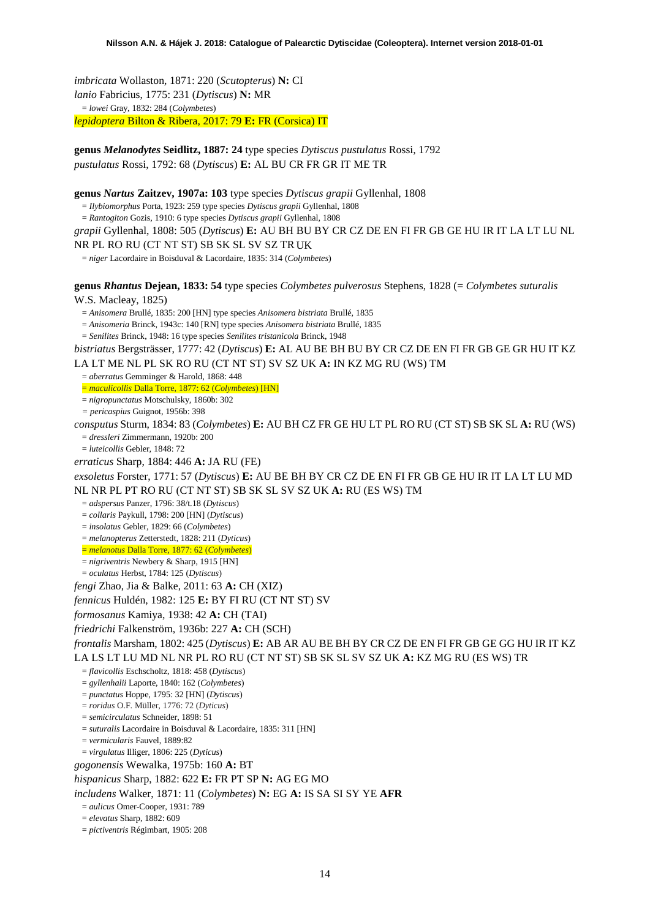*imbricata* Wollaston, 1871: 220 (*Scutopterus*) **N:** CI *lanio* Fabricius, 1775: 231 (*Dytiscus*) **N:** MR = *lowei* Gray, 1832: 284 (*Colymbetes*) *lepidoptera* Bilton & Ribera, 2017: 79 **E:** FR (Corsica) IT

**genus** *Melanodytes* **Seidlitz, 1887: 24** type species *Dytiscus pustulatus* Rossi, 1792 *pustulatus* Rossi, 1792: 68 (*Dytiscus*) **E:** AL BU CR FR GR IT ME TR

**genus** *Nartus* **Zaitzev, 1907a: 103** type species *Dytiscus grapii* Gyllenhal, 1808

= *Ilybiomorphus* Porta, 1923: 259 type species *Dytiscus grapii* Gyllenhal, 1808

= *Rantogiton* Gozis, 1910: 6 type species *Dytiscus grapii* Gyllenhal, 1808

*grapii* Gyllenhal, 1808: 505 (*Dytiscus*) **E:** AU BH BU BY CR CZ DE EN FI FR GB GE HU IR IT LA LT LU NL

NR PL RO RU (CT NT ST) SB SK SL SV SZ TR UK

= *niger* Lacordaire in Boisduval & Lacordaire, 1835: 314 (*Colymbetes*)

**genus** *Rhantus* **Dejean, 1833: 54** type species *Colymbetes pulverosus* Stephens, 1828 (= *Colymbetes suturalis*

W.S. Macleay, 1825)

= *Anisomera* Brullé, 1835: 200 [HN] type species *Anisomera bistriata* Brullé, 1835

= *Anisomeria* Brinck, 1943c: 140 [RN] type species *Anisomera bistriata* Brullé, 1835

= *Senilites* Brinck, 1948: 16 type species *Senilites tristanicola* Brinck, 1948

*bistriatus* Bergsträsser, 1777: 42 (*Dytiscus*) **E:** AL AU BE BH BU BY CR CZ DE EN FI FR GB GE GR HU IT KZ LA LT ME NL PL SK RO RU (CT NT ST) SV SZ UK **A:** IN KZ MG RU (WS) TM

= *aberratus* Gemminger & Harold, 1868: 448

= *maculicollis* Dalla Torre, 1877: 62 (*Colymbetes*) [HN]

= *nigropunctatus* Motschulsky, 1860b: 302

*= pericaspius* Guignot, 1956b: 398

*consputus* Sturm, 1834: 83 (*Colymbetes*) **E:** AU BH CZ FR GE HU LT PL RO RU (CT ST) SB SK SL **A:** RU (WS) = *dressleri* Zimmermann, 1920b: 200

= *luteicollis* Gebler, 1848: 72

*erraticus* Sharp, 1884: 446 **A:** JA RU (FE)

*exsoletus* Forster, 1771: 57 (*Dytiscus*) **E:** AU BE BH BY CR CZ DE EN FI FR GB GE HU IR IT LA LT LU MD NL NR PL PT RO RU (CT NT ST) SB SK SL SV SZ UK **A:** RU (ES WS) TM

= *adspersus* Panzer, 1796: 38/t.18 (*Dytiscus*)

= *collaris* Paykull, 1798: 200 [HN] (*Dytiscus*)

= *insolatus* Gebler, 1829: 66 (*Colymbetes*)

= *melanopterus* Zetterstedt, 1828: 211 (*Dyticus*)

= *melanotus* Dalla Torre, 1877: 62 (*Colymbetes*)

= *nigriventris* Newbery & Sharp, 1915 [HN]

= *oculatus* Herbst, 1784: 125 (*Dytiscus*)

*fengi* Zhao, Jia & Balke, 2011: 63 **A:** CH (XIZ)

*fennicus* Huldén, 1982: 125 **E:** BY FI RU (CT NT ST) SV

*formosanus* Kamiya, 1938: 42 **A:** CH (TAI)

*friedrichi* Falkenström, 1936b: 227 **A:** CH (SCH)

*frontalis* Marsham, 1802: 425 (*Dytiscus*) **E:** AB AR AU BE BH BY CR CZ DE EN FI FR GB GE GG HU IR IT KZ LA LS LT LU MD NL NR PL RO RU (CT NT ST) SB SK SL SV SZ UK **A:** KZ MG RU (ES WS) TR

= *flavicollis* Eschscholtz, 1818: 458 (*Dytiscus*)

= *gyllenhalii* Laporte, 1840: 162 (*Colymbetes*)

= *punctatus* Hoppe, 1795: 32 [HN] (*Dytiscus*)

= *roridus* O.F. Müller, 1776: 72 (*Dyticus*)

= *semicirculatus* Schneider, 1898: 51

= *suturalis* Lacordaire in Boisduval & Lacordaire, 1835: 311 [HN]

= *vermicularis* Fauvel, 1889:82

= *virgulatus* Illiger, 1806: 225 (*Dyticus*)

*gogonensis* Wewalka, 1975b: 160 **A:** BT

*hispanicus* Sharp, 1882: 622 **E:** FR PT SP **N:** AG EG MO

*includens* Walker, 1871: 11 (*Colymbetes*) **N:** EG **A:** IS SA SI SY YE **AFR**

= *aulicus* Omer-Cooper, 1931: 789

= *elevatus* Sharp, 1882: 609

= *pictiventris* Régimbart, 1905: 208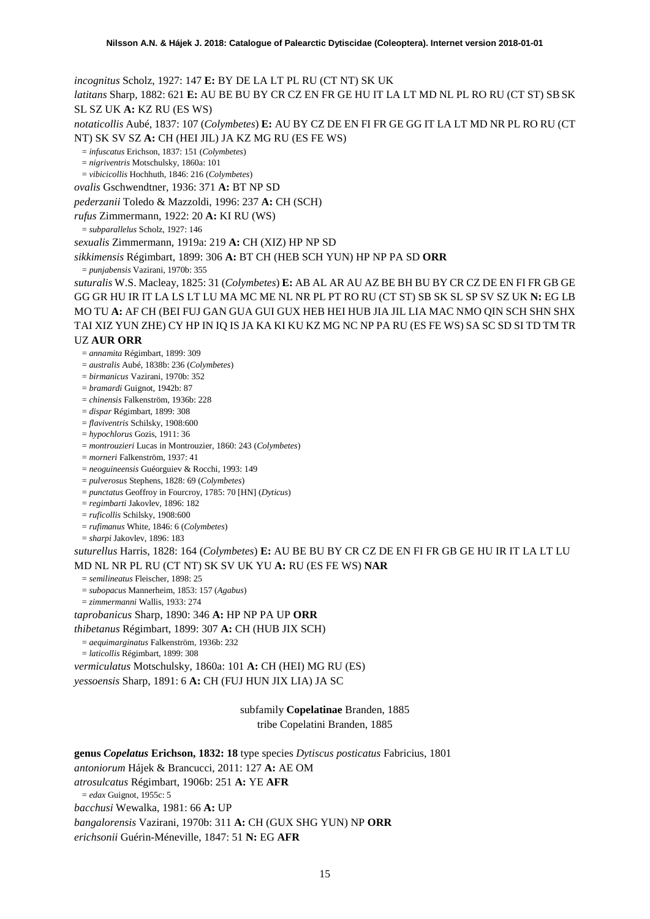*incognitus* Scholz, 1927: 147 **E:** BY DE LA LT PL RU (CT NT) SK UK

*latitans* Sharp, 1882: 621 **E:** AU BE BU BY CR CZ EN FR GE HU IT LA LT MD NL PL RO RU (CT ST) SBSK SL SZ UK **A:** KZ RU (ES WS)

*notaticollis* Aubé, 1837: 107 (*Colymbetes*) **E:** AU BY CZ DE EN FI FR GE GG IT LA LT MD NR PL RO RU (CT NT) SK SV SZ **A:** CH (HEI JIL) JA KZ MG RU (ES FE WS)

= *infuscatus* Erichson, 1837: 151 (*Colymbetes*)

= *nigriventris* Motschulsky, 1860a: 101

= *vibicicollis* Hochhuth, 1846: 216 (*Colymbetes*)

*ovalis* Gschwendtner, 1936: 371 **A:** BT NP SD

*pederzanii* Toledo & Mazzoldi, 1996: 237 **A:** CH (SCH)

*rufus* Zimmermann, 1922: 20 **A:** KI RU (WS)

= *subparallelus* Scholz, 1927: 146

*sexualis* Zimmermann, 1919a: 219 **A:** CH (XIZ) HP NP SD

*sikkimensis* Régimbart, 1899: 306 **A:** BT CH (HEB SCH YUN) HP NP PA SD **ORR**

= *punjabensis* Vazirani, 1970b: 355

*suturalis* W.S. Macleay, 1825: 31 (*Colymbetes*) **E:** AB AL AR AU AZ BE BH BU BY CR CZ DE EN FI FR GB GE GG GR HU IR IT LA LS LT LU MA MC ME NL NR PL PT RO RU (CT ST) SB SK SL SP SV SZ UK **N:** EG LB MO TU **A:** AF CH (BEI FUJ GAN GUA GUI GUX HEB HEI HUB JIA JIL LIA MAC NMO QIN SCH SHN SHX TAI XIZ YUN ZHE) CY HP IN IQ IS JA KA KI KU KZ MG NC NP PA RU (ES FE WS) SA SC SD SI TD TM TR UZ **AUR ORR**

= *annamita* Régimbart, 1899: 309

= *australis* Aubé, 1838b: 236 (*Colymbetes*)

= *birmanicus* Vazirani, 1970b: 352

= *bramardi* Guignot, 1942b: 87

= *chinensis* Falkenström, 1936b: 228

= *dispar* Régimbart, 1899: 308

= *flaviventris* Schilsky, 1908:600

= *hypochlorus* Gozis, 1911: 36

= *montrouzieri* Lucas in Montrouzier, 1860: 243 (*Colymbetes*)

= *morneri* Falkenström, 1937: 41

= *neoguineensis* Guéorguiev & Rocchi, 1993: 149

= *pulverosus* Stephens, 1828: 69 (*Colymbetes*)

= *punctatus* Geoffroy in Fourcroy, 1785: 70 [HN] (*Dyticus*)

= *regimbarti* Jakovlev, 1896: 182

= *ruficollis* Schilsky, 1908:600

= *rufimanus* White, 1846: 6 (*Colymbetes*)

= *sharpi* Jakovlev, 1896: 183

*suturellus* Harris, 1828: 164 (*Colymbetes*) **E:** AU BE BU BY CR CZ DE EN FI FR GB GE HU IR IT LA LT LU MD NL NR PL RU (CT NT) SK SV UK YU **A:** RU (ES FE WS) **NAR**

= *semilineatus* Fleischer, 1898: 25

= *subopacus* Mannerheim, 1853: 157 (*Agabus*)

= *zimmermanni* Wallis, 1933: 274

*taprobanicus* Sharp, 1890: 346 **A:** HP NP PA UP **ORR**

*thibetanus* Régimbart, 1899: 307 **A:** CH (HUB JIX SCH)

= *aequimarginatus* Falkenström, 1936b: 232

= *laticollis* Régimbart, 1899: 308

*vermiculatus* Motschulsky, 1860a: 101 **A:** CH (HEI) MG RU (ES)

*yessoensis* Sharp, 1891: 6 **A:** CH (FUJ HUN JIX LIA) JA SC

subfamily **Copelatinae** Branden, 1885

tribe Copelatini Branden, 1885

**genus** *Copelatus* **Erichson, 1832: 18** type species *Dytiscus posticatus* Fabricius, 1801 *antoniorum* Hájek & Brancucci, 2011: 127 **A:** AE OM *atrosulcatus* Régimbart, 1906b: 251 **A:** YE **AFR** = *edax* Guignot, 1955c: 5 *bacchusi* Wewalka, 1981: 66 **A:** UP *bangalorensis* Vazirani, 1970b: 311 **A:** CH (GUX SHG YUN) NP **ORR** *erichsonii* Guérin-Méneville, 1847: 51 **N:** EG **AFR**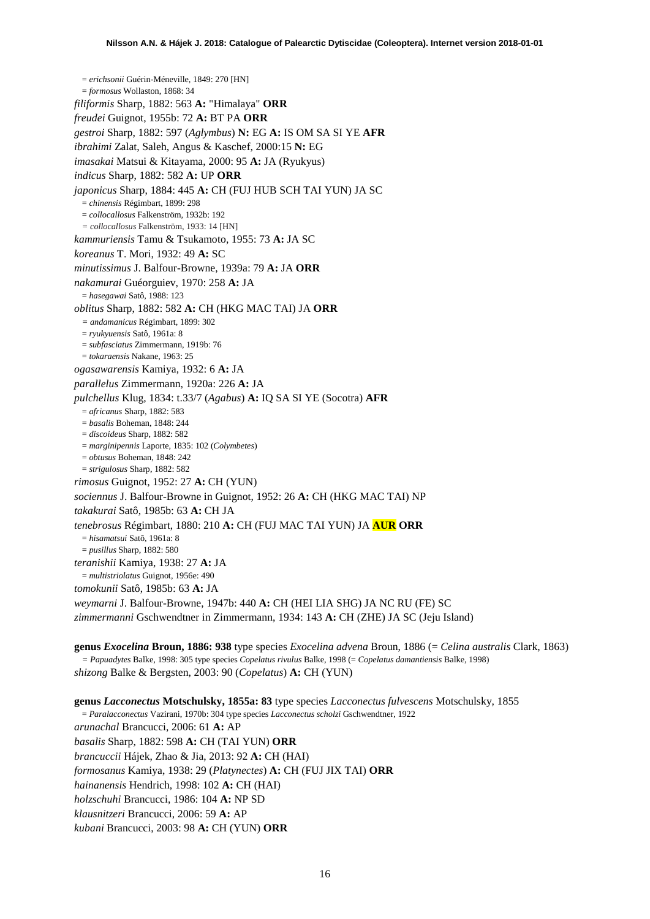= *erichsonii* Guérin-Méneville, 1849: 270 [HN] = *formosus* Wollaston, 1868: 34 *filiformis* Sharp, 1882: 563 **A:** "Himalaya" **ORR** *freudei* Guignot, 1955b: 72 **A:** BT PA **ORR** *gestroi* Sharp, 1882: 597 (*Aglymbus*) **N:** EG **A:** IS OM SA SI YE **AFR** *ibrahimi* Zalat, Saleh, Angus & Kaschef, 2000:15 **N:** EG *imasakai* Matsui & Kitayama, 2000: 95 **A:** JA (Ryukyus) *indicus* Sharp, 1882: 582 **A:** UP **ORR** *japonicus* Sharp, 1884: 445 **A:** CH (FUJ HUB SCH TAI YUN) JA SC = *chinensis* Régimbart, 1899: 298 = *collocallosus* Falkenström, 1932b: 192 *= collocallosus* Falkenström, 1933: 14 [HN] *kammuriensis* Tamu & Tsukamoto, 1955: 73 **A:** JA SC *koreanus* T. Mori, 1932: 49 **A:** SC *minutissimus* J. Balfour-Browne, 1939a: 79 **A:** JA **ORR** *nakamurai* Guéorguiev, 1970: 258 **A:** JA = *hasegawai* Satô, 1988: 123 *oblitus* Sharp, 1882: 582 **A:** CH (HKG MAC TAI) JA **ORR** *= andamanicus* Régimbart, 1899: 302 = *ryukyuensis* Satô, 1961a: 8 = *subfasciatus* Zimmermann, 1919b: 76 = *tokaraensis* Nakane, 1963: 25 *ogasawarensis* Kamiya, 1932: 6 **A:** JA *parallelus* Zimmermann, 1920a: 226 **A:** JA *pulchellus* Klug, 1834: t.33/7 (*Agabus*) **A:** IQ SA SI YE (Socotra) **AFR** = *africanus* Sharp, 1882: 583 = *basalis* Boheman, 1848: 244 = *discoideus* Sharp, 1882: 582 = *marginipennis* Laporte, 1835: 102 (*Colymbetes*) = *obtusus* Boheman, 1848: 242 = *strigulosus* Sharp, 1882: 582 *rimosus* Guignot, 1952: 27 **A:** CH (YUN) *sociennus* J. Balfour-Browne in Guignot, 1952: 26 **A:** CH (HKG MAC TAI) NP *takakurai* Satô, 1985b: 63 **A:** CH JA *tenebrosus* Régimbart, 1880: 210 **A:** CH (FUJ MAC TAI YUN) JA **AUR ORR** = *hisamatsui* Satô, 1961a: 8 = *pusillus* Sharp, 1882: 580 *teranishii* Kamiya, 1938: 27 **A:** JA = *multistriolatus* Guignot, 1956e: 490 *tomokunii* Satô, 1985b: 63 **A:** JA *weymarni* J. Balfour-Browne, 1947b: 440 **A:** CH (HEI LIA SHG) JA NC RU (FE) SC *zimmermanni* Gschwendtner in Zimmermann, 1934: 143 **A:** CH (ZHE) JA SC (Jeju Island)

**genus** *Exocelina* **Broun, 1886: 938** type species *Exocelina advena* Broun, 1886 (= *Celina australis* Clark, 1863) *= Papuadytes* Balke, 1998: 305 type species *Copelatus rivulus* Balke, 1998 (= *Copelatus damantiensis* Balke, 1998) *shizong* Balke & Bergsten, 2003: 90 (*Copelatus*) **A:** CH (YUN)

**genus** *Lacconectus* **Motschulsky, 1855a: 83** type species *Lacconectus fulvescens* Motschulsky, 1855 = *Paralacconectus* Vazirani, 1970b: 304 type species *Lacconectus scholzi* Gschwendtner, 1922 *arunachal* Brancucci, 2006: 61 **A:** AP *basalis* Sharp, 1882: 598 **A:** CH (TAI YUN) **ORR** *brancuccii* Hájek, Zhao & Jia, 2013: 92 **A:** CH (HAI) *formosanus* Kamiya, 1938: 29 (*Platynectes*) **A:** CH (FUJ JIX TAI) **ORR** *hainanensis* Hendrich, 1998: 102 **A:** CH (HAI) *holzschuhi* Brancucci, 1986: 104 **A:** NP SD *klausnitzeri* Brancucci, 2006: 59 **A:** AP *kubani* Brancucci, 2003: 98 **A:** CH (YUN) **ORR**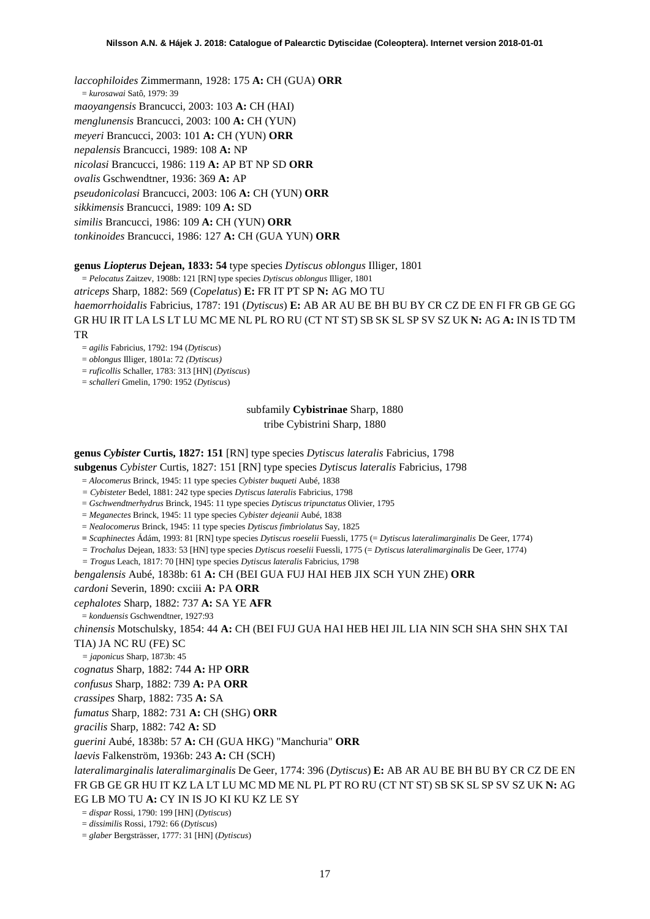*laccophiloides* Zimmermann, 1928: 175 **A:** CH (GUA) **ORR** = *kurosawai* Satô, 1979: 39 *maoyangensis* Brancucci, 2003: 103 **A:** CH (HAI) *menglunensis* Brancucci, 2003: 100 **A:** CH (YUN) *meyeri* Brancucci, 2003: 101 **A:** CH (YUN) **ORR** *nepalensis* Brancucci, 1989: 108 **A:** NP *nicolasi* Brancucci, 1986: 119 **A:** AP BT NP SD **ORR** *ovalis* Gschwendtner, 1936: 369 **A:** AP *pseudonicolasi* Brancucci, 2003: 106 **A:** CH (YUN) **ORR** *sikkimensis* Brancucci, 1989: 109 **A:** SD *similis* Brancucci, 1986: 109 **A:** CH (YUN) **ORR** *tonkinoides* Brancucci, 1986: 127 **A:** CH (GUA YUN) **ORR**

### **genus** *Liopterus* **Dejean, 1833: 54** type species *Dytiscus oblongus* Illiger, 1801

= *Pelocatus* Zaitzev, 1908b: 121 [RN] type species *Dytiscus oblongus* Illiger, 1801

*atriceps* Sharp, 1882: 569 (*Copelatus*) **E:** FR IT PT SP **N:** AG MO TU *haemorrhoidalis* Fabricius, 1787: 191 (*Dytiscus*) **E:** AB AR AU BE BH BU BY CR CZ DE EN FI FR GB GE GG GR HU IR IT LA LS LT LU MC ME NL PL RO RU (CT NT ST) SB SK SL SP SV SZ UK **N:** AG **A:** IN IS TD TM TR

= *agilis* Fabricius, 1792: 194 (*Dytiscus*)

= *oblongus* Illiger, 1801a: 72 *(Dytiscus)*

= *ruficollis* Schaller, 1783: 313 [HN] (*Dytiscus*)

= *schalleri* Gmelin, 1790: 1952 (*Dytiscus*)

subfamily **Cybistrinae** Sharp, 1880 tribe Cybistrini Sharp, 1880

**genus** *Cybister* **Curtis, 1827: 151** [RN] type species *Dytiscus lateralis* Fabricius, 1798

**subgenus** *Cybister* Curtis, 1827: 151 [RN] type species *Dytiscus lateralis* Fabricius, 1798

= *Alocomerus* Brinck, 1945: 11 type species *Cybister buqueti* Aubé, 1838

*= Cybisteter* Bedel, 1881: 242 type species *Dytiscus lateralis* Fabricius, 1798

= *Gschwendtnerhydrus* Brinck, 1945: 11 type species *Dytiscus tripunctatus* Olivier, 1795

= *Meganectes* Brinck, 1945: 11 type species *Cybister dejeanii* Aubé, 1838

= *Nealocomerus* Brinck, 1945: 11 type species *Dytiscus fimbriolatus* Say, 1825

**=** *Scaphinectes* Ádám, 1993: 81 [RN] type species *Dytiscus roeselii* Fuessli, 1775 (= *Dytiscus lateralimarginalis* De Geer, 1774)

*= Trochalus* Dejean, 1833: 53 [HN] type species *Dytiscus roeselii* Fuessli, 1775 (= *Dytiscus lateralimarginalis* De Geer, 1774)

*= Trogus* Leach, 1817: 70 [HN] type species *Dytiscus lateralis* Fabricius, 1798

*bengalensis* Aubé, 1838b: 61 **A:** CH (BEI GUA FUJ HAI HEB JIX SCH YUN ZHE) **ORR**

*cardoni* Severin, 1890: cxciii **A:** PA **ORR**

*cephalotes* Sharp, 1882: 737 **A:** SA YE **AFR**

= *konduensis* Gschwendtner, 1927:93

*chinensis* Motschulsky, 1854: 44 **A:** CH (BEI FUJ GUA HAI HEB HEI JIL LIA NIN SCH SHA SHN SHX TAI TIA) JA NC RU (FE) SC

*= japonicus* Sharp, 1873b: 45

*cognatus* Sharp, 1882: 744 **A:** HP **ORR**

*confusus* Sharp, 1882: 739 **A:** PA **ORR**

*crassipes* Sharp, 1882: 735 **A:** SA

*fumatus* Sharp, 1882: 731 **A:** CH (SHG) **ORR**

*gracilis* Sharp, 1882: 742 **A:** SD

*guerini* Aubé, 1838b: 57 **A:** CH (GUA HKG) "Manchuria" **ORR**

*laevis* Falkenström, 1936b: 243 **A:** CH (SCH)

*lateralimarginalis lateralimarginalis* De Geer, 1774: 396 (*Dytiscus*) **E:** AB AR AU BE BH BU BY CR CZ DE EN FR GB GE GR HU IT KZ LA LT LU MC MD ME NL PL PT RO RU (CT NT ST) SB SK SL SP SV SZ UK **N:** AG EG LB MO TU **A:** CY IN IS JO KI KU KZ LE SY

= *dispar* Rossi, 1790: 199 [HN] (*Dytiscus*)

= *dissimilis* Rossi, 1792: 66 (*Dytiscus*)

= *glaber* Bergsträsser, 1777: 31 [HN] (*Dytiscus*)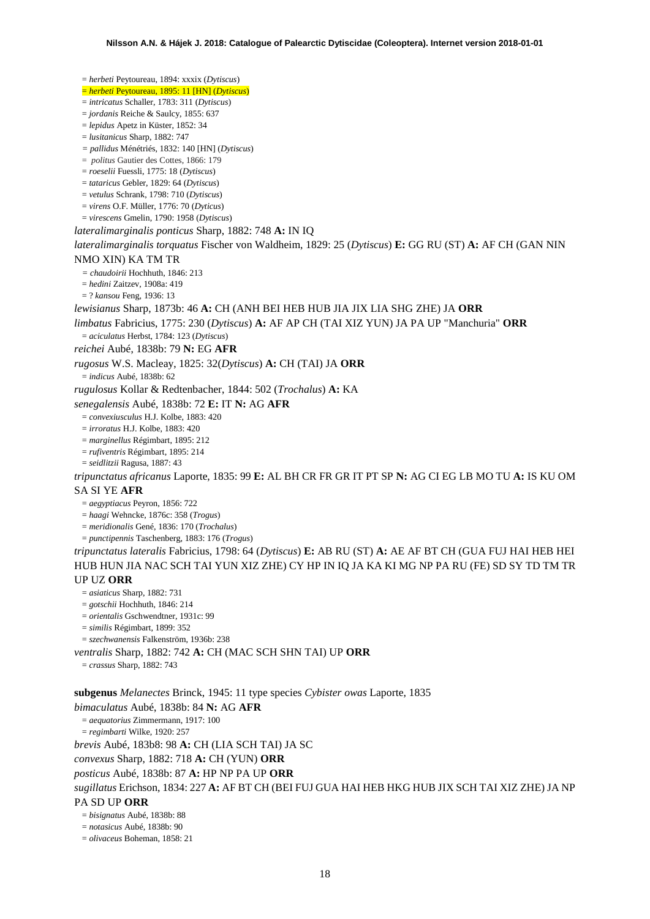= *herbeti* Peytoureau, 1894: xxxix (*Dytiscus*) = *herbeti* Peytoureau, 1895: 11 [HN] (*Dytiscus*) = *intricatus* Schaller, 1783: 311 (*Dytiscus*) = *jordanis* Reiche & Saulcy, 1855: 637 = *lepidus* Apetz in Küster, 1852: 34 = *lusitanicus* Sharp, 1882: 747 *= pallidus* Ménétriés, 1832: 140 [HN] (*Dytiscus*) = *politus* Gautier des Cottes, 1866: 179 = *roeselii* Fuessli, 1775: 18 (*Dytiscus*) = *tataricus* Gebler, 1829: 64 (*Dytiscus*) = *vetulus* Schrank, 1798: 710 (*Dytiscus*) = *virens* O.F. Müller, 1776: 70 (*Dyticus*) = *virescens* Gmelin, 1790: 1958 (*Dytiscus*) *lateralimarginalis ponticus* Sharp, 1882: 748 **A:** IN IQ *lateralimarginalis torquatus* Fischer von Waldheim, 1829: 25 (*Dytiscus*) **E:** GG RU (ST) **A:** AF CH (GAN NIN NMO XIN) KA TM TR *= chaudoirii* Hochhuth, 1846: 213 = *hedini* Zaitzev, 1908a: 419 = ? *kansou* Feng, 1936: 13 *lewisianus* Sharp, 1873b: 46 **A:** CH (ANH BEI HEB HUB JIA JIX LIA SHG ZHE) JA **ORR** *limbatus* Fabricius, 1775: 230 (*Dytiscus*) **A:** AF AP CH (TAI XIZ YUN) JA PA UP "Manchuria" **ORR** = *aciculatus* Herbst, 1784: 123 (*Dytiscus*) *reichei* Aubé, 1838b: 79 **N:** EG **AFR** *rugosus* W.S. Macleay, 1825: 32(*Dytiscus*) **A:** CH (TAI) JA **ORR** = *indicus* Aubé, 1838b: 62 *rugulosus* Kollar & Redtenbacher, 1844: 502 (*Trochalus*) **A:** KA *senegalensis* Aubé, 1838b: 72 **E:** IT **N:** AG **AFR** = *convexiusculus* H.J. Kolbe, 1883: 420 = *irroratus* H.J. Kolbe, 1883: 420 = *marginellus* Régimbart, 1895: 212 = *rufiventris* Régimbart, 1895: 214 = *seidlitzii* Ragusa, 1887: 43 *tripunctatus africanus* Laporte, 1835: 99 **E:** AL BH CR FR GR IT PT SP **N:** AG CI EG LB MO TU **A:** IS KU OM SA SI YE **AFR** = *aegyptiacus* Peyron, 1856: 722 = *haagi* Wehncke, 1876c: 358 (*Trogus*) = *meridionalis* Gené, 1836: 170 (*Trochalus*) = *punctipennis* Taschenberg, 1883: 176 (*Trogus*) *tripunctatus lateralis* Fabricius, 1798: 64 (*Dytiscus*) **E:** AB RU (ST) **A:** AE AF BT CH (GUA FUJ HAI HEB HEI HUB HUN JIA NAC SCH TAI YUN XIZ ZHE) CY HP IN IQ JA KA KI MG NP PA RU (FE) SD SY TD TM TR UP UZ **ORR** = *asiaticus* Sharp, 1882: 731 = *gotschii* Hochhuth, 1846: 214 = *orientalis* Gschwendtner, 1931c: 99 = *similis* Régimbart, 1899: 352 = *szechwanensis* Falkenström, 1936b: 238 *ventralis* Sharp, 1882: 742 **A:** CH (MAC SCH SHN TAI) UP **ORR** = *crassus* Sharp, 1882: 743 **subgenus** *Melanectes* Brinck, 1945: 11 type species *Cybister owas* Laporte, 1835 *bimaculatus* Aubé, 1838b: 84 **N:** AG **AFR** = *aequatorius* Zimmermann, 1917: 100 = *regimbarti* Wilke, 1920: 257 *brevis* Aubé, 183b8: 98 **A:** CH (LIA SCH TAI) JA SC *convexus* Sharp, 1882: 718 **A:** CH (YUN) **ORR** *posticus* Aubé, 1838b: 87 **A:** HP NP PA UP **ORR** *sugillatus* Erichson, 1834: 227 **A:** AF BT CH (BEI FUJ GUA HAI HEB HKG HUB JIX SCH TAI XIZ ZHE) JA NP PA SD UP **ORR** = *bisignatus* Aubé, 1838b: 88

= *notasicus* Aubé, 1838b: 90

= *olivaceus* Boheman, 1858: 21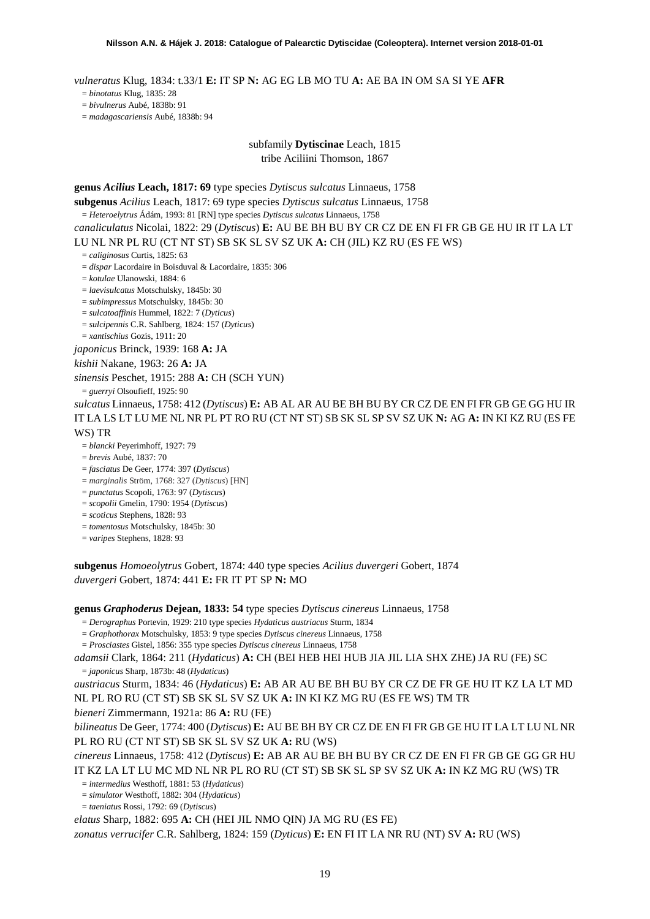*vulneratus* Klug, 1834: t.33/1 **E:** IT SP **N:** AG EG LB MO TU **A:** AE BA IN OM SA SI YE **AFR**

= *binotatus* Klug, 1835: 28

= *bivulnerus* Aubé, 1838b: 91

= *madagascariensis* Aubé, 1838b: 94

# subfamily **Dytiscinae** Leach, 1815

tribe Aciliini Thomson, 1867

**genus** *Acilius* **Leach, 1817: 69** type species *Dytiscus sulcatus* Linnaeus, 1758

**subgenus** *Acilius* Leach, 1817: 69 type species *Dytiscus sulcatus* Linnaeus, 1758

= *Heteroelytrus* Ádám, 1993: 81 [RN] type species *Dytiscus sulcatus* Linnaeus, 1758

*canaliculatus* Nicolai, 1822: 29 (*Dytiscus*) **E:** AU BE BH BU BY CR CZ DE EN FI FR GB GE HU IR IT LA LT LU NL NR PL RU (CT NT ST) SB SK SL SV SZ UK **A:** CH (JIL) KZ RU (ES FE WS)

= *caliginosus* Curtis, 1825: 63

= *dispar* Lacordaire in Boisduval & Lacordaire, 1835: 306

= *kotulae* Ulanowski, 1884: 6

= *laevisulcatus* Motschulsky, 1845b: 30

= *subimpressus* Motschulsky, 1845b: 30

= *sulcatoaffinis* Hummel, 1822: 7 (*Dyticus*)

= *sulcipennis* C.R. Sahlberg, 1824: 157 (*Dyticus*)

= *xantischius* Gozis, 1911: 20

*japonicus* Brinck, 1939: 168 **A:** JA

*kishii* Nakane, 1963: 26 **A:** JA

*sinensis* Peschet, 1915: 288 **A:** CH (SCH YUN)

= *guerryi* Olsoufieff, 1925: 90

*sulcatus* Linnaeus, 1758: 412 (*Dytiscus*) **E:** AB AL AR AU BE BH BU BY CR CZ DE EN FI FR GB GE GG HU IR IT LA LS LT LU ME NL NR PL PT RO RU (CT NT ST) SB SK SL SP SV SZ UK **N:** AG **A:** IN KI KZ RU (ES FE WS) TR

- = *blancki* Peyerimhoff, 1927: 79
- = *brevis* Aubé, 1837: 70

= *fasciatus* De Geer, 1774: 397 (*Dytiscus*)

= *marginalis* Ström, 1768: 327 (*Dytiscus*) [HN]

= *punctatus* Scopoli, 1763: 97 (*Dytiscus*)

= *scopolii* Gmelin, 1790: 1954 (*Dytiscus*)

= *scoticus* Stephens, 1828: 93

= *tomentosus* Motschulsky, 1845b: 30

= *varipes* Stephens, 1828: 93

**subgenus** *Homoeolytrus* Gobert, 1874: 440 type species *Acilius duvergeri* Gobert, 1874 *duvergeri* Gobert, 1874: 441 **E:** FR IT PT SP **N:** MO

**genus** *Graphoderus* **Dejean, 1833: 54** type species *Dytiscus cinereus* Linnaeus, 1758

= *Derographus* Portevin, 1929: 210 type species *Hydaticus austriacus* Sturm, 1834

= *Graphothorax* Motschulsky, 1853: 9 type species *Dytiscus cinereus* Linnaeus, 1758

= *Prosciastes* Gistel, 1856: 355 type species *Dytiscus cinereus* Linnaeus, 1758

*adamsii* Clark, 1864: 211 (*Hydaticus*) **A:** CH (BEI HEB HEI HUB JIA JIL LIA SHX ZHE) JA RU (FE) SC = *japonicus* Sharp, 1873b: 48 (*Hydaticus*)

*austriacus* Sturm, 1834: 46 (*Hydaticus*) **E:** AB AR AU BE BH BU BY CR CZ DE FR GE HU IT KZ LA LT MD NL PL RO RU (CT ST) SB SK SL SV SZ UK **A:** IN KI KZ MG RU (ES FE WS) TM TR

*bieneri* Zimmermann, 1921a: 86 **A:** RU (FE)

*bilineatus* De Geer, 1774: 400 (*Dytiscus*) **E:** AU BE BH BY CR CZ DE EN FI FR GB GE HU IT LA LT LU NL NR PL RO RU (CT NT ST) SB SK SL SV SZ UK **A:** RU (WS)

*cinereus* Linnaeus, 1758: 412 (*Dytiscus*) **E:** AB AR AU BE BH BU BY CR CZ DE EN FI FR GB GE GG GR HU IT KZ LA LT LU MC MD NL NR PL RO RU (CT ST) SB SK SL SP SV SZ UK **A:** IN KZ MG RU (WS) TR

= *intermedius* Westhoff, 1881: 53 (*Hydaticus*)

= *simulator* Westhoff, 1882: 304 (*Hydaticus*)

= *taeniatus* Rossi, 1792: 69 (*Dytiscus*)

*elatus* Sharp, 1882: 695 **A:** CH (HEI JIL NMO QIN) JA MG RU (ES FE)

*zonatus verrucifer* C.R. Sahlberg, 1824: 159 (*Dyticus*) **E:** EN FI IT LA NR RU (NT) SV **A:** RU (WS)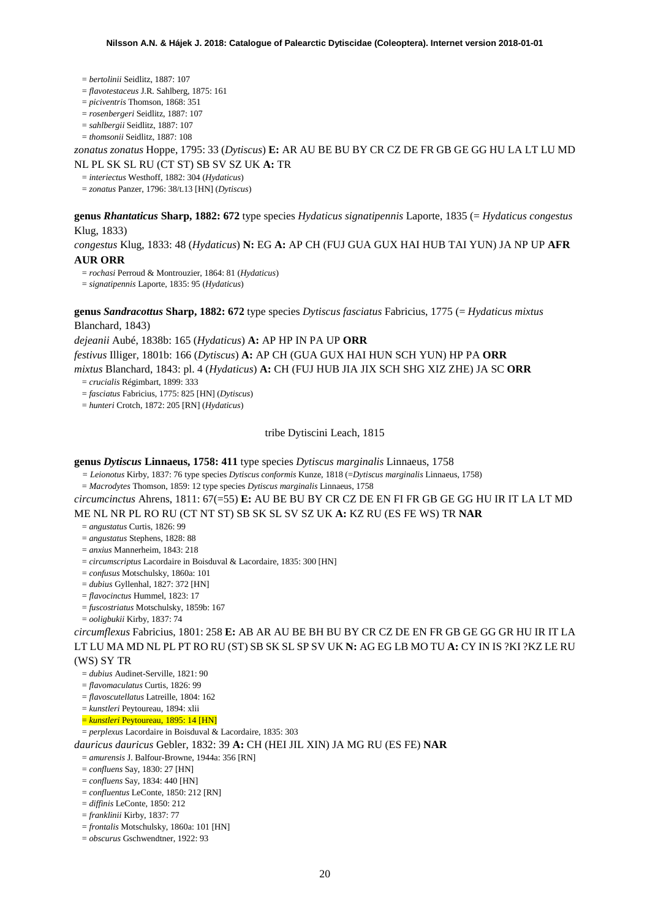#### = *bertolinii* Seidlitz, 1887: 107

- = *flavotestaceus* J.R. Sahlberg, 1875: 161
- = *piciventris* Thomson, 1868: 351
- = *rosenbergeri* Seidlitz, 1887: 107
- = *sahlbergii* Seidlitz, 1887: 107
- = *thomsonii* Seidlitz, 1887: 108

### *zonatus zonatus* Hoppe, 1795: 33 (*Dytiscus*) **E:** AR AU BE BU BY CR CZ DE FR GB GE GG HU LA LT LU MD NL PL SK SL RU (CT ST) SB SV SZ UK **A:** TR

= *interiectus* Westhoff, 1882: 304 (*Hydaticus*)

= *zonatus* Panzer, 1796: 38/t.13 [HN] (*Dytiscus*)

### **genus** *Rhantaticus* **Sharp, 1882: 672** type species *Hydaticus signatipennis* Laporte, 1835 (= *Hydaticus congestus*  Klug, 1833)

*congestus* Klug, 1833: 48 (*Hydaticus*) **N:** EG **A:** AP CH (FUJ GUA GUX HAI HUB TAI YUN) JA NP UP **AFR AUR ORR**

= *rochasi* Perroud & Montrouzier, 1864: 81 (*Hydaticus*)

= *signatipennis* Laporte, 1835: 95 (*Hydaticus*)

**genus** *Sandracottus* **Sharp, 1882: 672** type species *Dytiscus fasciatus* Fabricius, 1775 (= *Hydaticus mixtus* Blanchard, 1843)

*dejeanii* Aubé, 1838b: 165 (*Hydaticus*) **A:** AP HP IN PA UP **ORR**

*festivus* Illiger, 1801b: 166 (*Dytiscus*) **A:** AP CH (GUA GUX HAI HUN SCH YUN) HP PA **ORR**

*mixtus* Blanchard, 1843: pl. 4 (*Hydaticus*) **A:** CH (FUJ HUB JIA JIX SCH SHG XIZ ZHE) JA SC **ORR**

= *crucialis* Régimbart, 1899: 333

= *fasciatus* Fabricius, 1775: 825 [HN] (*Dytiscus*)

= *hunteri* Crotch, 1872: 205 [RN] (*Hydaticus*)

tribe Dytiscini Leach, 1815

### **genus** *Dytiscus* **Linnaeus, 1758: 411** type species *Dytiscus marginalis* Linnaeus, 1758

*= Leionotus* Kirby, 1837: 76 type species *Dytiscus conformis* Kunze, 1818 (=*Dytiscus marginalis* Linnaeus, 1758)

= *Macrodytes* Thomson, 1859: 12 type species *Dytiscus marginalis* Linnaeus, 1758

*circumcinctus* Ahrens, 1811: 67(=55) **E:** AU BE BU BY CR CZ DE EN FI FR GB GE GG HU IR IT LA LT MD ME NL NR PL RO RU (CT NT ST) SB SK SL SV SZ UK **A:** KZ RU (ES FE WS) TR **NAR**

= *angustatus* Curtis, 1826: 99

= *angustatus* Stephens, 1828: 88

= *anxius* Mannerheim, 1843: 218

= *circumscriptus* Lacordaire in Boisduval & Lacordaire, 1835: 300 [HN]

= *confusus* Motschulsky, 1860a: 101

= *dubius* Gyllenhal, 1827: 372 [HN]

= *flavocinctus* Hummel, 1823: 17

= *fuscostriatus* Motschulsky, 1859b: 167

= *ooligbukii* Kirby, 1837: 74

*circumflexus* Fabricius, 1801: 258 **E:** AB AR AU BE BH BU BY CR CZ DE EN FR GB GE GG GR HU IR IT LA LT LU MA MD NL PL PT RO RU (ST) SB SK SL SP SV UK **N:** AG EG LB MO TU **A:** CY IN IS ?KI ?KZ LE RU

### (WS) SY TR

= *dubius* Audinet-Serville, 1821: 90

= *flavomaculatus* Curtis, 1826: 99

= *flavoscutellatus* Latreille, 1804: 162

= *kunstleri* Peytoureau, 1894: xlii

= *kunstleri* Peytoureau, 1895: 14 [HN]

= *perplexus* Lacordaire in Boisduval & Lacordaire, 1835: 303

*dauricus dauricus* Gebler, 1832: 39 **A:** CH (HEI JIL XIN) JA MG RU (ES FE) **NAR**

= *amurensis* J. Balfour-Browne, 1944a: 356 [RN]

= *confluens* Say, 1830: 27 [HN]

= *confluens* Say, 1834: 440 [HN]

- = *confluentus* LeConte, 1850: 212 [RN]
- = *diffinis* LeConte, 1850: 212
- = *franklinii* Kirby, 1837: 77
- = *frontalis* Motschulsky, 1860a: 101 [HN]
- = *obscurus* Gschwendtner, 1922: 93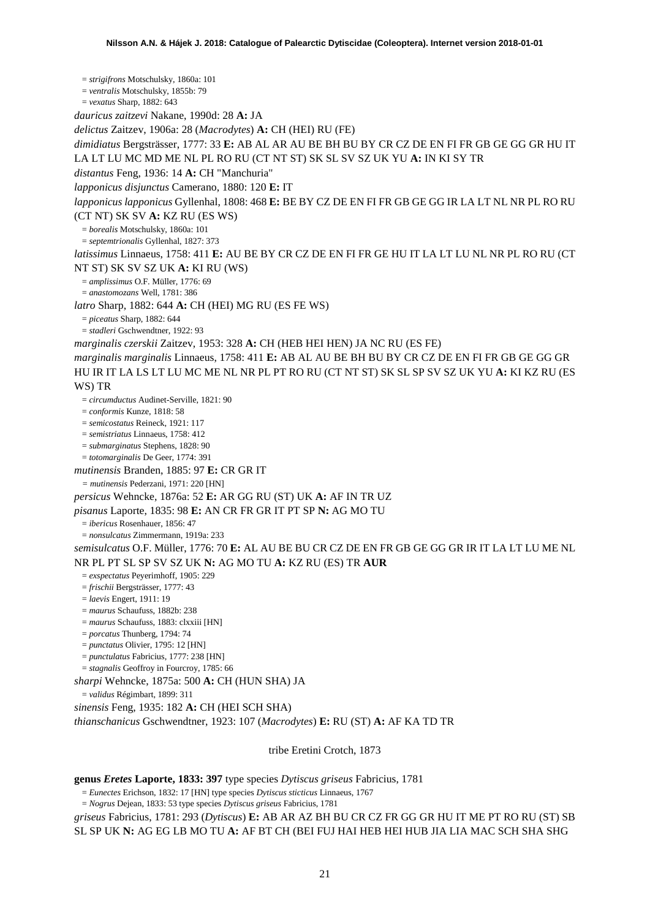= *strigifrons* Motschulsky, 1860a: 101 = *ventralis* Motschulsky, 1855b: 79 = *vexatus* Sharp, 1882: 643 *dauricus zaitzevi* Nakane, 1990d: 28 **A:** JA *delictus* Zaitzev, 1906a: 28 (*Macrodytes*) **A:** CH (HEI) RU (FE) *dimidiatus* Bergsträsser, 1777: 33 **E:** AB AL AR AU BE BH BU BY CR CZ DE EN FI FR GB GE GG GR HU IT LA LT LU MC MD ME NL PL RO RU (CT NT ST) SK SL SV SZ UK YU **A:** IN KI SY TR *distantus* Feng, 1936: 14 **A:** CH "Manchuria" *lapponicus disjunctus* Camerano, 1880: 120 **E:** IT *lapponicus lapponicus* Gyllenhal, 1808: 468 **E:** BE BY CZ DE EN FI FR GB GE GG IR LA LT NL NR PL RO RU (CT NT) SK SV **A:** KZ RU (ES WS) = *borealis* Motschulsky, 1860a: 101 = *septemtrionalis* Gyllenhal, 1827: 373 *latissimus* Linnaeus, 1758: 411 **E:** AU BE BY CR CZ DE EN FI FR GE HU IT LA LT LU NL NR PL RO RU (CT NT ST) SK SV SZ UK **A:** KI RU (WS) = *amplissimus* O.F. Müller, 1776: 69 = *anastomozans* Well, 1781: 386 *latro* Sharp, 1882: 644 **A:** CH (HEI) MG RU (ES FE WS) = *piceatus* Sharp, 1882: 644 = *stadleri* Gschwendtner, 1922: 93 *marginalis czerskii* Zaitzev, 1953: 328 **A:** CH (HEB HEI HEN) JA NC RU (ES FE) *marginalis marginalis* Linnaeus, 1758: 411 **E:** AB AL AU BE BH BU BY CR CZ DE EN FI FR GB GE GG GR HU IR IT LA LS LT LU MC ME NL NR PL PT RO RU (CT NT ST) SK SL SP SV SZ UK YU **A:** KI KZ RU (ES WS) TR = *circumductus* Audinet-Serville, 1821: 90 = *conformis* Kunze, 1818: 58 = *semicostatus* Reineck, 1921: 117 = *semistriatus* Linnaeus, 1758: 412 = *submarginatus* Stephens, 1828: 90 = *totomarginalis* De Geer, 1774: 391 *mutinensis* Branden, 1885: 97 **E:** CR GR IT *= mutinensis* Pederzani, 1971: 220 [HN] *persicus* Wehncke, 1876a: 52 **E:** AR GG RU (ST) UK **A:** AF IN TR UZ *pisanus* Laporte, 1835: 98 **E:** AN CR FR GR IT PT SP **N:** AG MO TU = *ibericus* Rosenhauer, 1856: 47 = *nonsulcatus* Zimmermann, 1919a: 233 *semisulcatus* O.F. Müller, 1776: 70 **E:** AL AU BE BU CR CZ DE EN FR GB GE GG GR IR IT LA LT LU ME NL NR PL PT SL SP SV SZ UK **N:** AG MO TU **A:** KZ RU (ES) TR **AUR** = *exspectatus* Peyerimhoff, 1905: 229 = *frischii* Bergsträsser, 1777: 43 = *laevis* Engert, 1911: 19 = *maurus* Schaufuss, 1882b: 238 = *maurus* Schaufuss, 1883: clxxiii [HN] = *porcatus* Thunberg, 1794: 74 = *punctatus* Olivier, 1795: 12 [HN] = *punctulatus* Fabricius, 1777: 238 [HN] = *stagnalis* Geoffroy in Fourcroy, 1785: 66 *sharpi* Wehncke, 1875a: 500 **A:** CH (HUN SHA) JA = *validus* Régimbart, 1899: 311 *sinensis* Feng, 1935: 182 **A:** CH (HEI SCH SHA) *thianschanicus* Gschwendtner, 1923: 107 (*Macrodytes*) **E:** RU (ST) **A:** AF KA TD TR tribe Eretini Crotch, 1873

**genus** *Eretes* **Laporte, 1833: 397** type species *Dytiscus griseus* Fabricius, 1781

= *Eunectes* Erichson, 1832: 17 [HN] type species *Dytiscus sticticus* Linnaeus, 1767

= *Nogrus* Dejean, 1833: 53 type species *Dytiscus griseus* Fabricius, 1781

*griseus* Fabricius, 1781: 293 (*Dytiscus*) **E:** AB AR AZ BH BU CR CZ FR GG GR HU IT ME PT RO RU (ST) SB SL SP UK **N:** AG EG LB MO TU **A:** AF BT CH (BEI FUJ HAI HEB HEI HUB JIA LIA MAC SCH SHA SHG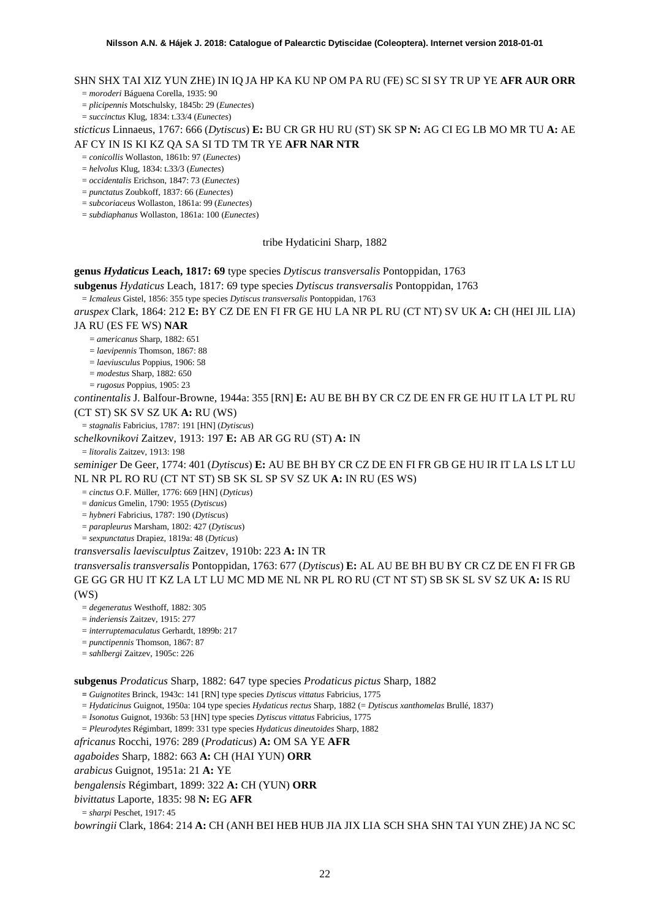# SHN SHX TAI XIZ YUN ZHE) IN IQ JA HP KA KU NP OM PA RU (FE) SC SI SY TR UP YE **AFR AUR ORR**

= *moroderi* Báguena Corella, 1935: 90

= *plicipennis* Motschulsky, 1845b: 29 (*Eunectes*)

= *succinctus* Klug, 1834: t.33/4 (*Eunectes*)

*sticticus* Linnaeus, 1767: 666 (*Dytiscus*) **E:** BU CR GR HU RU (ST) SK SP **N:** AG CI EG LB MO MR TU **A:** AE AF CY IN IS KI KZ QA SA SI TD TM TR YE **AFR NAR NTR**

= *conicollis* Wollaston, 1861b: 97 (*Eunectes*)

= *helvolus* Klug, 1834: t.33/3 (*Eunectes*)

= *occidentalis* Erichson, 1847: 73 (*Eunectes*)

= *punctatus* Zoubkoff, 1837: 66 (*Eunectes*)

= *subcoriaceus* Wollaston, 1861a: 99 (*Eunectes*)

= *subdiaphanus* Wollaston, 1861a: 100 (*Eunectes*)

#### tribe Hydaticini Sharp, 1882

**genus** *Hydaticus* **Leach, 1817: 69** type species *Dytiscus transversalis* Pontoppidan, 1763

**subgenus** *Hydaticus* Leach, 1817: 69 type species *Dytiscus transversalis* Pontoppidan, 1763

= *Icmaleus* Gistel, 1856: 355 type species *Dytiscus transversalis* Pontoppidan, 1763

*aruspex* Clark, 1864: 212 **E:** BY CZ DE EN FI FR GE HU LA NR PL RU (CT NT) SV UK **A:** CH (HEI JIL LIA)

JA RU (ES FE WS) **NAR**

= *americanus* Sharp, 1882: 651

= *laevipennis* Thomson, 1867: 88

= *laeviusculus* Poppius, 1906: 58

= *modestus* Sharp, 1882: 650

= *rugosus* Poppius, 1905: 23

*continentalis* J. Balfour-Browne, 1944a: 355 [RN] **E:** AU BE BH BY CR CZ DE EN FR GE HU IT LA LT PL RU

(CT ST) SK SV SZ UK **A:** RU (WS)

= *stagnalis* Fabricius, 1787: 191 [HN] (*Dytiscus*)

*schelkovnikovi* Zaitzev, 1913: 197 **E:** AB AR GG RU (ST) **A:** IN

= *litoralis* Zaitzev, 1913: 198

*seminiger* De Geer, 1774: 401 (*Dytiscus*) **E:** AU BE BH BY CR CZ DE EN FI FR GB GE HU IR IT LA LS LT LU NL NR PL RO RU (CT NT ST) SB SK SL SP SV SZ UK **A:** IN RU (ES WS)

= *cinctus* O.F. Müller, 1776: 669 [HN] (*Dyticus*)

= *danicus* Gmelin, 1790: 1955 (*Dytiscus*)

= *hybneri* Fabricius, 1787: 190 (*Dytiscus*)

= *parapleurus* Marsham, 1802: 427 (*Dytiscus*)

= *sexpunctatus* Drapiez, 1819a: 48 (*Dyticus*)

*transversalis laevisculptus* Zaitzev, 1910b: 223 **A:** IN TR

*transversalis transversalis* Pontoppidan, 1763: 677 (*Dytiscus*) **E:** AL AU BE BH BU BY CR CZ DE EN FI FR GB GE GG GR HU IT KZ LA LT LU MC MD ME NL NR PL RO RU (CT NT ST) SB SK SL SV SZ UK **A:** IS RU (WS)

= *degeneratus* Westhoff, 1882: 305

= *inderiensis* Zaitzev, 1915: 277

= *interruptemaculatus* Gerhardt, 1899b: 217

= *punctipennis* Thomson, 1867: 87

= *sahlbergi* Zaitzev, 1905c: 226

**subgenus** *Prodaticus* Sharp, 1882: 647 type species *Prodaticus pictus* Sharp, 1882

**=** *Guignotites* Brinck, 1943c: 141 [RN] type species *Dytiscus vittatus* Fabricius, 1775

= *Hydaticinus* Guignot, 1950a: 104 type species *Hydaticus rectus* Sharp, 1882 (= *Dytiscus xanthomelas* Brullé, 1837)

= *Isonotus* Guignot, 1936b: 53 [HN] type species *Dytiscus vittatus* Fabricius, 1775

= *Pleurodytes* Régimbart, 1899: 331 type species *Hydaticus dineutoides* Sharp, 1882

*africanus* Rocchi, 1976: 289 (*Prodaticus*) **A:** OM SA YE **AFR**

*agaboides* Sharp, 1882: 663 **A:** CH (HAI YUN) **ORR**

*arabicus* Guignot, 1951a: 21 **A:** YE

*bengalensis* Régimbart, 1899: 322 **A:** CH (YUN) **ORR**

*bivittatus* Laporte, 1835: 98 **N:** EG **AFR**

= *sharpi* Peschet, 1917: 45

*bowringii* Clark, 1864: 214 **A:** CH (ANH BEI HEB HUB JIA JIX LIA SCH SHA SHN TAI YUN ZHE) JA NC SC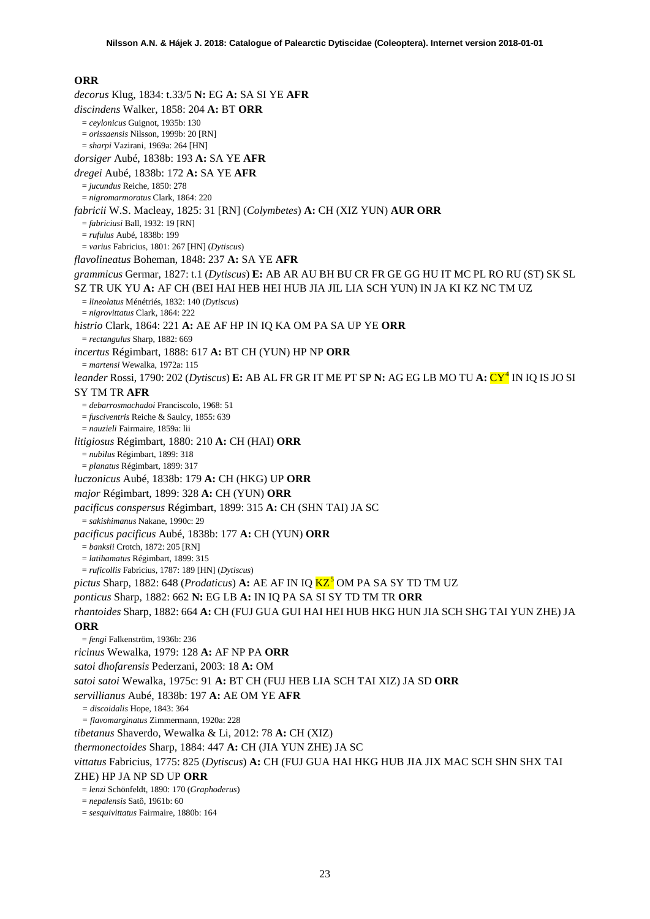### **ORR**

<span id="page-22-0"></span>*decorus* Klug, 1834: t.33/5 **N:** EG **A:** SA SI YE **AFR** *discindens* Walker, 1858: 204 **A:** BT **ORR** = *ceylonicus* Guignot, 1935b: 130 = *orissaensis* Nilsson, 1999b: 20 [RN] = *sharpi* Vazirani, 1969a: 264 [HN] *dorsiger* Aubé, 1838b: 193 **A:** SA YE **AFR** *dregei* Aubé, 1838b: 172 **A:** SA YE **AFR** = *jucundus* Reiche, 1850: 278 = *nigromarmoratus* Clark, 1864: 220 *fabricii* W.S. Macleay, 1825: 31 [RN] (*Colymbetes*) **A:** CH (XIZ YUN) **AUR ORR** = *fabriciusi* Ball, 1932: 19 [RN] = *rufulus* Aubé, 1838b: 199 = *varius* Fabricius, 1801: 267 [HN] (*Dytiscus*) *flavolineatus* Boheman, 1848: 237 **A:** SA YE **AFR** *grammicus* Germar, 1827: t.1 (*Dytiscus*) **E:** AB AR AU BH BU CR FR GE GG HU IT MC PL RO RU (ST) SK SL SZ TR UK YU **A:** AF CH (BEI HAI HEB HEI HUB JIA JIL LIA SCH YUN) IN JA KI KZ NC TM UZ = *lineolatus* Ménétriés, 1832: 140 (*Dytiscus*) = *nigrovittatus* Clark, 1864: 222 *histrio* Clark, 1864: 221 **A:** AE AF HP IN IQ KA OM PA SA UP YE **ORR** = *rectangulus* Sharp, 1882: 669 *incertus* Régimbart, 1888: 617 **A:** BT CH (YUN) HP NP **ORR** = *martensi* Wewalka, 1972a: 115 *leander* Rossi, 1790: 202 (*Dytiscus*) **E:** AB AL FR GR IT ME PT SP **N:** AG EG LB MO TU **A:** CY[4](#page-51-1) IN IQ IS JO SI SY TM TR **AFR** = *debarrosmachadoi* Franciscolo, 1968: 51 = *fusciventris* Reiche & Saulcy, 1855: 639 = *nauzieli* Fairmaire, 1859a: lii *litigiosus* Régimbart, 1880: 210 **A:** CH (HAI) **ORR** = *nubilus* Régimbart, 1899: 318 = *planatus* Régimbart, 1899: 317 *luczonicus* Aubé, 1838b: 179 **A:** CH (HKG) UP **ORR** *major* Régimbart, 1899: 328 **A:** CH (YUN) **ORR** *pacificus conspersus* Régimbart, 1899: 315 **A:** CH (SHN TAI) JA SC = *sakishimanus* Nakane, 1990c: 29 *pacificus pacificus* Aubé, 1838b: 177 **A:** CH (YUN) **ORR** = *banksii* Crotch, 1872: 205 [RN] = *latihamatus* Régimbart, 1899: 315 = *ruficollis* Fabricius, 1787: 189 [HN] (*Dytiscus*) *pictus* Sharp, 1882: 648 (*Prodaticus*) **A:** AE AF IN IQ  $KZ^5$  $KZ^5$  OM PA SA SY TD TM UZ *ponticus* Sharp, 1882: 662 **N:** EG LB **A:** IN IQ PA SA SI SY TD TM TR **ORR** *rhantoides* Sharp, 1882: 664 **A:** CH (FUJ GUA GUI HAI HEI HUB HKG HUN JIA SCH SHG TAI YUN ZHE) JA **ORR** = *fengi* Falkenström, 1936b: 236 *ricinus* Wewalka, 1979: 128 **A:** AF NP PA **ORR** *satoi dhofarensis* Pederzani, 2003: 18 **A:** OM *satoi satoi* Wewalka, 1975c: 91 **A:** BT CH (FUJ HEB LIA SCH TAI XIZ) JA SD **ORR** *servillianus* Aubé, 1838b: 197 **A:** AE OM YE **AFR** *= discoidalis* Hope, 1843: 364 *= flavomarginatus* Zimmermann, 1920a: 228 *tibetanus* Shaverdo, Wewalka & Li, 2012: 78 **A:** CH (XIZ) *thermonectoides* Sharp, 1884: 447 **A:** CH (JIA YUN ZHE) JA SC *vittatus* Fabricius, 1775: 825 (*Dytiscus*) **A:** CH (FUJ GUA HAI HKG HUB JIA JIX MAC SCH SHN SHX TAI ZHE) HP JA NP SD UP **ORR** = *lenzi* Schönfeldt, 1890: 170 (*Graphoderus*) = *nepalensis* Satô, 1961b: 60 = *sesquivittatus* Fairmaire, 1880b: 164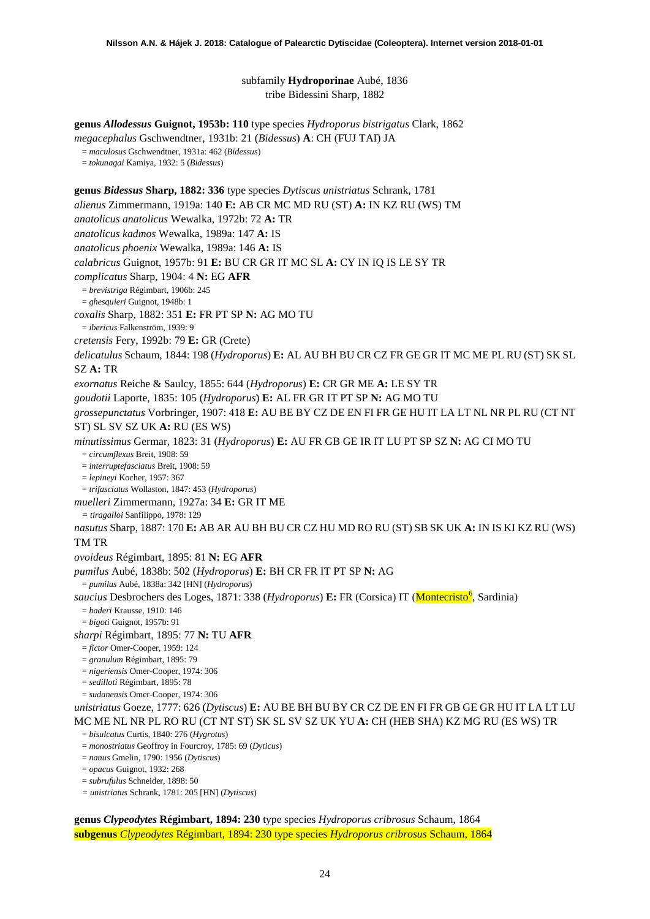subfamily **Hydroporinae** Aubé, 1836 tribe Bidessini Sharp, 1882

**genus** *Allodessus* **Guignot, 1953b: 110** type species *Hydroporus bistrigatus* Clark, 1862

*megacephalus* Gschwendtner, 1931b: 21 (*Bidessus*) **A**: CH (FUJ TAI) JA

= *maculosus* Gschwendtner, 1931a: 462 (*Bidessus*)

= *tokunagai* Kamiya, 1932: 5 (*Bidessus*)

**genus** *Bidessus* **Sharp, 1882: 336** type species *Dytiscus unistriatus* Schrank, 1781

*alienus* Zimmermann, 1919a: 140 **E:** AB CR MC MD RU (ST) **A:** IN KZ RU (WS) TM

*anatolicus anatolicus* Wewalka, 1972b: 72 **A:** TR

*anatolicus kadmos* Wewalka, 1989a: 147 **A:** IS

*anatolicus phoenix* Wewalka, 1989a: 146 **A:** IS

*calabricus* Guignot, 1957b: 91 **E:** BU CR GR IT MC SL **A:** CY IN IQ IS LE SY TR

*complicatus* Sharp, 1904: 4 **N:** EG **AFR**

= *brevistriga* Régimbart, 1906b: 245

= *ghesquieri* Guignot, 1948b: 1

*coxalis* Sharp, 1882: 351 **E:** FR PT SP **N:** AG MO TU

= *ibericus* Falkenström, 1939: 9

*cretensis* Fery, 1992b: 79 **E:** GR (Crete)

*delicatulus* Schaum, 1844: 198 (*Hydroporus*) **E:** AL AU BH BU CR CZ FR GE GR IT MC ME PL RU (ST) SK SL SZ **A:** TR

*exornatus* Reiche & Saulcy, 1855: 644 (*Hydroporus*) **E:** CR GR ME **A:** LE SY TR

*goudotii* Laporte, 1835: 105 (*Hydroporus*) **E:** AL FR GR IT PT SP **N:** AG MO TU

*grossepunctatus* Vorbringer, 1907: 418 **E:** AU BE BY CZ DE EN FI FR GE HU IT LA LT NL NR PL RU (CT NT ST) SL SV SZ UK **A:** RU (ES WS)

*minutissimus* Germar, 1823: 31 (*Hydroporus*) **E:** AU FR GB GE IR IT LU PT SP SZ **N:** AG CI MO TU

= *circumflexus* Breit, 1908: 59

= *interruptefasciatus* Breit, 1908: 59

= *lepineyi* Kocher, 1957: 367

= *trifasciatus* Wollaston, 1847: 453 (*Hydroporus*)

*muelleri* Zimmermann, 1927a: 34 **E:** GR IT ME

*= tiragalloi* Sanfilippo, 1978: 129

*nasutus* Sharp, 1887: 170 **E:** AB AR AU BH BU CR CZ HU MD RO RU (ST) SB SK UK **A:** IN IS KI KZ RU (WS) TM TR

*ovoideus* Régimbart, 1895: 81 **N:** EG **AFR**

*pumilus* Aubé, 1838b: 502 (*Hydroporus*) **E:** BH CR FR IT PT SP **N:** AG

= *pumilus* Aubé, 1838a: 342 [HN] (*Hydroporus*)

saucius Desbrochers des Loges, 1871: 338 (Hydroporus) E: FR (Corsica) IT (<mark>Montecristo<sup>[6](#page-51-3)</sup>, Sardinia</mark>)

= *baderi* Krausse, 1910: 146

= *bigoti* Guignot, 1957b: 91

*sharpi* Régimbart, 1895: 77 **N:** TU **AFR**

= *fictor* Omer-Cooper, 1959: 124

= *granulum* Régimbart, 1895: 79

= *nigeriensis* Omer-Cooper, 1974: 306

= *sedilloti* Régimbart, 1895: 78

= *sudanensis* Omer-Cooper, 1974: 306

*unistriatus* Goeze, 1777: 626 (*Dytiscus*) **E:** AU BE BH BU BY CR CZ DE EN FI FR GB GE GR HU IT LA LT LU MC ME NL NR PL RO RU (CT NT ST) SK SL SV SZ UK YU **A:** CH (HEB SHA) KZ MG RU (ES WS) TR

= *bisulcatus* Curtis, 1840: 276 (*Hygrotus*)

= *monostriatus* Geoffroy in Fourcroy, 1785: 69 (*Dyticus*)

= *nanus* Gmelin, 1790: 1956 (*Dytiscus*)

= *opacus* Guignot, 1932: 268

= *subrufulus* Schneider, 1898: 50

*= unistriatus* Schrank, 1781: 205 [HN] (*Dytiscus*)

**genus** *Clypeodytes* **Régimbart, 1894: 230** type species *Hydroporus cribrosus* Schaum, 1864 **subgenus** *Clypeodytes* Régimbart, 1894: 230 type species *Hydroporus cribrosus* Schaum, 1864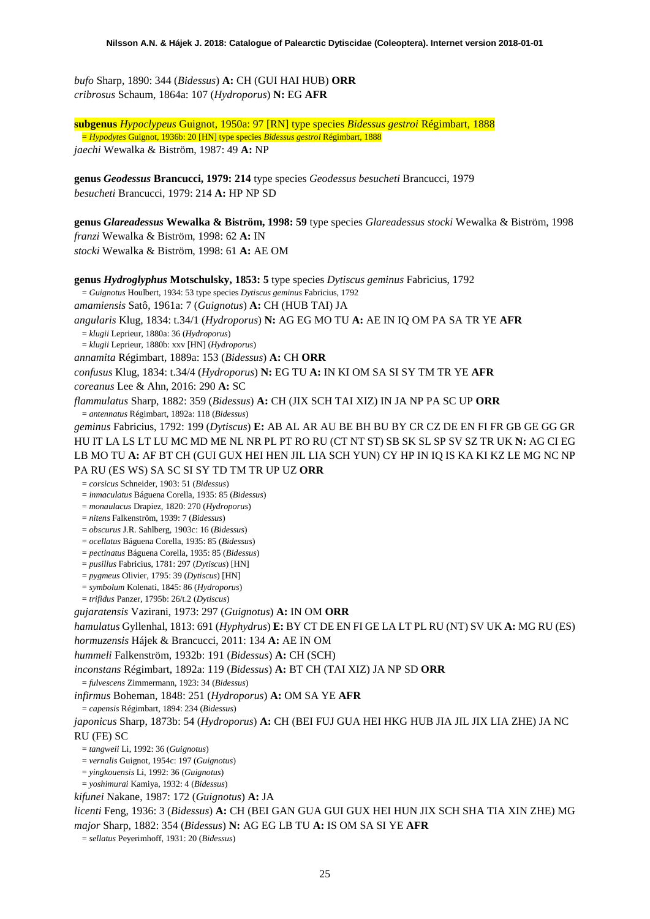*bufo* Sharp, 1890: 344 (*Bidessus*) **A:** CH (GUI HAI HUB) **ORR** *cribrosus* Schaum, 1864a: 107 (*Hydroporus*) **N:** EG **AFR**

**subgenus** *Hypoclypeus* Guignot, 1950a: 97 [RN] type species *Bidessus gestroi* Régimbart, 1888 = *Hypodytes* Guignot, 1936b: 20 [HN] type species *Bidessus gestroi* Régimbart, 1888 *jaechi* Wewalka & Biström, 1987: 49 **A:** NP

**genus** *Geodessus* **Brancucci, 1979: 214** type species *Geodessus besucheti* Brancucci, 1979 *besucheti* Brancucci, 1979: 214 **A:** HP NP SD

**genus** *Glareadessus* **Wewalka & Biström, 1998: 59** type species *Glareadessus stocki* Wewalka & Biström, 1998 *franzi* Wewalka & Biström, 1998: 62 **A:** IN *stocki* Wewalka & Biström, 1998: 61 **A:** AE OM

**genus** *Hydroglyphus* **Motschulsky, 1853: 5** type species *Dytiscus geminus* Fabricius, 1792 = *Guignotus* Houlbert, 1934: 53 type species *Dytiscus geminus* Fabricius, 1792 *amamiensis* Satô, 1961a: 7 (*Guignotus*) **A:** CH (HUB TAI) JA *angularis* Klug, 1834: t.34/1 (*Hydroporus*) **N:** AG EG MO TU **A:** AE IN IQ OM PA SA TR YE **AFR** = *klugii* Leprieur, 1880a: 36 (*Hydroporus*) = *klugii* Leprieur, 1880b: xxv [HN] (*Hydroporus*) *annamita* Régimbart, 1889a: 153 (*Bidessus*) **A:** CH **ORR** *confusus* Klug, 1834: t.34/4 (*Hydroporus*) **N:** EG TU **A:** IN KI OM SA SI SY TM TR YE **AFR** *coreanus* Lee & Ahn, 2016: 290 **A:** SC *flammulatus* Sharp, 1882: 359 (*Bidessus*) **A:** CH (JIX SCH TAI XIZ) IN JA NP PA SC UP **ORR** = *antennatus* Régimbart, 1892a: 118 (*Bidessus*) *geminus* Fabricius, 1792: 199 (*Dytiscus*) **E:** AB AL AR AU BE BH BU BY CR CZ DE EN FI FR GB GE GG GR HU IT LA LS LT LU MC MD ME NL NR PL PT RO RU (CT NT ST) SB SK SL SP SV SZ TR UK **N:** AG CI EG LB MO TU **A:** AF BT CH (GUI GUX HEI HEN JIL LIA SCH YUN) CY HP IN IQ IS KA KI KZ LE MG NC NP PA RU (ES WS) SA SC SI SY TD TM TR UP UZ **ORR** = *corsicus* Schneider, 1903: 51 (*Bidessus*) = *inmaculatus* Báguena Corella, 1935: 85 (*Bidessus*) = *monaulacus* Drapiez, 1820: 270 (*Hydroporus*) = *nitens* Falkenström, 1939: 7 (*Bidessus*) = *obscurus* J.R. Sahlberg, 1903c: 16 (*Bidessus*) = *ocellatus* Báguena Corella, 1935: 85 (*Bidessus*) = *pectinatus* Báguena Corella, 1935: 85 (*Bidessus*) = *pusillus* Fabricius, 1781: 297 (*Dytiscus*) [HN] = *pygmeus* Olivier, 1795: 39 (*Dytiscus*) [HN] = *symbolum* Kolenati, 1845: 86 (*Hydroporus*) = *trifidus* Panzer, 1795b: 26/t.2 (*Dytiscus*) *gujaratensis* Vazirani, 1973: 297 (*Guignotus*) **A:** IN OM **ORR** *hamulatus* Gyllenhal, 1813: 691 (*Hyphydrus*) **E:** BY CT DE EN FI GE LA LT PL RU (NT) SV UK **A:** MG RU (ES) *hormuzensis* Hájek & Brancucci, 2011: 134 **A:** AE IN OM *hummeli* Falkenström, 1932b: 191 (*Bidessus*) **A:** CH (SCH) *inconstans* Régimbart, 1892a: 119 (*Bidessus*) **A:** BT CH (TAI XIZ) JA NP SD **ORR** = *fulvescens* Zimmermann, 1923: 34 (*Bidessus*) *infirmus* Boheman, 1848: 251 (*Hydroporus*) **A:** OM SA YE **AFR** = *capensis* Régimbart, 1894: 234 (*Bidessus*) *japonicus* Sharp, 1873b: 54 (*Hydroporus*) **A:** CH (BEI FUJ GUA HEI HKG HUB JIA JIL JIX LIA ZHE) JA NC RU (FE) SC = *tangweii* Li, 1992: 36 (*Guignotus*) = *vernalis* Guignot, 1954c: 197 (*Guignotus*) = *yingkouensis* Li, 1992: 36 (*Guignotus*) = *yoshimurai* Kamiya, 1932: 4 (*Bidessus*) *kifunei* Nakane, 1987: 172 (*Guignotus*) **A:** JA *licenti* Feng, 1936: 3 (*Bidessus*) **A:** CH (BEI GAN GUA GUI GUX HEI HUN JIX SCH SHA TIA XIN ZHE) MG *major* Sharp, 1882: 354 (*Bidessus*) **N:** AG EG LB TU **A:** IS OM SA SI YE **AFR** = *sellatus* Peyerimhoff, 1931: 20 (*Bidessus*)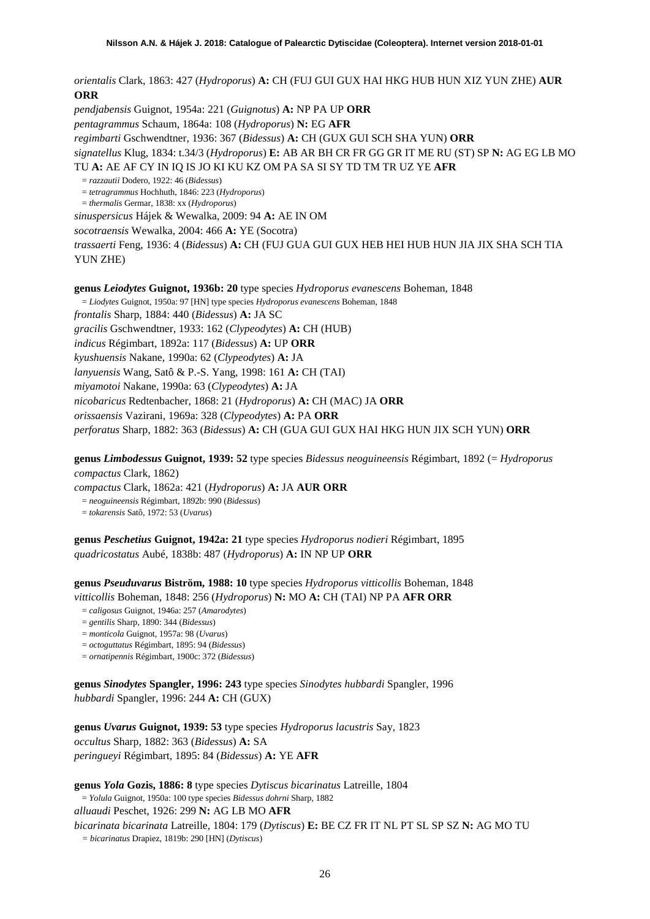*orientalis* Clark, 1863: 427 (*Hydroporus*) **A:** CH (FUJ GUI GUX HAI HKG HUB HUN XIZ YUN ZHE) **AUR ORR**

*pendjabensis* Guignot, 1954a: 221 (*Guignotus*) **A:** NP PA UP **ORR** *pentagrammus* Schaum, 1864a: 108 (*Hydroporus*) **N:** EG **AFR** *regimbarti* Gschwendtner, 1936: 367 (*Bidessus*) **A:** CH (GUX GUI SCH SHA YUN) **ORR** *signatellus* Klug, 1834: t.34/3 (*Hydroporus*) **E:** AB AR BH CR FR GG GR IT ME RU (ST) SP **N:** AG EG LB MO TU **A:** AE AF CY IN IQ IS JO KI KU KZ OM PA SA SI SY TD TM TR UZ YE **AFR**  = *razzautii* Dodero, 1922: 46 (*Bidessus*) = *tetragrammus* Hochhuth, 1846: 223 (*Hydroporus*) = *thermalis* Germar, 1838: xx (*Hydroporus*) *sinuspersicus* Hájek & Wewalka, 2009: 94 **A:** AE IN OM *socotraensis* Wewalka, 2004: 466 **A:** YE (Socotra) *trassaerti* Feng, 1936: 4 (*Bidessus*) **A:** CH (FUJ GUA GUI GUX HEB HEI HUB HUN JIA JIX SHA SCH TIA YUN ZHE)

**genus** *Leiodytes* **Guignot, 1936b: 20** type species *Hydroporus evanescens* Boheman, 1848

= *Liodytes* Guignot, 1950a: 97 [HN] type species *Hydroporus evanescens* Boheman, 1848

*frontalis* Sharp, 1884: 440 (*Bidessus*) **A:** JA SC

*gracilis* Gschwendtner, 1933: 162 (*Clypeodytes*) **A:** CH (HUB)

*indicus* Régimbart, 1892a: 117 (*Bidessus*) **A:** UP **ORR**

*kyushuensis* Nakane, 1990a: 62 (*Clypeodytes*) **A:** JA

*lanyuensis* Wang, Satô & P.-S. Yang, 1998: 161 **A:** CH (TAI)

*miyamotoi* Nakane, 1990a: 63 (*Clypeodytes*) **A:** JA

*nicobaricus* Redtenbacher, 1868: 21 (*Hydroporus*) **A:** CH (MAC) JA **ORR**

*orissaensis* Vazirani, 1969a: 328 (*Clypeodytes*) **A:** PA **ORR**

*perforatus* Sharp, 1882: 363 (*Bidessus*) **A:** CH (GUA GUI GUX HAI HKG HUN JIX SCH YUN) **ORR**

**genus** *Limbodessus* **Guignot, 1939: 52** type species *Bidessus neoguineensis* Régimbart, 1892 (= *Hydroporus compactus* Clark, 1862)

*compactus* Clark, 1862a: 421 (*Hydroporus*) **A:** JA **AUR ORR**

= *neoguineensis* Régimbart, 1892b: 990 (*Bidessus*)

= *tokarensis* Satô, 1972: 53 (*Uvarus*)

**genus** *Peschetius* **Guignot, 1942a: 21** type species *Hydroporus nodieri* Régimbart, 1895 *quadricostatus* Aubé, 1838b: 487 (*Hydroporus*) **A:** IN NP UP **ORR**

**genus** *Pseuduvarus* **Biström, 1988: 10** type species *Hydroporus vitticollis* Boheman, 1848 *vitticollis* Boheman, 1848: 256 (*Hydroporus*) **N:** MO **A:** CH (TAI) NP PA **AFR ORR**

- = *caligosus* Guignot, 1946a: 257 (*Amarodytes*)
- = *gentilis* Sharp, 1890: 344 (*Bidessus*)
- = *monticola* Guignot, 1957a: 98 (*Uvarus*)
- = *octoguttatus* Régimbart, 1895: 94 (*Bidessus*)
- = *ornatipennis* Régimbart, 1900c: 372 (*Bidessus*)

**genus** *Sinodytes* **Spangler, 1996: 243** type species *Sinodytes hubbardi* Spangler, 1996 *hubbardi* Spangler, 1996: 244 **A:** CH (GUX)

**genus** *Uvarus* **Guignot, 1939: 53** type species *Hydroporus lacustris* Say, 1823 *occultus* Sharp, 1882: 363 (*Bidessus*) **A:** SA *peringueyi* Régimbart, 1895: 84 (*Bidessus*) **A:** YE **AFR**

**genus** *Yola* **Gozis, 1886: 8** type species *Dytiscus bicarinatus* Latreille, 1804 = *Yolula* Guignot, 1950a: 100 type species *Bidessus dohrni* Sharp, 1882 *alluaudi* Peschet, 1926: 299 **N:** AG LB MO **AFR** *bicarinata bicarinata* Latreille, 1804: 179 (*Dytiscus*) **E:** BE CZ FR IT NL PT SL SP SZ **N:** AG MO TU *= bicarinatus* Drapiez, 1819b: 290 [HN] (*Dytiscus*)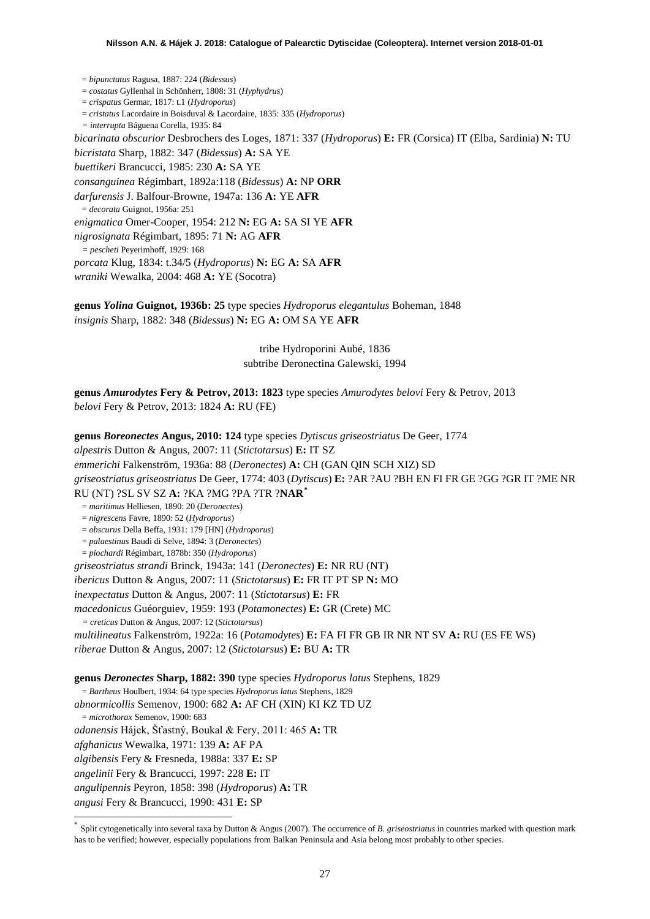= *bipunctatus* Ragusa, 1887: 224 (*Bidessus*) = *costatus* Gyllenhal in Schönherr, 1808: 31 (*Hyphydrus*) = *crispatus* Germar, 1817: t.1 (*Hydroporus*) = *cristatus* Lacordaire in Boisduval & Lacordaire, 1835: 335 (*Hydroporus*) *= interrupta* Báguena Corella, 1935: 84 *bicarinata obscurior* Desbrochers des Loges, 1871: 337 (*Hydroporus*) **E:** FR (Corsica) IT (Elba, Sardinia) **N:** TU *bicristata* Sharp, 1882: 347 (*Bidessus*) **A:** SA YE *buettikeri* Brancucci, 1985: 230 **A:** SA YE *consanguinea* Régimbart, 1892a:118 (*Bidessus*) **A:** NP **ORR** *darfurensis* J. Balfour-Browne, 1947a: 136 **A:** YE **AFR** = *decorata* Guignot, 1956a: 251 *enigmatica* Omer-Cooper, 1954: 212 **N:** EG **A:** SA SI YE **AFR** *nigrosignata* Régimbart, 1895: 71 **N:** AG **AFR** *= pescheti* Peyerimhoff, 1929: 168 *porcata* Klug, 1834: t.34/5 (*Hydroporus*) **N:** EG **A:** SA **AFR**

*wraniki* Wewalka, 2004: 468 **A:** YE (Socotra)

**genus** *Yolina* **Guignot, 1936b: 25** type species *Hydroporus elegantulus* Boheman, 1848 *insignis* Sharp, 1882: 348 (*Bidessus*) **N:** EG **A:** OM SA YE **AFR**

> tribe Hydroporini Aubé, 1836 subtribe Deronectina Galewski, 1994

**genus** *Amurodytes* **Fery & Petrov, 2013: 1823** type species *Amurodytes belovi* Fery & Petrov, 2013 *belovi* Fery & Petrov, 2013: 1824 **A:** RU (FE)

**genus** *Boreonectes* **Angus, 2010: 124** type species *Dytiscus griseostriatus* De Geer, 1774 *alpestris* Dutton & Angus, 2007: 11 (*Stictotarsus*) **E:** IT SZ *emmerichi* Falkenström, 1936a: 88 (*Deronectes*) **A:** CH (GAN QIN SCH XIZ) SD *griseostriatus griseostriatus* De Geer, 1774: 403 (*Dytiscus*) **E:** ?AR ?AU ?BH EN FI FR GE ?GG ?GR IT ?ME NR RU (NT) ?SL SV SZ **A:** ?KA ?MG ?PA ?TR ?**NAR[\\*](#page-26-0)** = *maritimus* Helliesen, 1890: 20 (*Deronectes*) = *nigrescens* Favre, 1890: 52 (*Hydroporus*) = *obscurus* Della Beffa, 1931: 179 [HN] (*Hydroporus*) = *palaestinus* Baudi di Selve, 1894: 3 (*Deronectes*) = *piochardi* Régimbart, 1878b: 350 (*Hydroporus*) *griseostriatus strandi* Brinck, 1943a: 141 (*Deronectes*) **E:** NR RU (NT) *ibericus* Dutton & Angus, 2007: 11 (*Stictotarsus*) **E:** FR IT PT SP **N:** MO *inexpectatus* Dutton & Angus, 2007: 11 (*Stictotarsus*) **E:** FR *macedonicus* Guéorguiev, 1959: 193 (*Potamonectes*) **E:** GR (Crete) MC *= creticus* Dutton & Angus, 2007: 12 (*Stictotarsus*) *multilineatus* Falkenström, 1922a: 16 (*Potamodytes*) **E:** FA FI FR GB IR NR NT SV **A:** RU (ES FE WS) = *Bartheus* Houlbert, 1934: 64 type species *Hydroporus latus* Stephens, 1829 *abnormicollis* Semenov, 1900: 682 **A:** AF CH (XIN) KI KZ TD UZ = *microthorax* Semenov, 1900: 683 *adanensis* Hájek, Šťastný, Boukal & Fery, 2011: 465 **A:** TR

*riberae* Dutton & Angus, 2007: 12 (*Stictotarsus*) **E:** BU **A:** TR

**genus** *Deronectes* **Sharp, 1882: 390** type species *Hydroporus latus* Stephens, 1829

*afghanicus* Wewalka, 1971: 139 **A:** AF PA

*algibensis* Fery & Fresneda, 1988a: 337 **E:** SP

*angelinii* Fery & Brancucci, 1997: 228 **E:** IT

*angulipennis* Peyron, 1858: 398 (*Hydroporus*) **A:** TR

*angusi* Fery & Brancucci, 1990: 431 **E:** SP

<span id="page-26-0"></span>Split cytogenetically into several taxa by Dutton & Angus (2007). The occurrence of *B. griseostriatus* in countries marked with question mark has to be verified; however, especially populations from Balkan Peninsula and Asia belong most probably to other species.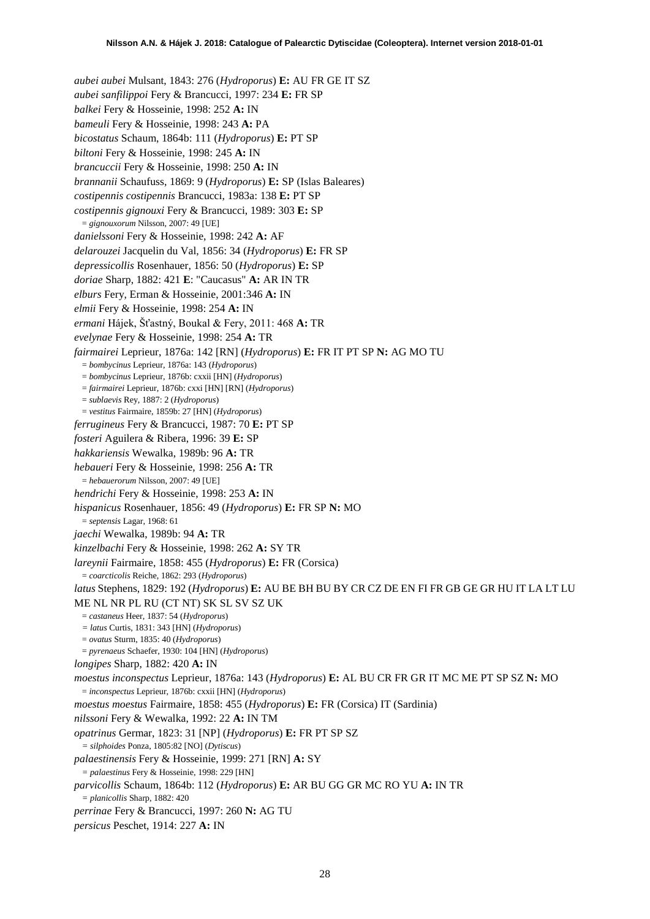*aubei aubei* Mulsant, 1843: 276 (*Hydroporus*) **E:** AU FR GE IT SZ *aubei sanfilippoi* Fery & Brancucci, 1997: 234 **E:** FR SP *balkei* Fery & Hosseinie, 1998: 252 **A:** IN *bameuli* Fery & Hosseinie, 1998: 243 **A:** PA *bicostatus* Schaum, 1864b: 111 (*Hydroporus*) **E:** PT SP *biltoni* Fery & Hosseinie, 1998: 245 **A:** IN *brancuccii* Fery & Hosseinie, 1998: 250 **A:** IN *brannanii* Schaufuss, 1869: 9 (*Hydroporus*) **E:** SP (Islas Baleares) *costipennis costipennis* Brancucci, 1983a: 138 **E:** PT SP *costipennis gignouxi* Fery & Brancucci, 1989: 303 **E:** SP = *gignouxorum* Nilsson, 2007: 49 [UE] *danielssoni* Fery & Hosseinie, 1998: 242 **A:** AF *delarouzei* Jacquelin du Val, 1856: 34 (*Hydroporus*) **E:** FR SP *depressicollis* Rosenhauer, 1856: 50 (*Hydroporus*) **E:** SP *doriae* Sharp, 1882: 421 **E**: "Caucasus" **A:** AR IN TR *elburs* Fery, Erman & Hosseinie, 2001:346 **A:** IN *elmii* Fery & Hosseinie, 1998: 254 **A:** IN *ermani* Hájek, Šťastný, Boukal & Fery, 2011: 468 **A:** TR *evelynae* Fery & Hosseinie, 1998: 254 **A:** TR *fairmairei* Leprieur, 1876a: 142 [RN] (*Hydroporus*) **E:** FR IT PT SP **N:** AG MO TU = *bombycinus* Leprieur, 1876a: 143 (*Hydroporus*) = *bombycinus* Leprieur, 1876b: cxxii [HN] (*Hydroporus*) = *fairmairei* Leprieur, 1876b: cxxi [HN] [RN] (*Hydroporus*) = *sublaevis* Rey, 1887: 2 (*Hydroporus*) = *vestitus* Fairmaire, 1859b: 27 [HN] (*Hydroporus*) *ferrugineus* Fery & Brancucci, 1987: 70 **E:** PT SP *fosteri* Aguilera & Ribera, 1996: 39 **E:** SP *hakkariensis* Wewalka, 1989b: 96 **A:** TR *hebaueri* Fery & Hosseinie, 1998: 256 **A:** TR = *hebauerorum* Nilsson, 2007: 49 [UE] *hendrichi* Fery & Hosseinie, 1998: 253 **A:** IN *hispanicus* Rosenhauer, 1856: 49 (*Hydroporus*) **E:** FR SP **N:** MO = *septensis* Lagar, 1968: 61 *jaechi* Wewalka, 1989b: 94 **A:** TR *kinzelbachi* Fery & Hosseinie, 1998: 262 **A:** SY TR *lareynii* Fairmaire, 1858: 455 (*Hydroporus*) **E:** FR (Corsica) = *coarcticolis* Reiche, 1862: 293 (*Hydroporus*) *latus* Stephens, 1829: 192 (*Hydroporus*) **E:** AU BE BH BU BY CR CZ DE EN FI FR GB GE GR HU IT LA LT LU ME NL NR PL RU (CT NT) SK SL SV SZ UK = *castaneus* Heer, 1837: 54 (*Hydroporus*) *= latus* Curtis, 1831: 343 [HN] (*Hydroporus*) = *ovatus* Sturm, 1835: 40 (*Hydroporus*) = *pyrenaeus* Schaefer, 1930: 104 [HN] (*Hydroporus*) *longipes* Sharp, 1882: 420 **A:** IN *moestus inconspectus* Leprieur, 1876a: 143 (*Hydroporus*) **E:** AL BU CR FR GR IT MC ME PT SP SZ **N:** MO = *inconspectus* Leprieur, 1876b: cxxii [HN] (*Hydroporus*) *moestus moestus* Fairmaire, 1858: 455 (*Hydroporus*) **E:** FR (Corsica) IT (Sardinia) *nilssoni* Fery & Wewalka, 1992: 22 **A:** IN TM *opatrinus* Germar, 1823: 31 [NP] (*Hydroporus*) **E:** FR PT SP SZ *= silphoides* Ponza, 1805:82 [NO] (*Dytiscus*) *palaestinensis* Fery & Hosseinie, 1999: 271 [RN] **A:** SY *= palaestinus* Fery & Hosseinie, 1998: 229 [HN] *parvicollis* Schaum, 1864b: 112 (*Hydroporus*) **E:** AR BU GG GR MC RO YU **A:** IN TR *= planicollis* Sharp, 1882: 420 *perrinae* Fery & Brancucci, 1997: 260 **N:** AG TU *persicus* Peschet, 1914: 227 **A:** IN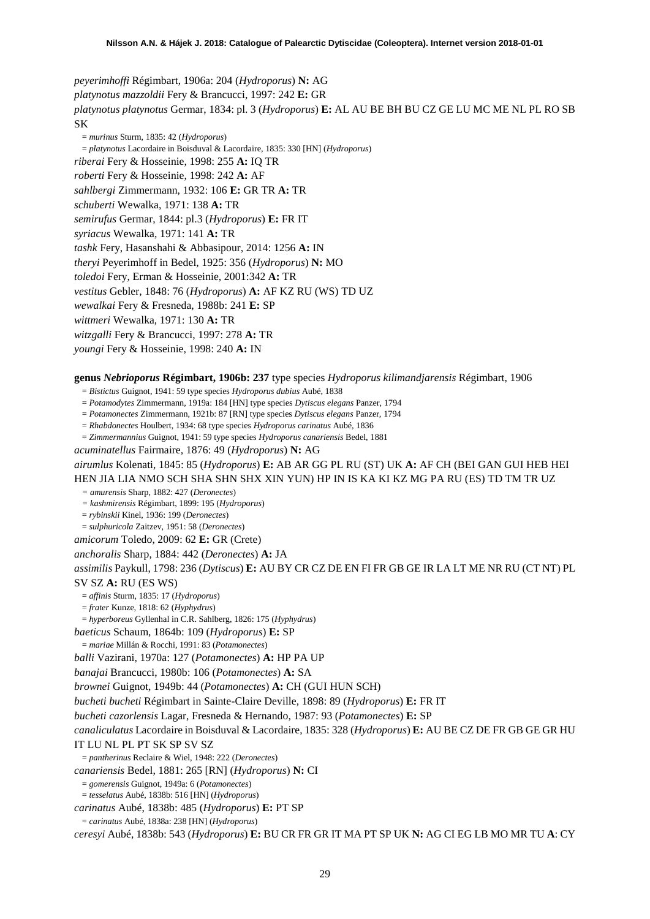*peyerimhoffi* Régimbart, 1906a: 204 (*Hydroporus*) **N:** AG *platynotus mazzoldii* Fery & Brancucci, 1997: 242 **E:** GR *platynotus platynotus* Germar, 1834: pl. 3 (*Hydroporus*) **E:** AL AU BE BH BU CZ GE LU MC ME NL PL RO SB SK

= *murinus* Sturm, 1835: 42 (*Hydroporus*)

= *platynotus* Lacordaire in Boisduval & Lacordaire, 1835: 330 [HN] (*Hydroporus*)

*riberai* Fery & Hosseinie, 1998: 255 **A:** IQ TR

*roberti* Fery & Hosseinie, 1998: 242 **A:** AF

*sahlbergi* Zimmermann, 1932: 106 **E:** GR TR **A:** TR

*schuberti* Wewalka, 1971: 138 **A:** TR

*semirufus* Germar, 1844: pl.3 (*Hydroporus*) **E:** FR IT

*syriacus* Wewalka, 1971: 141 **A:** TR

*tashk* Fery, Hasanshahi & Abbasipour, 2014: 1256 **A:** IN

*theryi* Peyerimhoff in Bedel, 1925: 356 (*Hydroporus*) **N:** MO

*toledoi* Fery, Erman & Hosseinie, 2001:342 **A:** TR

*vestitus* Gebler, 1848: 76 (*Hydroporus*) **A:** AF KZ RU (WS) TD UZ

*wewalkai* Fery & Fresneda, 1988b: 241 **E:** SP

*wittmeri* Wewalka, 1971: 130 **A:** TR

*witzgalli* Fery & Brancucci, 1997: 278 **A:** TR

*youngi* Fery & Hosseinie, 1998: 240 **A:** IN

#### **genus** *Nebrioporus* **Régimbart, 1906b: 237** type species *Hydroporus kilimandjarensis* Régimbart, 1906

= *Bistictus* Guignot, 1941: 59 type species *Hydroporus dubius* Aubé, 1838

= *Potamodytes* Zimmermann, 1919a: 184 [HN] type species *Dytiscus elegans* Panzer, 1794

= *Potamonectes* Zimmermann, 1921b: 87 [RN] type species *Dytiscus elegans* Panzer, 1794

= *Rhabdonectes* Houlbert, 1934: 68 type species *Hydroporus carinatus* Aubé, 1836

= *Zimmermannius* Guignot, 1941: 59 type species *Hydroporus canariensis* Bedel, 1881

*acuminatellus* Fairmaire, 1876: 49 (*Hydroporus*) **N:** AG

*airumlus* Kolenati, 1845: 85 (*Hydroporus*) **E:** AB AR GG PL RU (ST) UK **A:** AF CH (BEI GAN GUI HEB HEI HEN JIA LIA NMO SCH SHA SHN SHX XIN YUN) HP IN IS KA KI KZ MG PA RU (ES) TD TM TR UZ

*= amurensis* Sharp, 1882: 427 (*Deronectes*)

*= kashmirensis* Régimbart, 1899: 195 (*Hydroporus*)

= *rybinskii* Kinel, 1936: 199 (*Deronectes*)

= *sulphuricola* Zaitzev, 1951: 58 (*Deronectes*)

*amicorum* Toledo, 2009: 62 **E:** GR (Crete)

*anchoralis* Sharp, 1884: 442 (*Deronectes*) **A:** JA

*assimilis* Paykull, 1798: 236 (*Dytiscus*) **E:** AU BY CR CZ DE EN FI FR GB GE IR LA LT ME NR RU (CT NT) PL

### SV SZ **A:** RU (ES WS)

= *affinis* Sturm, 1835: 17 (*Hydroporus*)

= *frater* Kunze, 1818: 62 (*Hyphydrus*)

= *hyperboreus* Gyllenhal in C.R. Sahlberg, 1826: 175 (*Hyphydrus*)

*baeticus* Schaum, 1864b: 109 (*Hydroporus*) **E:** SP

= *mariae* Millán & Rocchi, 1991: 83 (*Potamonectes*)

*balli* Vazirani, 1970a: 127 (*Potamonectes*) **A:** HP PA UP

*banajai* Brancucci, 1980b: 106 (*Potamonectes*) **A:** SA

*brownei* Guignot, 1949b: 44 (*Potamonectes*) **A:** CH (GUI HUN SCH)

*bucheti bucheti* Régimbart in Sainte-Claire Deville, 1898: 89 (*Hydroporus*) **E:** FR IT

*bucheti cazorlensis* Lagar, Fresneda & Hernando, 1987: 93 (*Potamonectes*) **E:** SP

*canaliculatus* Lacordaire in Boisduval & Lacordaire, 1835: 328 (*Hydroporus*) **E:** AU BE CZ DE FR GB GE GR HU

IT LU NL PL PT SK SP SV SZ

= *pantherinus* Reclaire & Wiel, 1948: 222 (*Deronectes*)

*canariensis* Bedel, 1881: 265 [RN] (*Hydroporus*) **N:** CI

= *gomerensis* Guignot, 1949a: 6 (*Potamonectes*)

= *tesselatus* Aubé, 1838b: 516 [HN] (*Hydroporus*)

*carinatus* Aubé, 1838b: 485 (*Hydroporus*) **E:** PT SP

= *carinatus* Aubé, 1838a: 238 [HN] (*Hydroporus*)

*ceresyi* Aubé, 1838b: 543 (*Hydroporus*) **E:** BU CR FR GR IT MA PT SP UK **N:** AG CI EG LB MO MR TU **A**: CY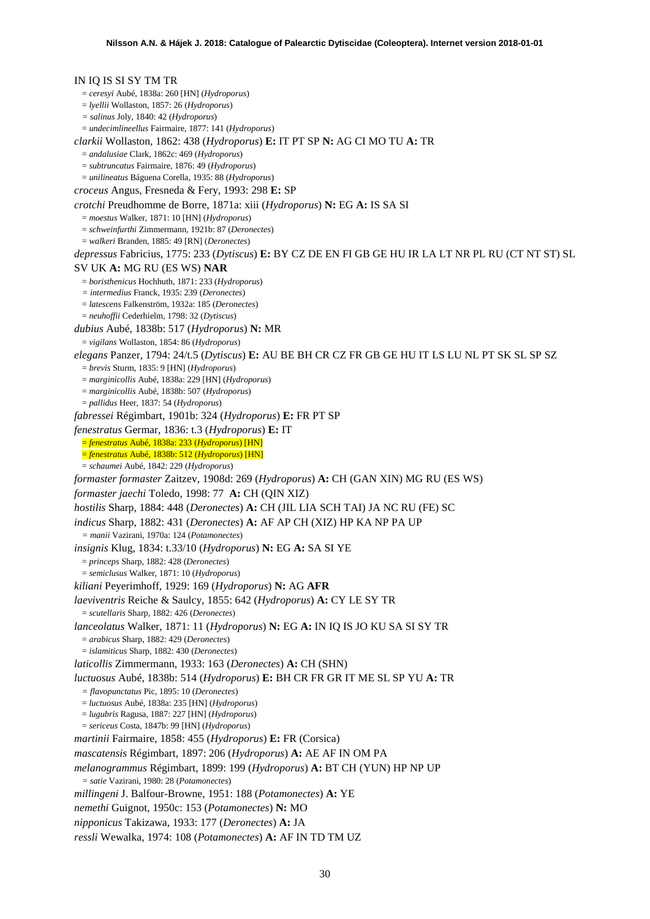IN IQ IS SI SY TM TR = *ceresyi* Aubé, 1838a: 260 [HN] (*Hydroporus*) = *lyellii* Wollaston, 1857: 26 (*Hydroporus*) *= salinus* Joly, 1840: 42 (*Hydroporus*) = *undecimlineellus* Fairmaire, 1877: 141 (*Hydroporus*) *clarkii* Wollaston, 1862: 438 (*Hydroporus*) **E:** IT PT SP **N:** AG CI MO TU **A:** TR = *andalusiae* Clark, 1862c: 469 (*Hydroporus*) = *subtruncatus* Fairmaire, 1876: 49 (*Hydroporus*) = *unilineatus* Báguena Corella, 1935: 88 (*Hydroporus*) *croceus* Angus, Fresneda & Fery, 1993: 298 **E:** SP *crotchi* Preudhomme de Borre, 1871a: xiii (*Hydroporus*) **N:** EG **A:** IS SA SI = *moestus* Walker, 1871: 10 [HN] (*Hydroporus*) = *schweinfurthi* Zimmermann, 1921b: 87 (*Deronectes*) = *walkeri* Branden, 1885: 49 [RN] (*Deronectes*) *depressus* Fabricius, 1775: 233 (*Dytiscus*) **E:** BY CZ DE EN FI GB GE HU IR LA LT NR PL RU (CT NT ST) SL SV UK **A:** MG RU (ES WS) **NAR** = *boristhenicus* Hochhuth, 1871: 233 (*Hydroporus*) *= intermedius* Franck, 1935: 239 (*Deronectes*) = *latescens* Falkenström, 1932a: 185 (*Deronectes*) = *neuhoffii* Cederhielm, 1798: 32 (*Dytiscus*) *dubius* Aubé, 1838b: 517 (*Hydroporus*) **N:** MR = *vigilans* Wollaston, 1854: 86 (*Hydroporus*) *elegans* Panzer, 1794: 24/t.5 (*Dytiscus*) **E:** AU BE BH CR CZ FR GB GE HU IT LS LU NL PT SK SL SP SZ = *brevis* Sturm, 1835: 9 [HN] (*Hydroporus*) = *marginicollis* Aubé, 1838a: 229 [HN] (*Hydroporus*) = *marginicollis* Aubé, 1838b: 507 (*Hydroporus*) = *pallidus* Heer, 1837: 54 (*Hydroporus*) *fabressei* Régimbart, 1901b: 324 (*Hydroporus*) **E:** FR PT SP *fenestratus* Germar, 1836: t.3 (*Hydroporus*) **E:** IT = *fenestratus* Aubé, 1838a: 233 (*Hydroporus*) [HN] = *fenestratus* Aubé, 1838b: 512 (*Hydroporus*) [HN] = *schaumei* Aubé, 1842: 229 (*Hydroporus*) *formaster formaster* Zaitzev, 1908d: 269 (*Hydroporus*) **A:** CH (GAN XIN) MG RU (ES WS) *formaster jaechi* Toledo, 1998: 77 **A:** CH (QIN XIZ) *hostilis* Sharp, 1884: 448 (*Deronectes*) **A:** CH (JIL LIA SCH TAI) JA NC RU (FE) SC *indicus* Sharp, 1882: 431 (*Deronectes*) **A:** AF AP CH (XIZ) HP KA NP PA UP *= manii* Vazirani, 1970a: 124 (*Potamonectes*) *insignis* Klug, 1834: t.33/10 (*Hydroporus*) **N:** EG **A:** SA SI YE = *princeps* Sharp, 1882: 428 (*Deronectes*) = *semiclusus* Walker, 1871: 10 (*Hydroporus*) *kiliani* Peyerimhoff, 1929: 169 (*Hydroporus*) **N:** AG **AFR** *laeviventris* Reiche & Saulcy, 1855: 642 (*Hydroporus*) **A:** CY LE SY TR = *scutellaris* Sharp, 1882: 426 (*Deronectes*) *lanceolatus* Walker, 1871: 11 (*Hydroporus*) **N:** EG **A:** IN IQ IS JO KU SA SI SY TR = *arabicus* Sharp, 1882: 429 (*Deronectes*) = *islamiticus* Sharp, 1882: 430 (*Deronectes*) *laticollis* Zimmermann, 1933: 163 (*Deronectes*) **A:** CH (SHN) *luctuosus* Aubé, 1838b: 514 (*Hydroporus*) **E:** BH CR FR GR IT ME SL SP YU **A:** TR *= flavopunctatus* Pic, 1895: 10 (*Deronectes*) = *luctuosus* Aubé, 1838a: 235 [HN] (*Hydroporus*) = *lugubris* Ragusa, 1887: 227 [HN] (*Hydroporus*) = *sericeus* Costa, 1847b: 99 [HN] (*Hydroporus*) *martinii* Fairmaire, 1858: 455 (*Hydroporus*) **E:** FR (Corsica) *mascatensis* Régimbart, 1897: 206 (*Hydroporus*) **A:** AE AF IN OM PA *melanogrammus* Régimbart, 1899: 199 (*Hydroporus*) **A:** BT CH (YUN) HP NP UP *= satie* Vazirani, 1980: 28 (*Potamonectes*) *millingeni* J. Balfour-Browne, 1951: 188 (*Potamonectes*) **A:** YE *nemethi* Guignot, 1950c: 153 (*Potamonectes*) **N:** MO *nipponicus* Takizawa, 1933: 177 (*Deronectes*) **A:** JA *ressli* Wewalka, 1974: 108 (*Potamonectes*) **A:** AF IN TD TM UZ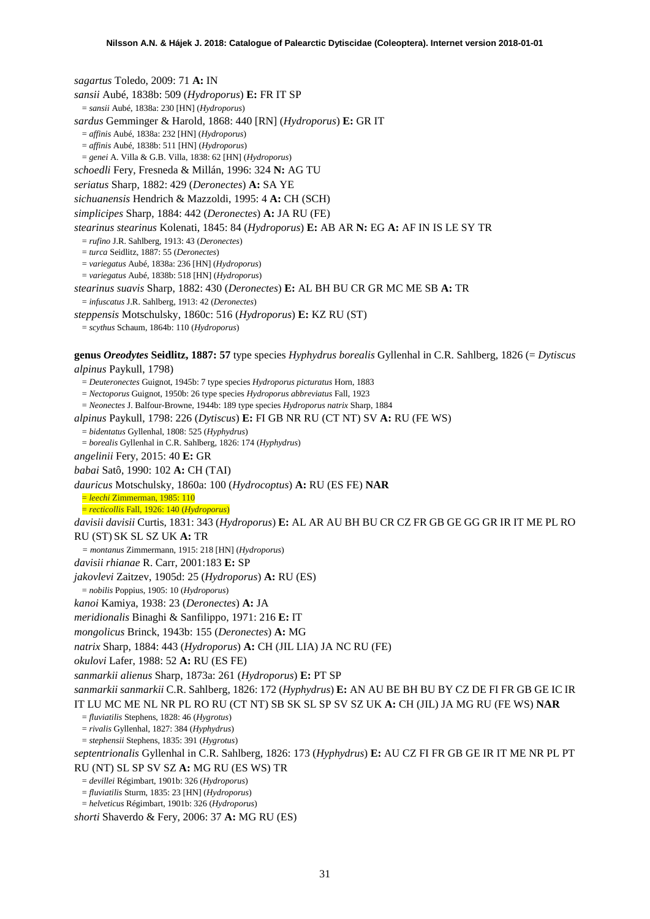*sagartus* Toledo, 2009: 71 **A:** IN *sansii* Aubé, 1838b: 509 (*Hydroporus*) **E:** FR IT SP = *sansii* Aubé, 1838a: 230 [HN] (*Hydroporus*) *sardus* Gemminger & Harold, 1868: 440 [RN] (*Hydroporus*) **E:** GR IT = *affinis* Aubé, 1838a: 232 [HN] (*Hydroporus*) = *affinis* Aubé, 1838b: 511 [HN] (*Hydroporus*) = *genei* A. Villa & G.B. Villa, 1838: 62 [HN] (*Hydroporus*) *schoedli* Fery, Fresneda & Millán, 1996: 324 **N:** AG TU *seriatus* Sharp, 1882: 429 (*Deronectes*) **A:** SA YE *sichuanensis* Hendrich & Mazzoldi, 1995: 4 **A:** CH (SCH) *simplicipes* Sharp, 1884: 442 (*Deronectes*) **A:** JA RU (FE) *stearinus stearinus* Kolenati, 1845: 84 (*Hydroporus*) **E:** AB AR **N:** EG **A:** AF IN IS LE SY TR = *rufino* J.R. Sahlberg, 1913: 43 (*Deronectes*) = *turca* Seidlitz, 1887: 55 (*Deronectes*) = *variegatus* Aubé, 1838a: 236 [HN] (*Hydroporus*) = *variegatus* Aubé, 1838b: 518 [HN] (*Hydroporus*) *stearinus suavis* Sharp, 1882: 430 (*Deronectes*) **E:** AL BH BU CR GR MC ME SB **A:** TR = *infuscatus* J.R. Sahlberg, 1913: 42 (*Deronectes*) *steppensis* Motschulsky, 1860c: 516 (*Hydroporus*) **E:** KZ RU (ST) = *scythus* Schaum, 1864b: 110 (*Hydroporus*) **genus** *Oreodytes* **Seidlitz, 1887: 57** type species *Hyphydrus borealis* Gyllenhal in C.R. Sahlberg, 1826 (= *Dytiscus alpinus* Paykull, 1798) = *Deuteronectes* Guignot, 1945b: 7 type species *Hydroporus picturatus* Horn, 1883 = *Nectoporus* Guignot, 1950b: 26 type species *Hydroporus abbreviatus* Fall, 1923 = *Neonectes* J. Balfour-Browne, 1944b: 189 type species *Hydroporus natrix* Sharp, 1884 *alpinus* Paykull, 1798: 226 (*Dytiscus*) **E:** FI GB NR RU (CT NT) SV **A:** RU (FE WS) = *bidentatus* Gyllenhal, 1808: 525 (*Hyphydrus*) = *borealis* Gyllenhal in C.R. Sahlberg, 1826: 174 (*Hyphydrus*) *angelinii* Fery, 2015: 40 **E:** GR *babai* Satô, 1990: 102 **A:** CH (TAI) *dauricus* Motschulsky, 1860a: 100 (*Hydrocoptus*) **A:** RU (ES FE) **NAR** = *leechi* Zimmerman, 1985: 110 = *recticollis* Fall, 1926: 140 (*Hydroporus*) *davisii davisii* Curtis, 1831: 343 (*Hydroporus*) **E:** AL AR AU BH BU CR CZ FR GB GE GG GR IR IT ME PL RO RU (ST) SK SL SZ UK **A:** TR *= montanus* Zimmermann, 1915: 218 [HN] (*Hydroporus*) *davisii rhianae* R. Carr, 2001:183 **E:** SP *jakovlevi* Zaitzev, 1905d: 25 (*Hydroporus*) **A:** RU (ES) = *nobilis* Poppius, 1905: 10 (*Hydroporus*) *kanoi* Kamiya, 1938: 23 (*Deronectes*) **A:** JA *meridionalis* Binaghi & Sanfilippo, 1971: 216 **E:** IT *mongolicus* Brinck, 1943b: 155 (*Deronectes*) **A:** MG *natrix* Sharp, 1884: 443 (*Hydroporus*) **A:** CH (JIL LIA) JA NC RU (FE) *okulovi* Lafer, 1988: 52 **A:** RU (ES FE) *sanmarkii alienus* Sharp, 1873a: 261 (*Hydroporus*) **E:** PT SP *sanmarkii sanmarkii* C.R. Sahlberg, 1826: 172 (*Hyphydrus*) **E:** AN AU BE BH BU BY CZ DE FI FR GB GE IC IR IT LU MC ME NL NR PL RO RU (CT NT) SB SK SL SP SV SZ UK **A:** CH (JIL) JA MG RU (FE WS) **NAR** = *fluviatilis* Stephens, 1828: 46 (*Hygrotus*) = *rivalis* Gyllenhal, 1827: 384 (*Hyphydrus*) = *stephensii* Stephens, 1835: 391 (*Hygrotus*) *septentrionalis* Gyllenhal in C.R. Sahlberg, 1826: 173 (*Hyphydrus*) **E:** AU CZ FI FR GB GE IR IT ME NR PL PT RU (NT) SL SP SV SZ **A:** MG RU (ES WS) TR = *devillei* Régimbart, 1901b: 326 (*Hydroporus*) = *fluviatilis* Sturm, 1835: 23 [HN] (*Hydroporus*) = *helveticus* Régimbart, 1901b: 326 (*Hydroporus*)

*shorti* Shaverdo & Fery, 2006: 37 **A:** MG RU (ES)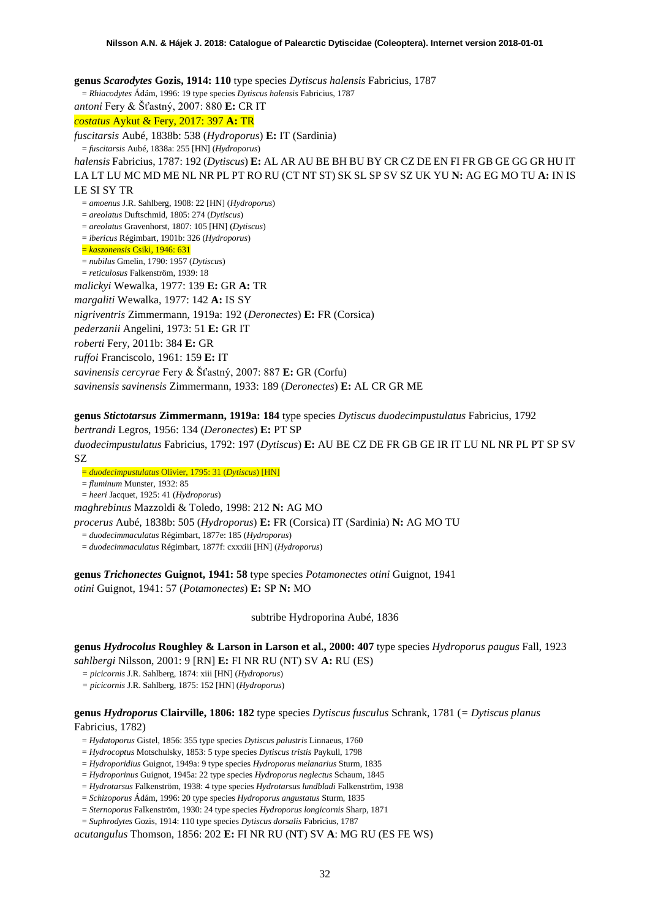**genus** *Scarodytes* **Gozis, 1914: 110** type species *Dytiscus halensis* Fabricius, 1787 = *Rhiacodytes* Ádám, 1996: 19 type species *Dytiscus halensis* Fabricius, 1787 *antoni* Fery & Šťastný, 2007: 880 **E:** CR IT *costatus* Aykut & Fery, 2017: 397 **A:** TR *fuscitarsis* Aubé, 1838b: 538 (*Hydroporus*) **E:** IT (Sardinia) = *fuscitarsis* Aubé, 1838a: 255 [HN] (*Hydroporus*) *halensis* Fabricius, 1787: 192 (*Dytiscus*) **E:** AL AR AU BE BH BU BY CR CZ DE EN FI FR GB GE GG GR HU IT LA LT LU MC MD ME NL NR PL PT RO RU (CT NT ST) SK SL SP SV SZ UK YU **N:** AG EG MO TU **A:** IN IS LE SI SY TR = *amoenus* J.R. Sahlberg, 1908: 22 [HN] (*Hydroporus*) = *areolatus* Duftschmid, 1805: 274 (*Dytiscus*) = *areolatus* Gravenhorst, 1807: 105 [HN] (*Dytiscus*) = *ibericus* Régimbart, 1901b: 326 (*Hydroporus*) = *kaszonensis* Csiki, 1946: 631 = *nubilus* Gmelin, 1790: 1957 (*Dytiscus*) = *reticulosus* Falkenström, 1939: 18 *malickyi* Wewalka, 1977: 139 **E:** GR **A:** TR *margaliti* Wewalka, 1977: 142 **A:** IS SY *nigriventris* Zimmermann, 1919a: 192 (*Deronectes*) **E:** FR (Corsica) *pederzanii* Angelini, 1973: 51 **E:** GR IT *roberti* Fery, 2011b: 384 **E:** GR *ruffoi* Franciscolo, 1961: 159 **E:** IT *savinensis cercyrae* Fery & Šťastný, 2007: 887 **E:** GR (Corfu) *savinensis savinensis* Zimmermann, 1933: 189 (*Deronectes*) **E:** AL CR GR ME

### **genus** *Stictotarsus* **Zimmermann, 1919a: 184** type species *Dytiscus duodecimpustulatus* Fabricius, 1792

*bertrandi* Legros, 1956: 134 (*Deronectes*) **E:** PT SP *duodecimpustulatus* Fabricius, 1792: 197 (*Dytiscus*) **E:** AU BE CZ DE FR GB GE IR IT LU NL NR PL PT SP SV SZ

= *duodecimpustulatus* Olivier, 1795: 31 (*Dytiscus*) [HN]

= *fluminum* Munster, 1932: 85

= *heeri* Jacquet, 1925: 41 (*Hydroporus*)

*maghrebinus* Mazzoldi & Toledo, 1998: 212 **N:** AG MO

*procerus* Aubé, 1838b: 505 (*Hydroporus*) **E:** FR (Corsica) IT (Sardinia) **N:** AG MO TU

= *duodecimmaculatus* Régimbart, 1877e: 185 (*Hydroporus*)

= *duodecimmaculatus* Régimbart, 1877f: cxxxiii [HN] (*Hydroporus*)

**genus** *Trichonectes* **Guignot, 1941: 58** type species *Potamonectes otini* Guignot, 1941 *otini* Guignot, 1941: 57 (*Potamonectes*) **E:** SP **N:** MO

subtribe Hydroporina Aubé, 1836

**genus** *Hydrocolus* **Roughley & Larson in Larson et al., 2000: 407** type species *Hydroporus paugus* Fall, 1923 *sahlbergi* Nilsson, 2001: 9 [RN] **E:** FI NR RU (NT) SV **A:** RU (ES)

*= picicornis* J.R. Sahlberg, 1874: xiii [HN] (*Hydroporus*)

*= picicornis* J.R. Sahlberg, 1875: 152 [HN] (*Hydroporus*)

### **genus** *Hydroporus* **Clairville, 1806: 182** type species *Dytiscus fusculus* Schrank, 1781 (*= Dytiscus planus* Fabricius, 1782)

- = *Hydatoporus* Gistel, 1856: 355 type species *Dytiscus palustris* Linnaeus, 1760
- = *Hydrocoptus* Motschulsky, 1853: 5 type species *Dytiscus tristis* Paykull, 1798

= *Hydroporidius* Guignot, 1949a: 9 type species *Hydroporus melanarius* Sturm, 1835

- = *Hydroporinus* Guignot, 1945a: 22 type species *Hydroporus neglectus* Schaum, 1845
- = *Hydrotarsus* Falkenström, 1938: 4 type species *Hydrotarsus lundbladi* Falkenström, 1938
- = *Schizoporus* Ádám, 1996: 20 type species *Hydroporus angustatus* Sturm, 1835
- = *Sternoporus* Falkenström, 1930: 24 type species *Hydroporus longicornis* Sharp, 1871

= *Suphrodytes* Gozis, 1914: 110 type species *Dytiscus dorsalis* Fabricius, 1787

*acutangulus* Thomson, 1856: 202 **E:** FI NR RU (NT) SV **A**: MG RU (ES FE WS)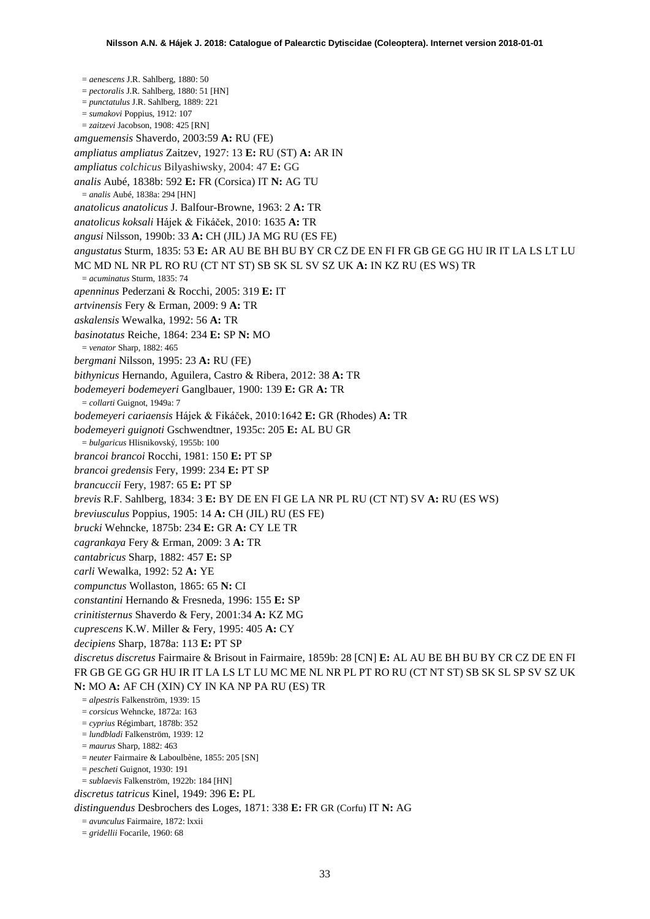= *aenescens* J.R. Sahlberg, 1880: 50 = *pectoralis* J.R. Sahlberg, 1880: 51 [HN] = *punctatulus* J.R. Sahlberg, 1889: 221 = *sumakovi* Poppius, 1912: 107 = *zaitzevi* Jacobson, 1908: 425 [RN] *amguemensis* Shaverdo, 2003:59 **A:** RU (FE) *ampliatus ampliatus* Zaitzev, 1927: 13 **E:** RU (ST) **A:** AR IN *ampliatus colchicus* Bilyashiwsky, 2004: 47 **E:** GG *analis* Aubé, 1838b: 592 **E:** FR (Corsica) IT **N:** AG TU = *analis* Aubé, 1838a: 294 [HN] *anatolicus anatolicus* J. Balfour-Browne, 1963: 2 **A:** TR *anatolicus koksali* Hájek & Fikáček, 2010: 1635 **A:** TR *angusi* Nilsson, 1990b: 33 **A:** CH (JIL) JA MG RU (ES FE) *angustatus* Sturm, 1835: 53 **E:** AR AU BE BH BU BY CR CZ DE EN FI FR GB GE GG HU IR IT LA LS LT LU MC MD NL NR PL RO RU (CT NT ST) SB SK SL SV SZ UK **A:** IN KZ RU (ES WS) TR = *acuminatus* Sturm, 1835: 74 *apenninus* Pederzani & Rocchi, 2005: 319 **E:** IT *artvinensis* Fery & Erman, 2009: 9 **A:** TR *askalensis* Wewalka, 1992: 56 **A:** TR *basinotatus* Reiche, 1864: 234 **E:** SP **N:** MO = *venator* Sharp, 1882: 465 *bergmani* Nilsson, 1995: 23 **A:** RU (FE) *bithynicus* Hernando, Aguilera, Castro & Ribera, 2012: 38 **A:** TR *bodemeyeri bodemeyeri* Ganglbauer, 1900: 139 **E:** GR **A:** TR = *collarti* Guignot, 1949a: 7 *bodemeyeri cariaensis* Hájek & Fikáček, 2010:1642 **E:** GR (Rhodes) **A:** TR *bodemeyeri guignoti* Gschwendtner, 1935c: 205 **E:** AL BU GR = *bulgaricus* Hlisnikovský, 1955b: 100 *brancoi brancoi* Rocchi, 1981: 150 **E:** PT SP *brancoi gredensis* Fery, 1999: 234 **E:** PT SP *brancuccii* Fery, 1987: 65 **E:** PT SP *brevis* R.F. Sahlberg, 1834: 3 **E:** BY DE EN FI GE LA NR PL RU (CT NT) SV **A:** RU (ES WS) *breviusculus* Poppius, 1905: 14 **A:** CH (JIL) RU (ES FE) *brucki* Wehncke, 1875b: 234 **E:** GR **A:** CY LE TR *cagrankaya* Fery & Erman, 2009: 3 **A:** TR *cantabricus* Sharp, 1882: 457 **E:** SP *carli* Wewalka, 1992: 52 **A:** YE *compunctus* Wollaston, 1865: 65 **N:** CI *constantini* Hernando & Fresneda, 1996: 155 **E:** SP *crinitisternus* Shaverdo & Fery, 2001:34 **A:** KZ MG *cuprescens* K.W. Miller & Fery, 1995: 405 **A:** CY *decipiens* Sharp, 1878a: 113 **E:** PT SP *discretus discretus* Fairmaire & Brisout in Fairmaire, 1859b: 28 [CN] **E:** AL AU BE BH BU BY CR CZ DE EN FI FR GB GE GG GR HU IR IT LA LS LT LU MC ME NL NR PL PT RO RU (CT NT ST) SB SK SL SP SV SZ UK **N:** MO **A:** AF CH (XIN) CY IN KA NP PA RU (ES) TR = *alpestris* Falkenström, 1939: 15 = *corsicus* Wehncke, 1872a: 163 = *cyprius* Régimbart, 1878b: 352 = *lundbladi* Falkenström, 1939: 12 = *maurus* Sharp, 1882: 463 = *neuter* Fairmaire & Laboulbène, 1855: 205 [SN] = *pescheti* Guignot, 1930: 191 = *sublaevis* Falkenström, 1922b: 184 [HN] *discretus tatricus* Kinel, 1949: 396 **E:** PL *distinguendus* Desbrochers des Loges, 1871: 338 **E:** FR GR (Corfu) IT **N:** AG

- = *avunculus* Fairmaire, 1872: lxxii
- = *gridellii* Focarile, 1960: 68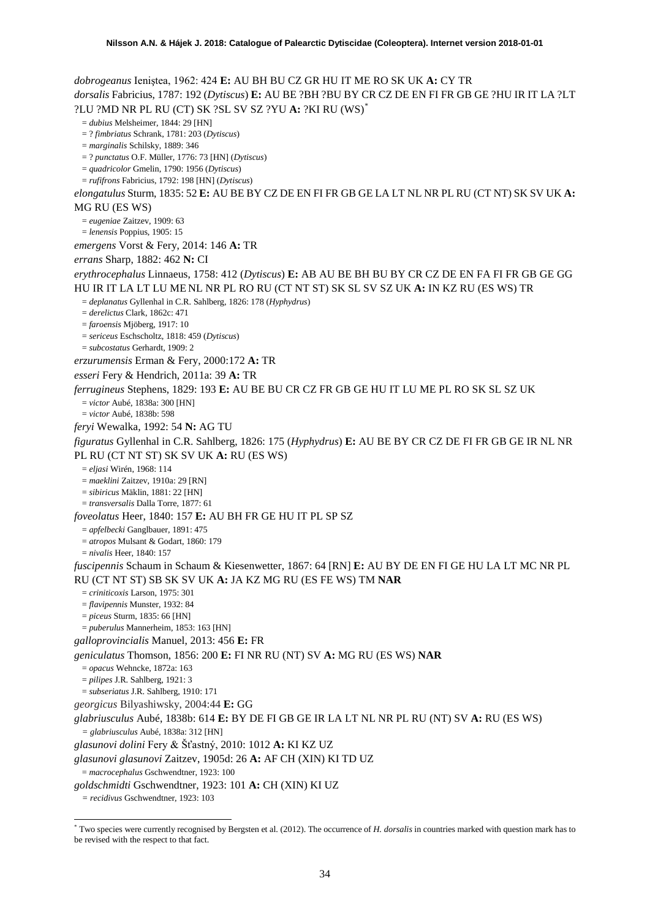*dobrogeanus* Ieniştea, 1962: 424 **E:** AU BH BU CZ GR HU IT ME RO SK UK **A:** CY TR *dorsalis* Fabricius, 1787: 192 (*Dytiscus*) **E:** AU BE ?BH ?BU BY CR CZ DE EN FI FR GB GE ?HU IR IT LA ?LT ?LU ?MD NR PL RU (CT) SK ?SL SV SZ ?YU **A:** ?KI RU (WS)[\\*](#page-33-0) = *dubius* Melsheimer, 1844: 29 [HN] = ? *fimbriatus* Schrank, 1781: 203 (*Dytiscus*) = *marginalis* Schilsky, 1889: 346 = ? *punctatus* O.F. Müller, 1776: 73 [HN] (*Dytiscus*) = *quadricolor* Gmelin, 1790: 1956 (*Dytiscus*) = *rufifrons* Fabricius, 1792: 198 [HN] (*Dytiscus*) *elongatulus* Sturm, 1835: 52 **E:** AU BE BY CZ DE EN FI FR GB GE LA LT NL NR PL RU (CT NT) SK SV UK **A:**  MG RU (ES WS) = *eugeniae* Zaitzev, 1909: 63 = *lenensis* Poppius, 1905: 15 *emergens* Vorst & Fery, 2014: 146 **A:** TR *errans* Sharp, 1882: 462 **N:** CI *erythrocephalus* Linnaeus, 1758: 412 (*Dytiscus*) **E:** AB AU BE BH BU BY CR CZ DE EN FA FI FR GB GE GG HU IR IT LA LT LU ME NL NR PL RO RU (CT NT ST) SK SL SV SZ UK **A:** IN KZ RU (ES WS) TR = *deplanatus* Gyllenhal in C.R. Sahlberg, 1826: 178 (*Hyphydrus*) = *derelictus* Clark, 1862c: 471 = *faroensis* Mjöberg, 1917: 10 = *sericeus* Eschscholtz, 1818: 459 (*Dytiscus*) = *subcostatus* Gerhardt, 1909: 2 *erzurumensis* Erman & Fery, 2000:172 **A:** TR *esseri* Fery & Hendrich, 2011a: 39 **A:** TR *ferrugineus* Stephens, 1829: 193 **E:** AU BE BU CR CZ FR GB GE HU IT LU ME PL RO SK SL SZ UK = *victor* Aubé, 1838a: 300 [HN] = *victor* Aubé, 1838b: 598 *feryi* Wewalka, 1992: 54 **N:** AG TU *figuratus* Gyllenhal in C.R. Sahlberg, 1826: 175 (*Hyphydrus*) **E:** AU BE BY CR CZ DE FI FR GB GE IR NL NR PL RU (CT NT ST) SK SV UK **A:** RU (ES WS) = *eljasi* Wirén, 1968: 114 = *maeklini* Zaitzev, 1910a: 29 [RN] = *sibiricus* Mäklin, 1881: 22 [HN] = *transversalis* Dalla Torre, 1877: 61 *foveolatus* Heer, 1840: 157 **E:** AU BH FR GE HU IT PL SP SZ = *apfelbecki* Ganglbauer, 1891: 475 = *atropos* Mulsant & Godart, 1860: 179 = *nivalis* Heer, 1840: 157 *fuscipennis* Schaum in Schaum & Kiesenwetter, 1867: 64 [RN] **E:** AU BY DE EN FI GE HU LA LT MC NR PL RU (CT NT ST) SB SK SV UK **A:** JA KZ MG RU (ES FE WS) TM **NAR** = *criniticoxis* Larson, 1975: 301 = *flavipennis* Munster, 1932: 84 = *piceus* Sturm, 1835: 66 [HN] = *puberulus* Mannerheim, 1853: 163 [HN] *galloprovincialis* Manuel, 2013: 456 **E:** FR *geniculatus* Thomson, 1856: 200 **E:** FI NR RU (NT) SV **A:** MG RU (ES WS) **NAR** = *opacus* Wehncke, 1872a: 163 = *pilipes* J.R. Sahlberg, 1921: 3 = *subseriatus* J.R. Sahlberg, 1910: 171 *georgicus* Bilyashiwsky, 2004:44 **E:** GG *glabriusculus* Aubé, 1838b: 614 **E:** BY DE FI GB GE IR LA LT NL NR PL RU (NT) SV **A:** RU (ES WS) *= glabriusculus* Aubé, 1838a: 312 [HN] *glasunovi dolini* Fery & Šťastný, 2010: 1012 **A:** KI KZ UZ *glasunovi glasunovi* Zaitzev, 1905d: 26 **A:** AF CH (XIN) KI TD UZ = *macrocephalus* Gschwendtner, 1923: 100 *goldschmidti* Gschwendtner, 1923: 101 **A:** CH (XIN) KI UZ *= recidivus* Gschwendtner, 1923: 103

<span id="page-33-0"></span> <sup>\*</sup> Two species were currently recognised by Bergsten et al. (2012). The occurrence of *H. dorsalis* in countries marked with question mark has to be revised with the respect to that fact.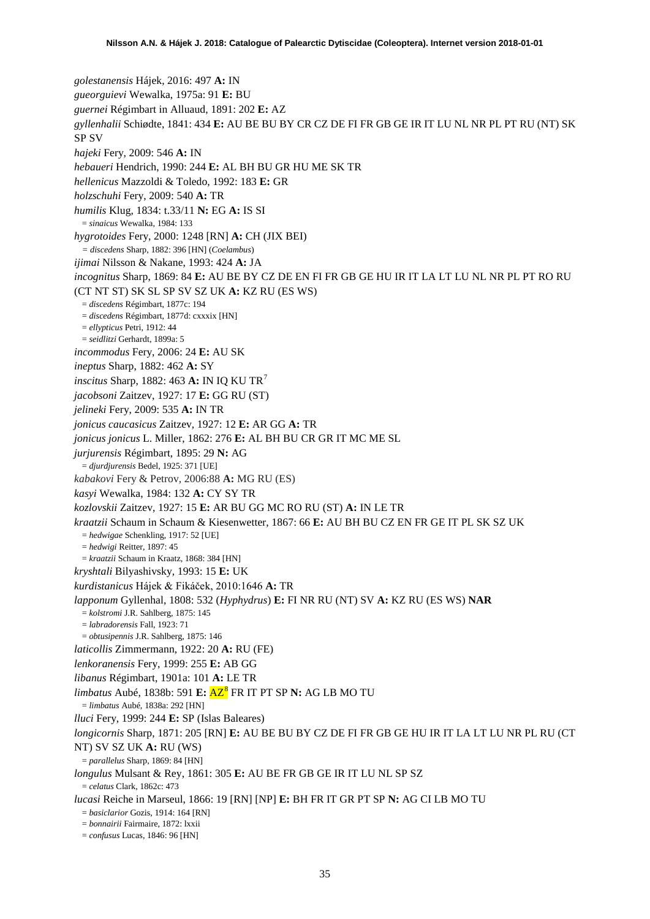*golestanensis* Hájek, 2016: 497 **A:** IN *gueorguievi* Wewalka, 1975a: 91 **E:** BU *guernei* Régimbart in Alluaud, 1891: 202 **E:** AZ *gyllenhalii* Schiødte, 1841: 434 **E:** AU BE BU BY CR CZ DE FI FR GB GE IR IT LU NL NR PL PT RU (NT) SK SP SV *hajeki* Fery, 2009: 546 **A:** IN *hebaueri* Hendrich, 1990: 244 **E:** AL BH BU GR HU ME SK TR *hellenicus* Mazzoldi & Toledo, 1992: 183 **E:** GR *holzschuhi* Fery, 2009: 540 **A:** TR *humilis* Klug, 1834: t.33/11 **N:** EG **A:** IS SI = *sinaicus* Wewalka, 1984: 133 *hygrotoides* Fery, 2000: 1248 [RN] **A:** CH (JIX BEI) *= discedens* Sharp, 1882: 396 [HN] (*Coelambus*) *ijimai* Nilsson & Nakane, 1993: 424 **A:** JA *incognitus* Sharp, 1869: 84 **E:** AU BE BY CZ DE EN FI FR GB GE HU IR IT LA LT LU NL NR PL PT RO RU (CT NT ST) SK SL SP SV SZ UK **A:** KZ RU (ES WS) = *discedens* Régimbart, 1877c: 194 = *discedens* Régimbart, 1877d: cxxxix [HN] = *ellypticus* Petri, 1912: 44 = *seidlitzi* Gerhardt, 1899a: 5 *incommodus* Fery, 2006: 24 **E:** AU SK *ineptus* Sharp, 1882: 462 **A:** SY *inscitus* Sharp, 1882: 463 **A:** IN IQ KU TR[7](#page-51-4) *jacobsoni* Zaitzev, 1927: 17 **E:** GG RU (ST) *jelineki* Fery, 2009: 535 **A:** IN TR *jonicus caucasicus* Zaitzev, 1927: 12 **E:** AR GG **A:** TR *jonicus jonicus* L. Miller, 1862: 276 **E:** AL BH BU CR GR IT MC ME SL *jurjurensis* Régimbart, 1895: 29 **N:** AG = *djurdjurensis* Bedel, 1925: 371 [UE] *kabakovi* Fery & Petrov, 2006:88 **A:** MG RU (ES) *kasyi* Wewalka, 1984: 132 **A:** CY SY TR *kozlovskii* Zaitzev, 1927: 15 **E:** AR BU GG MC RO RU (ST) **A:** IN LE TR *kraatzii* Schaum in Schaum & Kiesenwetter, 1867: 66 **E:** AU BH BU CZ EN FR GE IT PL SK SZ UK = *hedwigae* Schenkling, 1917: 52 [UE] = *hedwigi* Reitter, 1897: 45 = *kraatzii* Schaum in Kraatz, 1868: 384 [HN] *kryshtali* Bilyashivsky, 1993: 15 **E:** UK *kurdistanicus* Hájek & Fikáček, 2010:1646 **A:** TR *lapponum* Gyllenhal, 1808: 532 (*Hyphydrus*) **E:** FI NR RU (NT) SV **A:** KZ RU (ES WS) **NAR** = *kolstromi* J.R. Sahlberg, 1875: 145 = *labradorensis* Fall, 1923: 71 = *obtusipennis* J.R. Sahlberg, 1875: 146 *laticollis* Zimmermann, 1922: 20 **A:** RU (FE) *lenkoranensis* Fery, 1999: 255 **E:** AB GG *libanus* Régimbart, 1901a: 101 **A:** LE TR *limbatus* Aubé, 1838b: 591 **E:** AZ[8](#page-51-5) FR IT PT SP **N:** AG LB MO TU = *limbatus* Aubé, 1838a: 292 [HN] *lluci* Fery, 1999: 244 **E:** SP (Islas Baleares) *longicornis* Sharp, 1871: 205 [RN] **E:** AU BE BU BY CZ DE FI FR GB GE HU IR IT LA LT LU NR PL RU (CT NT) SV SZ UK **A:** RU (WS) = *parallelus* Sharp, 1869: 84 [HN] *longulus* Mulsant & Rey, 1861: 305 **E:** AU BE FR GB GE IR IT LU NL SP SZ = *celatus* Clark, 1862c: 473 *lucasi* Reiche in Marseul, 1866: 19 [RN] [NP] **E:** BH FR IT GR PT SP **N:** AG CI LB MO TU = *basiclarior* Gozis, 1914: 164 [RN] = *bonnairii* Fairmaire, 1872: lxxii = *confusus* Lucas, 1846: 96 [HN]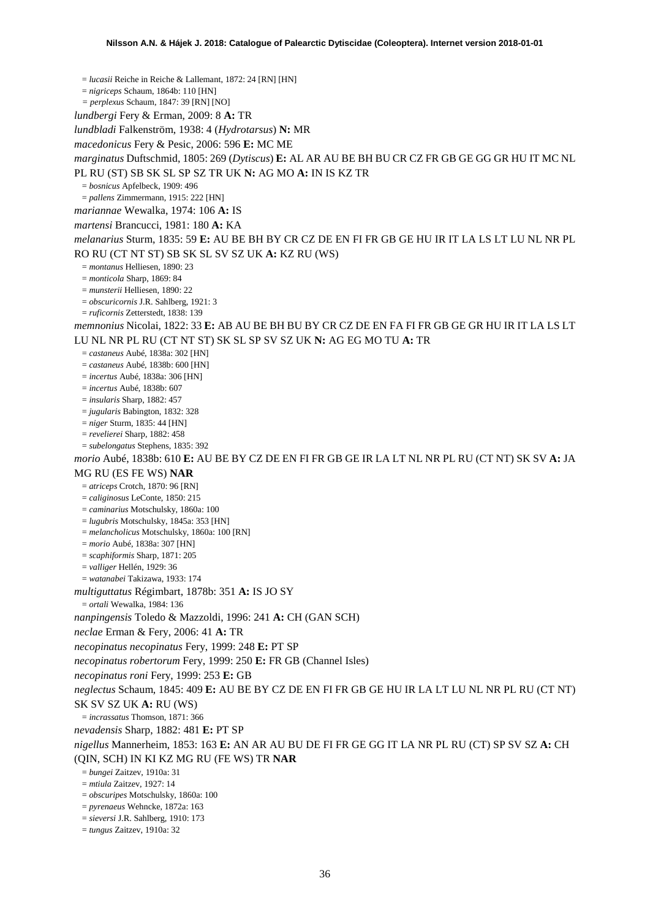= *lucasii* Reiche in Reiche & Lallemant, 1872: 24 [RN] [HN] = *nigriceps* Schaum, 1864b: 110 [HN] *= perplexus* Schaum, 1847: 39 [RN] [NO] *lundbergi* Fery & Erman, 2009: 8 **A:** TR *lundbladi* Falkenström, 1938: 4 (*Hydrotarsus*) **N:** MR *macedonicus* Fery & Pesic, 2006: 596 **E:** MC ME *marginatus* Duftschmid, 1805: 269 (*Dytiscus*) **E:** AL AR AU BE BH BU CR CZ FR GB GE GG GR HU IT MC NL PL RU (ST) SB SK SL SP SZ TR UK **N:** AG MO **A:** IN IS KZ TR = *bosnicus* Apfelbeck, 1909: 496 = *pallens* Zimmermann, 1915: 222 [HN] *mariannae* Wewalka, 1974: 106 **A:** IS *martensi* Brancucci, 1981: 180 **A:** KA *melanarius* Sturm, 1835: 59 **E:** AU BE BH BY CR CZ DE EN FI FR GB GE HU IR IT LA LS LT LU NL NR PL RO RU (CT NT ST) SB SK SL SV SZ UK **A:** KZ RU (WS) = *montanus* Helliesen, 1890: 23 = *monticola* Sharp, 1869: 84 = *munsterii* Helliesen, 1890: 22 = *obscuricornis* J.R. Sahlberg, 1921: 3 = *ruficornis* Zetterstedt, 1838: 139 *memnonius* Nicolai, 1822: 33 **E:** AB AU BE BH BU BY CR CZ DE EN FA FI FR GB GE GR HU IR IT LA LS LT LU NL NR PL RU (CT NT ST) SK SL SP SV SZ UK **N:** AG EG MO TU **A:** TR = *castaneus* Aubé, 1838a: 302 [HN] = *castaneus* Aubé, 1838b: 600 [HN] = *incertus* Aubé, 1838a: 306 [HN] = *incertus* Aubé, 1838b: 607 = *insularis* Sharp, 1882: 457 = *jugularis* Babington, 1832: 328 = *niger* Sturm, 1835: 44 [HN] = *revelierei* Sharp, 1882: 458 = *subelongatus* Stephens, 1835: 392 *morio* Aubé, 1838b: 610 **E:** AU BE BY CZ DE EN FI FR GB GE IR LA LT NL NR PL RU (CT NT) SK SV **A:** JA MG RU (ES FE WS) **NAR** = *atriceps* Crotch, 1870: 96 [RN] = *caliginosus* LeConte, 1850: 215 = *caminarius* Motschulsky, 1860a: 100 = *lugubris* Motschulsky, 1845a: 353 [HN] = *melancholicus* Motschulsky, 1860a: 100 [RN] = *morio* Aubé, 1838a: 307 [HN] = *scaphiformis* Sharp, 1871: 205 = *valliger* Hellén, 1929: 36 = *watanabei* Takizawa, 1933: 174 *multiguttatus* Régimbart, 1878b: 351 **A:** IS JO SY = *ortali* Wewalka, 1984: 136 *nanpingensis* Toledo & Mazzoldi, 1996: 241 **A:** CH (GAN SCH) *neclae* Erman & Fery, 2006: 41 **A:** TR *necopinatus necopinatus* Fery, 1999: 248 **E:** PT SP *necopinatus robertorum* Fery, 1999: 250 **E:** FR GB (Channel Isles) *necopinatus roni* Fery, 1999: 253 **E:** GB *neglectus* Schaum, 1845: 409 **E:** AU BE BY CZ DE EN FI FR GB GE HU IR LA LT LU NL NR PL RU (CT NT) SK SV SZ UK **A:** RU (WS) = *incrassatus* Thomson, 1871: 366 *nevadensis* Sharp, 1882: 481 **E:** PT SP *nigellus* Mannerheim, 1853: 163 **E:** AN AR AU BU DE FI FR GE GG IT LA NR PL RU (CT) SP SV SZ **A:** CH (QIN, SCH) IN KI KZ MG RU (FE WS) TR **NAR** = *bungei* Zaitzev, 1910a: 31 = *mtiula* Zaitzev, 1927: 14 = *obscuripes* Motschulsky, 1860a: 100 = *pyrenaeus* Wehncke, 1872a: 163 = *sieversi* J.R. Sahlberg, 1910: 173 = *tungus* Zaitzev, 1910a: 32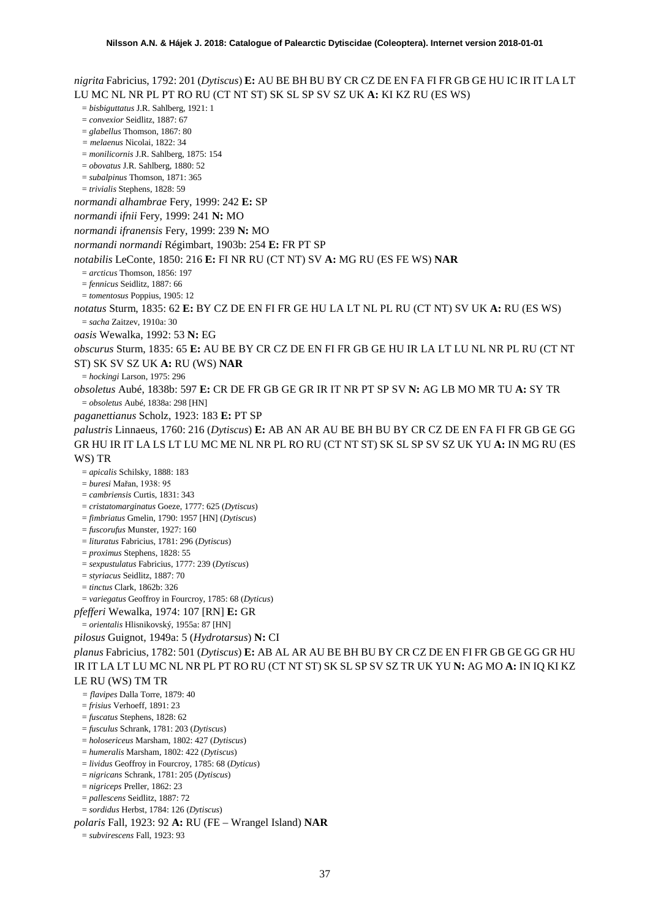*nigrita* Fabricius, 1792: 201 (*Dytiscus*) **E:** AU BE BH BU BY CR CZ DE EN FA FI FR GB GE HU IC IR IT LA LT LU MC NL NR PL PT RO RU (CT NT ST) SK SL SP SV SZ UK **A:** KI KZ RU (ES WS) = *bisbiguttatus* J.R. Sahlberg, 1921: 1 = *convexior* Seidlitz, 1887: 67 = *glabellus* Thomson, 1867: 80 *= melaenus* Nicolai, 1822: 34 = *monilicornis* J.R. Sahlberg, 1875: 154 = *obovatus* J.R. Sahlberg, 1880: 52 = *subalpinus* Thomson, 1871: 365 = *trivialis* Stephens, 1828: 59 *normandi alhambrae* Fery, 1999: 242 **E:** SP *normandi ifnii* Fery, 1999: 241 **N:** MO *normandi ifranensis* Fery, 1999: 239 **N:** MO *normandi normandi* Régimbart, 1903b: 254 **E:** FR PT SP *notabilis* LeConte, 1850: 216 **E:** FI NR RU (CT NT) SV **A:** MG RU (ES FE WS) **NAR** = *arcticus* Thomson, 1856: 197 = *fennicus* Seidlitz, 1887: 66 = *tomentosus* Poppius, 1905: 12 *notatus* Sturm, 1835: 62 **E:** BY CZ DE EN FI FR GE HU LA LT NL PL RU (CT NT) SV UK **A:** RU (ES WS) = *sacha* Zaitzev, 1910a: 30 *oasis* Wewalka, 1992: 53 **N:** EG *obscurus* Sturm, 1835: 65 **E:** AU BE BY CR CZ DE EN FI FR GB GE HU IR LA LT LU NL NR PL RU (CT NT ST) SK SV SZ UK **A:** RU (WS) **NAR** = *hockingi* Larson, 1975: 296 *obsoletus* Aubé, 1838b: 597 **E:** CR DE FR GB GE GR IR IT NR PT SP SV **N:** AG LB MO MR TU **A:** SY TR = *obsoletus* Aubé, 1838a: 298 [HN] *paganettianus* Scholz, 1923: 183 **E:** PT SP *palustris* Linnaeus, 1760: 216 (*Dytiscus*) **E:** AB AN AR AU BE BH BU BY CR CZ DE EN FA FI FR GB GE GG GR HU IR IT LA LS LT LU MC ME NL NR PL RO RU (CT NT ST) SK SL SP SV SZ UK YU **A:** IN MG RU (ES WS) TR = *apicalis* Schilsky, 1888: 183 = *buresi* Mařan, 1938: 95 = *cambriensis* Curtis, 1831: 343 = *cristatomarginatus* Goeze, 1777: 625 (*Dytiscus*) = *fimbriatus* Gmelin, 1790: 1957 [HN] (*Dytiscus*) = *fuscorufus* Munster, 1927: 160 = *lituratus* Fabricius, 1781: 296 (*Dytiscus*) = *proximus* Stephens, 1828: 55 = *sexpustulatus* Fabricius, 1777: 239 (*Dytiscus*) = *styriacus* Seidlitz, 1887: 70 = *tinctus* Clark, 1862b: 326 = *variegatus* Geoffroy in Fourcroy, 1785: 68 (*Dyticus*) *pfefferi* Wewalka, 1974: 107 [RN] **E:** GR = *orientalis* Hlisnikovský, 1955a: 87 [HN] *pilosus* Guignot, 1949a: 5 (*Hydrotarsus*) **N:** CI *planus* Fabricius, 1782: 501 (*Dytiscus*) **E:** AB AL AR AU BE BH BU BY CR CZ DE EN FI FR GB GE GG GR HU IR IT LA LT LU MC NL NR PL PT RO RU (CT NT ST) SK SL SP SV SZ TR UK YU **N:** AG MO **A:** IN IQ KI KZ LE RU (WS) TM TR *= flavipes* Dalla Torre, 1879: 40 = *frisius* Verhoeff, 1891: 23 = *fuscatus* Stephens, 1828: 62 = *fusculus* Schrank, 1781: 203 (*Dytiscus*) = *holosericeus* Marsham, 1802: 427 (*Dytiscus*) = *humeralis* Marsham, 1802: 422 (*Dytiscus*) = *lividus* Geoffroy in Fourcroy, 1785: 68 (*Dyticus*) = *nigricans* Schrank, 1781: 205 (*Dytiscus*) = *nigriceps* Preller, 1862: 23 = *pallescens* Seidlitz, 1887: 72

= *sordidus* Herbst, 1784: 126 (*Dytiscus*)

*polaris* Fall, 1923: 92 **A:** RU (FE – Wrangel Island) **NAR**

= *subvirescens* Fall, 1923: 93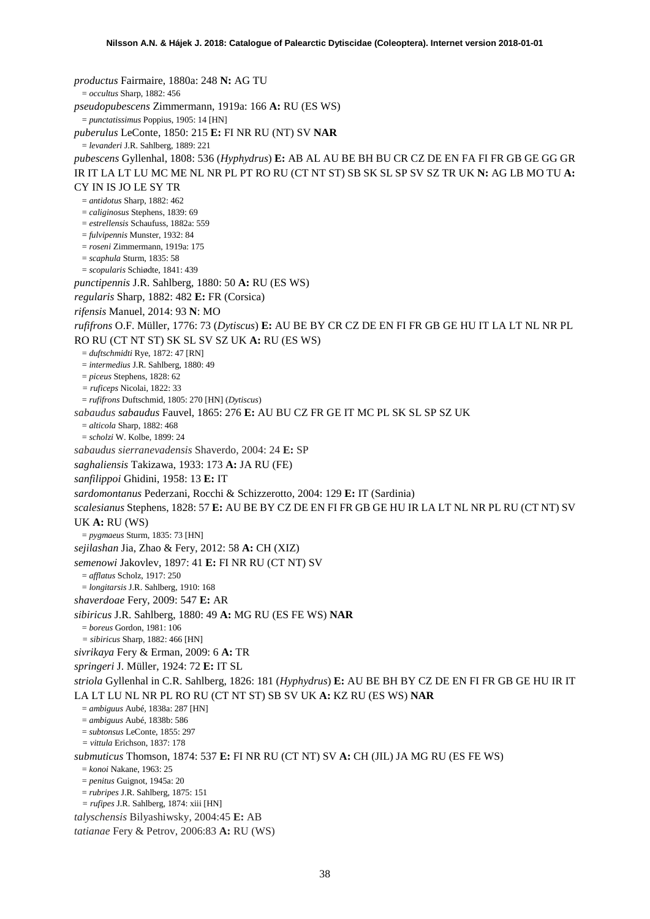*productus* Fairmaire, 1880a: 248 **N:** AG TU = *occultus* Sharp, 1882: 456 *pseudopubescens* Zimmermann, 1919a: 166 **A:** RU (ES WS) = *punctatissimus* Poppius, 1905: 14 [HN] *puberulus* LeConte, 1850: 215 **E:** FI NR RU (NT) SV **NAR** = *levanderi* J.R. Sahlberg, 1889: 221 *pubescens* Gyllenhal, 1808: 536 (*Hyphydrus*) **E:** AB AL AU BE BH BU CR CZ DE EN FA FI FR GB GE GG GR IR IT LA LT LU MC ME NL NR PL PT RO RU (CT NT ST) SB SK SL SP SV SZ TR UK **N:** AG LB MO TU **A:**  CY IN IS JO LE SY TR = *antidotus* Sharp, 1882: 462 = *caliginosus* Stephens, 1839: 69 = *estrellensis* Schaufuss, 1882a: 559 = *fulvipennis* Munster, 1932: 84 = *roseni* Zimmermann, 1919a: 175  $=$  *scaphula* Sturm, 1835; 58 = *scopularis* Schiødte, 1841: 439 *punctipennis* J.R. Sahlberg, 1880: 50 **A:** RU (ES WS) *regularis* Sharp, 1882: 482 **E:** FR (Corsica) *rifensis* Manuel, 2014: 93 **N**: MO *rufifrons* O.F. Müller, 1776: 73 (*Dytiscus*) **E:** AU BE BY CR CZ DE EN FI FR GB GE HU IT LA LT NL NR PL RO RU (CT NT ST) SK SL SV SZ UK **A:** RU (ES WS) = *duftschmidti* Rye, 1872: 47 [RN] = *intermedius* J.R. Sahlberg, 1880: 49 = *piceus* Stephens, 1828: 62 *= ruficeps* Nicolai, 1822: 33 = *rufifrons* Duftschmid, 1805: 270 [HN] (*Dytiscus*) *sabaudus sabaudus* Fauvel, 1865: 276 **E:** AU BU CZ FR GE IT MC PL SK SL SP SZ UK = *alticola* Sharp, 1882: 468 = *scholzi* W. Kolbe, 1899: 24 *sabaudus sierranevadensis* Shaverdo, 2004: 24 **E:** SP *saghaliensis* Takizawa, 1933: 173 **A:** JA RU (FE) *sanfilippoi* Ghidini, 1958: 13 **E:** IT *sardomontanus* Pederzani, Rocchi & Schizzerotto, 2004: 129 **E:** IT (Sardinia) *scalesianus* Stephens, 1828: 57 **E:** AU BE BY CZ DE EN FI FR GB GE HU IR LA LT NL NR PL RU (CT NT) SV UK **A:** RU (WS) = *pygmaeus* Sturm, 1835: 73 [HN] *sejilashan* Jia, Zhao & Fery, 2012: 58 **A:** CH (XIZ) *semenowi* Jakovlev, 1897: 41 **E:** FI NR RU (CT NT) SV = *afflatus* Scholz, 1917: 250 = *longitarsis* J.R. Sahlberg, 1910: 168 *shaverdoae* Fery, 2009: 547 **E:** AR *sibiricus* J.R. Sahlberg, 1880: 49 **A:** MG RU (ES FE WS) **NAR** = *boreus* Gordon, 1981: 106 *= sibiricus* Sharp, 1882: 466 [HN] *sivrikaya* Fery & Erman, 2009: 6 **A:** TR *springeri* J. Müller, 1924: 72 **E:** IT SL *striola* Gyllenhal in C.R. Sahlberg, 1826: 181 (*Hyphydrus*) **E:** AU BE BH BY CZ DE EN FI FR GB GE HU IR IT LA LT LU NL NR PL RO RU (CT NT ST) SB SV UK **A:** KZ RU (ES WS) **NAR** = *ambiguus* Aubé, 1838a: 287 [HN] = *ambiguus* Aubé, 1838b: 586 = *subtonsus* LeConte, 1855: 297 *= vittula* Erichson, 1837: 178 *submuticus* Thomson, 1874: 537 **E:** FI NR RU (CT NT) SV **A:** CH (JIL) JA MG RU (ES FE WS) = *konoi* Nakane, 1963: 25 = *penitus* Guignot, 1945a: 20 = *rubripes* J.R. Sahlberg, 1875: 151 *= rufipes* J.R. Sahlberg, 1874: xiii [HN] *talyschensis* Bilyashiwsky, 2004:45 **E:** AB *tatianae* Fery & Petrov, 2006:83 **A:** RU (WS)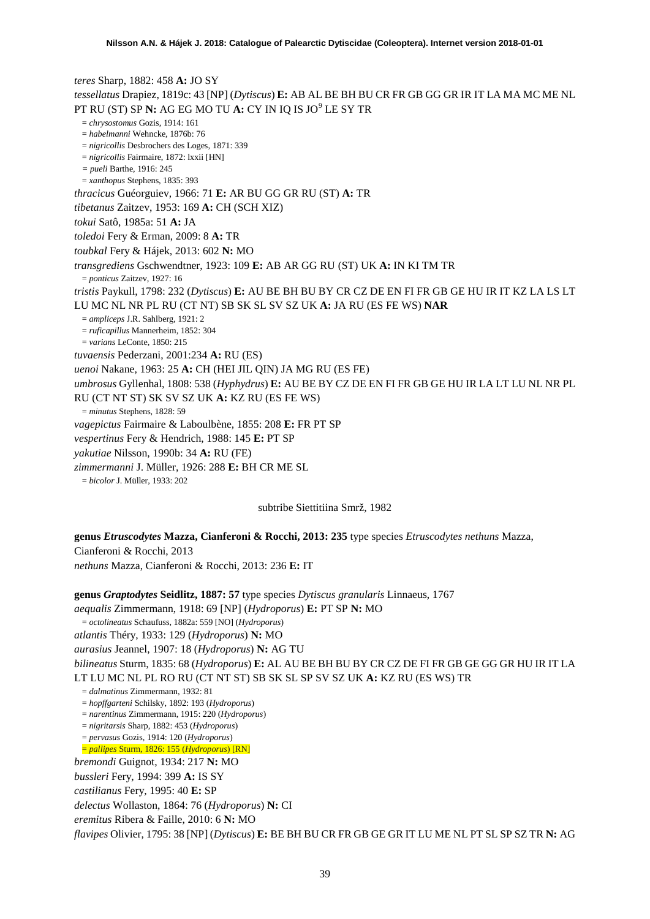*teres* Sharp, 1882: 458 **A:** JO SY *tessellatus* Drapiez, 1819c: 43 [NP] (*Dytiscus*) **E:** AB AL BE BH BU CR FR GB GG GR IR IT LA MA MC ME NL PT RU (ST) SP **N:** AG EG MO TU **A:** CY IN IQ IS JO[9](#page-51-6) LE SY TR = *chrysostomus* Gozis, 1914: 161 = *habelmanni* Wehncke, 1876b: 76 = *nigricollis* Desbrochers des Loges, 1871: 339 = *nigricollis* Fairmaire, 1872: lxxii [HN] *= pueli* Barthe, 1916: 245 = *xanthopus* Stephens, 1835: 393 *thracicus* Guéorguiev, 1966: 71 **E:** AR BU GG GR RU (ST) **A:** TR *tibetanus* Zaitzev, 1953: 169 **A:** CH (SCH XIZ) *tokui* Satô, 1985a: 51 **A:** JA *toledoi* Fery & Erman, 2009: 8 **A:** TR *toubkal* Fery & Hájek, 2013: 602 **N:** MO *transgrediens* Gschwendtner, 1923: 109 **E:** AB AR GG RU (ST) UK **A:** IN KI TM TR = *ponticus* Zaitzev, 1927: 16 *tristis* Paykull, 1798: 232 (*Dytiscus*) **E:** AU BE BH BU BY CR CZ DE EN FI FR GB GE HU IR IT KZ LA LS LT LU MC NL NR PL RU (CT NT) SB SK SL SV SZ UK **A:** JA RU (ES FE WS) **NAR** = *ampliceps* J.R. Sahlberg, 1921: 2 = *ruficapillus* Mannerheim, 1852: 304 = *varians* LeConte, 1850: 215 *tuvaensis* Pederzani, 2001:234 **A:** RU (ES) *uenoi* Nakane, 1963: 25 **A:** CH (HEI JIL QIN) JA MG RU (ES FE) *umbrosus* Gyllenhal, 1808: 538 (*Hyphydrus*) **E:** AU BE BY CZ DE EN FI FR GB GE HU IR LA LT LU NL NR PL RU (CT NT ST) SK SV SZ UK **A:** KZ RU (ES FE WS) = *minutus* Stephens, 1828: 59 *vagepictus* Fairmaire & Laboulbène, 1855: 208 **E:** FR PT SP *vespertinus* Fery & Hendrich, 1988: 145 **E:** PT SP *yakutiae* Nilsson, 1990b: 34 **A:** RU (FE) *zimmermanni* J. Müller, 1926: 288 **E:** BH CR ME SL = *bicolor* J. Müller, 1933: 202

subtribe Siettitiina Smrž, 1982

**genus** *Etruscodytes* **Mazza, Cianferoni & Rocchi, 2013: 235** type species *Etruscodytes nethuns* Mazza, Cianferoni & Rocchi, 2013 *nethuns* Mazza, Cianferoni & Rocchi, 2013: 236 **E:** IT

**genus** *Graptodytes* **Seidlitz, 1887: 57** type species *Dytiscus granularis* Linnaeus, 1767

*aequalis* Zimmermann, 1918: 69 [NP] (*Hydroporus*) **E:** PT SP **N:** MO

= *octolineatus* Schaufuss, 1882a: 559 [NO] (*Hydroporus*)

*atlantis* Théry, 1933: 129 (*Hydroporus*) **N:** MO

*aurasius* Jeannel, 1907: 18 (*Hydroporus*) **N:** AG TU

*bilineatus* Sturm, 1835: 68 (*Hydroporus*) **E:** AL AU BE BH BU BY CR CZ DE FI FR GB GE GG GR HU IR IT LA LT LU MC NL PL RO RU (CT NT ST) SB SK SL SP SV SZ UK **A:** KZ RU (ES WS) TR

= *dalmatinus* Zimmermann, 1932: 81

= *hopffgarteni* Schilsky, 1892: 193 (*Hydroporus*)

= *narentinus* Zimmermann, 1915: 220 (*Hydroporus*)

= *nigritarsis* Sharp, 1882: 453 (*Hydroporus*)

= *pervasus* Gozis, 1914: 120 (*Hydroporus*)

= *pallipes* Sturm, 1826: 155 (*Hydroporus*) [RN]

*bremondi* Guignot, 1934: 217 **N:** MO

*bussleri* Fery, 1994: 399 **A:** IS SY

*castilianus* Fery, 1995: 40 **E:** SP

*delectus* Wollaston, 1864: 76 (*Hydroporus*) **N:** CI

*eremitus* Ribera & Faille, 2010: 6 **N:** MO

*flavipes* Olivier, 1795: 38 [NP] (*Dytiscus*) **E:** BE BH BU CR FR GB GE GR IT LU ME NL PT SL SP SZ TR **N:** AG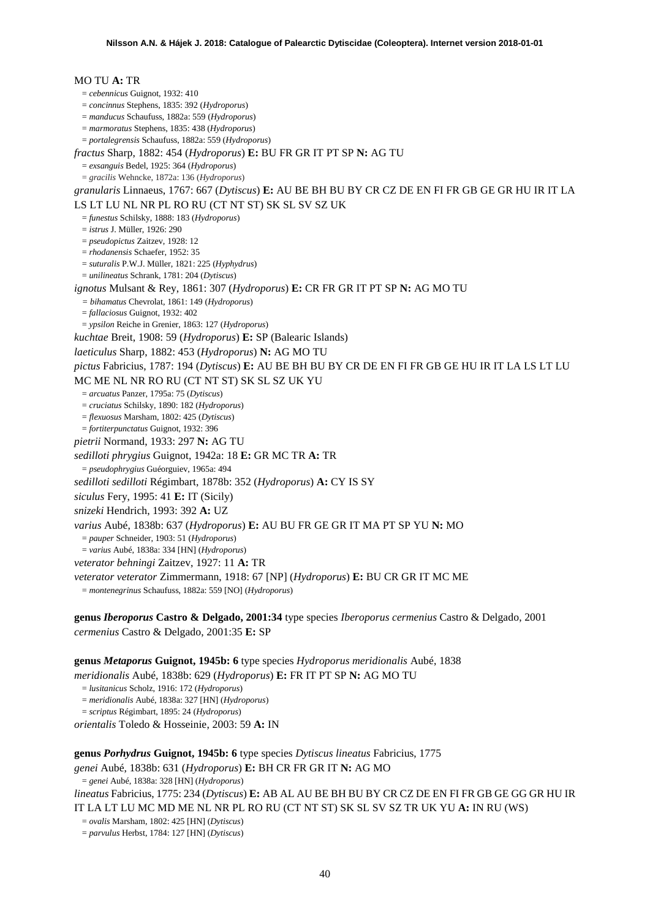## MO TU **A:** TR = *cebennicus* Guignot, 1932: 410 = *concinnus* Stephens, 1835: 392 (*Hydroporus*) = *manducus* Schaufuss, 1882a: 559 (*Hydroporus*) = *marmoratus* Stephens, 1835: 438 (*Hydroporus*) = *portalegrensis* Schaufuss, 1882a: 559 (*Hydroporus*) *fractus* Sharp, 1882: 454 (*Hydroporus*) **E:** BU FR GR IT PT SP **N:** AG TU = *exsanguis* Bedel, 1925: 364 (*Hydroporus*) = *gracilis* Wehncke, 1872a: 136 (*Hydroporus*) *granularis* Linnaeus, 1767: 667 (*Dytiscus*) **E:** AU BE BH BU BY CR CZ DE EN FI FR GB GE GR HU IR IT LA LS LT LU NL NR PL RO RU (CT NT ST) SK SL SV SZ UK = *funestus* Schilsky, 1888: 183 (*Hydroporus*) = *istrus* J. Müller, 1926: 290 = *pseudopictus* Zaitzev, 1928: 12 = *rhodanensis* Schaefer, 1952: 35 = *suturalis* P.W.J. Müller, 1821: 225 (*Hyphydrus*) = *unilineatus* Schrank, 1781: 204 (*Dytiscus*) *ignotus* Mulsant & Rey, 1861: 307 (*Hydroporus*) **E:** CR FR GR IT PT SP **N:** AG MO TU *= bihamatus* Chevrolat, 1861: 149 (*Hydroporus*) = *fallaciosus* Guignot, 1932: 402 = *ypsilon* Reiche in Grenier, 1863: 127 (*Hydroporus*) *kuchtae* Breit, 1908: 59 (*Hydroporus*) **E:** SP (Balearic Islands) *laeticulus* Sharp, 1882: 453 (*Hydroporus*) **N:** AG MO TU *pictus* Fabricius, 1787: 194 (*Dytiscus*) **E:** AU BE BH BU BY CR DE EN FI FR GB GE HU IR IT LA LS LT LU MC ME NL NR RO RU (CT NT ST) SK SL SZ UK YU = *arcuatus* Panzer, 1795a: 75 (*Dytiscus*) = *cruciatus* Schilsky, 1890: 182 (*Hydroporus*) = *flexuosus* Marsham, 1802: 425 (*Dytiscus*) = *fortiterpunctatus* Guignot, 1932: 396 *pietrii* Normand, 1933: 297 **N:** AG TU *sedilloti phrygius* Guignot, 1942a: 18 **E:** GR MC TR **A:** TR = *pseudophrygius* Guéorguiev, 1965a: 494 *sedilloti sedilloti* Régimbart, 1878b: 352 (*Hydroporus*) **A:** CY IS SY *siculus* Fery, 1995: 41 **E:** IT (Sicily) *snizeki* Hendrich, 1993: 392 **A:** UZ *varius* Aubé, 1838b: 637 (*Hydroporus*) **E:** AU BU FR GE GR IT MA PT SP YU **N:** MO = *pauper* Schneider, 1903: 51 (*Hydroporus*) = *varius* Aubé, 1838a: 334 [HN] (*Hydroporus*) *veterator behningi* Zaitzev, 1927: 11 **A:** TR *veterator veterator* Zimmermann, 1918: 67 [NP] (*Hydroporus*) **E:** BU CR GR IT MC ME = *montenegrinus* Schaufuss, 1882a: 559 [NO] (*Hydroporus*) **genus** *Iberoporus* **Castro & Delgado, 2001:34** type species *Iberoporus cermenius* Castro & Delgado, 2001 *cermenius* Castro & Delgado, 2001:35 **E:** SP

**genus** *Metaporus* **Guignot, 1945b: 6** type species *Hydroporus meridionalis* Aubé, 1838 *meridionalis* Aubé, 1838b: 629 (*Hydroporus*) **E:** FR IT PT SP **N:** AG MO TU = *lusitanicus* Scholz, 1916: 172 (*Hydroporus*) = *meridionalis* Aubé, 1838a: 327 [HN] (*Hydroporus*) = *scriptus* Régimbart, 1895: 24 (*Hydroporus*) *orientalis* Toledo & Hosseinie, 2003: 59 **A:** IN

**genus** *Porhydrus* **Guignot, 1945b: 6** type species *Dytiscus lineatus* Fabricius, 1775 *genei* Aubé, 1838b: 631 (*Hydroporus*) **E:** BH CR FR GR IT **N:** AG MO = *genei* Aubé, 1838a: 328 [HN] (*Hydroporus*) *lineatus* Fabricius, 1775: 234 (*Dytiscus*) **E:** AB AL AU BE BH BU BY CR CZ DE EN FI FR GB GE GG GR HU IR IT LA LT LU MC MD ME NL NR PL RO RU (CT NT ST) SK SL SV SZ TR UK YU **A:** IN RU (WS) = *ovalis* Marsham, 1802: 425 [HN] (*Dytiscus*) = *parvulus* Herbst, 1784: 127 [HN] (*Dytiscus*)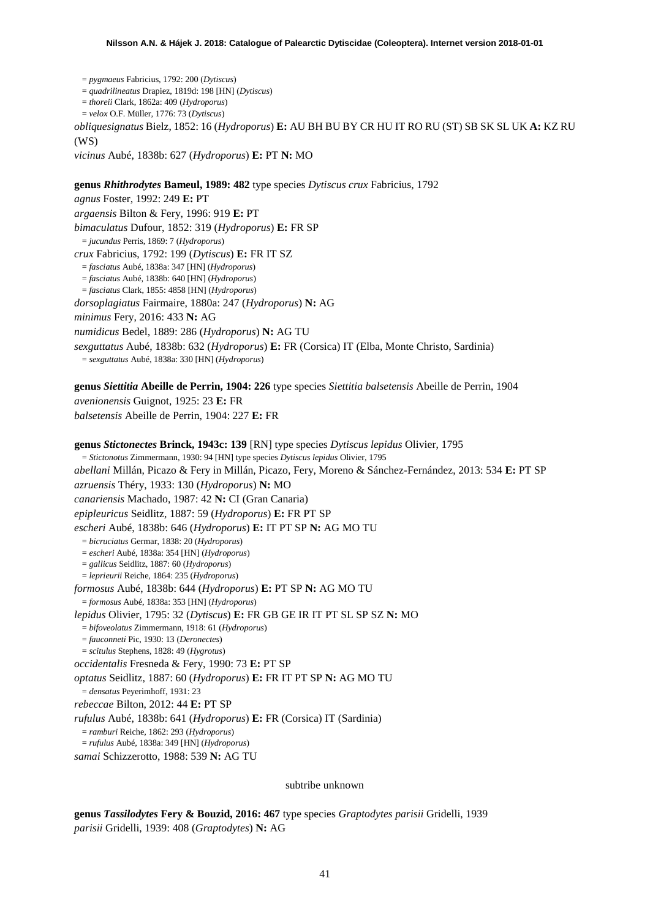= *pygmaeus* Fabricius, 1792: 200 (*Dytiscus*) = *quadrilineatus* Drapiez, 1819d: 198 [HN] (*Dytiscus*) = *thoreii* Clark, 1862a: 409 (*Hydroporus*) = *velox* O.F. Müller, 1776: 73 (*Dytiscus*) *obliquesignatus* Bielz, 1852: 16 (*Hydroporus*) **E:** AU BH BU BY CR HU IT RO RU (ST) SB SK SL UK **A:** KZ RU  $(WS)$ 

*vicinus* Aubé, 1838b: 627 (*Hydroporus*) **E:** PT **N:** MO

**genus** *Rhithrodytes* **Bameul, 1989: 482** type species *Dytiscus crux* Fabricius, 1792 *agnus* Foster, 1992: 249 **E:** PT *argaensis* Bilton & Fery, 1996: 919 **E:** PT *bimaculatus* Dufour, 1852: 319 (*Hydroporus*) **E:** FR SP = *jucundus* Perris, 1869: 7 (*Hydroporus*) *crux* Fabricius, 1792: 199 (*Dytiscus*) **E:** FR IT SZ = *fasciatus* Aubé, 1838a: 347 [HN] (*Hydroporus*) = *fasciatus* Aubé, 1838b: 640 [HN] (*Hydroporus*) = *fasciatus* Clark, 1855: 4858 [HN] (*Hydroporus*) *dorsoplagiatus* Fairmaire, 1880a: 247 (*Hydroporus*) **N:** AG *minimus* Fery, 2016: 433 **N:** AG *numidicus* Bedel, 1889: 286 (*Hydroporus*) **N:** AG TU *sexguttatus* Aubé, 1838b: 632 (*Hydroporus*) **E:** FR (Corsica) IT (Elba, Monte Christo, Sardinia) = *sexguttatus* Aubé, 1838a: 330 [HN] (*Hydroporus*)

**genus** *Siettitia* **Abeille de Perrin, 1904: 226** type species *Siettitia balsetensis* Abeille de Perrin, 1904 *avenionensis* Guignot, 1925: 23 **E:** FR *balsetensis* Abeille de Perrin, 1904: 227 **E:** FR

**genus** *Stictonectes* **Brinck, 1943c: 139** [RN] type species *Dytiscus lepidus* Olivier, 1795 = *Stictonotus* Zimmermann, 1930: 94 [HN] type species *Dytiscus lepidus* Olivier, 1795 *abellani* Millán, Picazo & Fery in Millán, Picazo, Fery, Moreno & Sánchez-Fernández, 2013: 534 **E:** PT SP *azruensis* Théry, 1933: 130 (*Hydroporus*) **N:** MO *canariensis* Machado, 1987: 42 **N:** CI (Gran Canaria) *epipleuricus* Seidlitz, 1887: 59 (*Hydroporus*) **E:** FR PT SP *escheri* Aubé, 1838b: 646 (*Hydroporus*) **E:** IT PT SP **N:** AG MO TU = *bicruciatus* Germar, 1838: 20 (*Hydroporus*) = *escheri* Aubé, 1838a: 354 [HN] (*Hydroporus*) = *gallicus* Seidlitz, 1887: 60 (*Hydroporus*) = *leprieurii* Reiche, 1864: 235 (*Hydroporus*) *formosus* Aubé, 1838b: 644 (*Hydroporus*) **E:** PT SP **N:** AG MO TU = *formosus* Aubé, 1838a: 353 [HN] (*Hydroporus*) *lepidus* Olivier, 1795: 32 (*Dytiscus*) **E:** FR GB GE IR IT PT SL SP SZ **N:** MO = *bifoveolatus* Zimmermann, 1918: 61 (*Hydroporus*) = *fauconneti* Pic, 1930: 13 (*Deronectes*) = *scitulus* Stephens, 1828: 49 (*Hygrotus*) *occidentalis* Fresneda & Fery, 1990: 73 **E:** PT SP *optatus* Seidlitz, 1887: 60 (*Hydroporus*) **E:** FR IT PT SP **N:** AG MO TU = *densatus* Peyerimhoff, 1931: 23 *rebeccae* Bilton, 2012: 44 **E:** PT SP *rufulus* Aubé, 1838b: 641 (*Hydroporus*) **E:** FR (Corsica) IT (Sardinia) = *ramburi* Reiche, 1862: 293 (*Hydroporus*) = *rufulus* Aubé, 1838a: 349 [HN] (*Hydroporus*) *samai* Schizzerotto, 1988: 539 **N:** AG TU

subtribe unknown

**genus** *Tassilodytes* **Fery & Bouzid, 2016: 467** type species *Graptodytes parisii* Gridelli, 1939 *parisii* Gridelli, 1939: 408 (*Graptodytes*) **N:** AG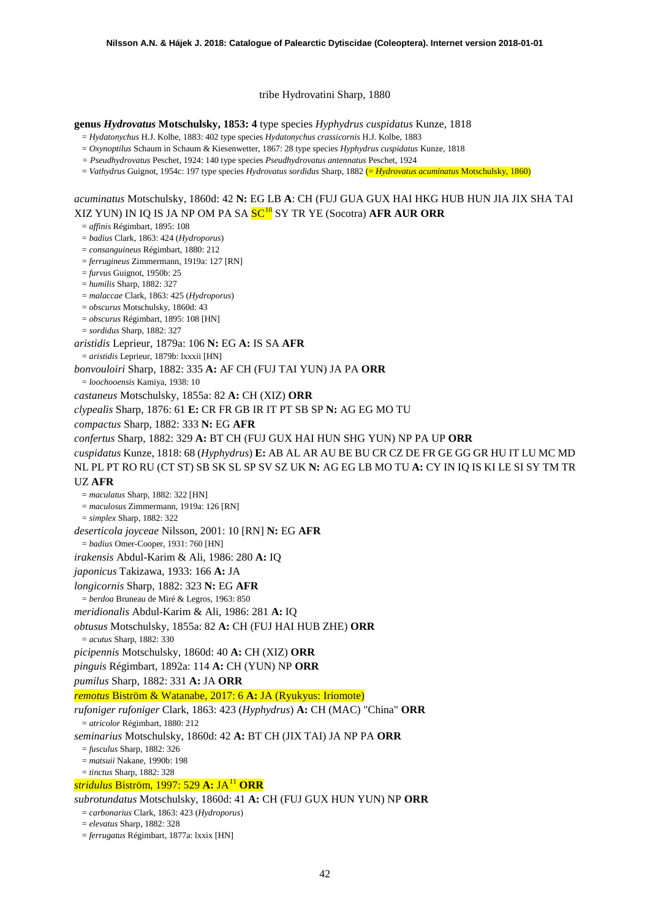tribe Hydrovatini Sharp, 1880

**genus** *Hydrovatus* **Motschulsky, 1853: 4** type species *Hyphydrus cuspidatus* Kunze, 1818

= *Hydatonychus* H.J. Kolbe, 1883: 402 type species *Hydatonychus crassicornis* H.J. Kolbe, 1883

= *Oxynoptilus* Schaum in Schaum & Kiesenwetter, 1867: 28 type species *Hyphydrus cuspidatus* Kunze, 1818

*= Pseudhydrovatus* Peschet, 1924: 140 type species *Pseudhydrovatus antennatus* Peschet, 1924

= *Vathydrus* Guignot, 1954c: 197 type species *Hydrovatus sordidus* Sharp, 1882 (= *Hydrovatus acuminatus* Motschulsky, 1860)

*acuminatus* Motschulsky, 1860d: 42 **N:** EG LB **A**: CH (FUJ GUA GUX HAI HKG HUB HUN JIA JIX SHA TAI XIZ YUN) IN IQ IS JA NP OM PA SA SC[10](#page-51-7) SY TR YE (Socotra) **AFR AUR ORR**

= *affinis* Régimbart, 1895: 108 = *badius* Clark, 1863: 424 (*Hydroporus*) = *consanguineus* Régimbart, 1880: 212 = *ferrugineus* Zimmermann, 1919a: 127 [RN] = *furvus* Guignot, 1950b: 25 = *humilis* Sharp, 1882: 327 = *malaccae* Clark, 1863: 425 (*Hydroporus*) = *obscurus* Motschulsky, 1860d: 43 = *obscurus* Régimbart, 1895: 108 [HN] = *sordidus* Sharp, 1882: 327 *aristidis* Leprieur, 1879a: 106 **N:** EG **A:** IS SA **AFR** = *aristidis* Leprieur, 1879b: lxxxii [HN] *bonvouloiri* Sharp, 1882: 335 **A:** AF CH (FUJ TAI YUN) JA PA **ORR** = *loochooensis* Kamiya, 1938: 10 *castaneus* Motschulsky, 1855a: 82 **A:** CH (XIZ) **ORR** *clypealis* Sharp, 1876: 61 **E:** CR FR GB IR IT PT SB SP **N:** AG EG MO TU *compactus* Sharp, 1882: 333 **N:** EG **AFR** *confertus* Sharp, 1882: 329 **A:** BT CH (FUJ GUX HAI HUN SHG YUN) NP PA UP **ORR** *cuspidatus* Kunze, 1818: 68 (*Hyphydrus*) **E:** AB AL AR AU BE BU CR CZ DE FR GE GG GR HU IT LU MC MD NL PL PT RO RU (CT ST) SB SK SL SP SV SZ UK **N:** AG EG LB MO TU **A:** CY IN IQ IS KI LE SI SY TM TR UZ **AFR** = *maculatus* Sharp, 1882: 322 [HN] = *maculosus* Zimmermann, 1919a: 126 [RN] = *simplex* Sharp, 1882: 322 *deserticola joyceae* Nilsson, 2001: 10 [RN] **N:** EG **AFR** = *badius* Omer-Cooper, 1931: 760 [HN] *irakensis* Abdul-Karim & Ali, 1986: 280 **A:** IQ *japonicus* Takizawa, 1933: 166 **A:** JA *longicornis* Sharp, 1882: 323 **N:** EG **AFR** = *berdoa* Bruneau de Miré & Legros, 1963: 850 *meridionalis* Abdul-Karim & Ali, 1986: 281 **A:** IQ *obtusus* Motschulsky, 1855a: 82 **A:** CH (FUJ HAI HUB ZHE) **ORR** = *acutus* Sharp, 1882: 330 *picipennis* Motschulsky, 1860d: 40 **A:** CH (XIZ) **ORR** *pinguis* Régimbart, 1892a: 114 **A:** CH (YUN) NP **ORR** *pumilus* Sharp, 1882: 331 **A:** JA **ORR** *remotus* Biström & Watanabe, 2017: 6 **A:** JA (Ryukyus: Iriomote) *rufoniger rufoniger* Clark, 1863: 423 (*Hyphydrus*) **A:** CH (MAC) "China" **ORR** = *atricolor* Régimbart, 1880: 212 *seminarius* Motschulsky, 1860d: 42 **A:** BT CH (JIX TAI) JA NP PA **ORR** = *fusculus* Sharp, 1882: 326 = *matsuii* Nakane, 1990b: 198 = *tinctus* Sharp, 1882: 328 *stridulus* Biström, 1997: 529 **A:** JA[11](#page-51-8) **ORR** *subrotundatus* Motschulsky, 1860d: 41 **A:** CH (FUJ GUX HUN YUN) NP **ORR** = *carbonarius* Clark, 1863: 423 (*Hydroporus*) = *elevatus* Sharp, 1882: 328

= *ferrugatus* Régimbart, 1877a: lxxix [HN]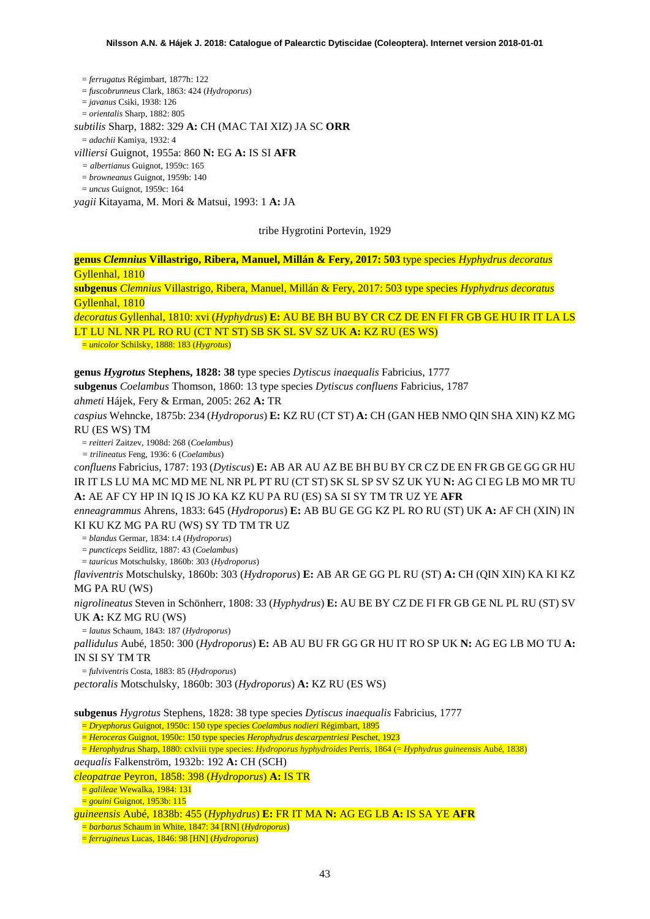= *ferrugatus* Régimbart, 1877h: 122 = *fuscobrunneus* Clark, 1863: 424 (*Hydroporus*) = *javanus* Csiki, 1938: 126 = *orientalis* Sharp, 1882: 805 *subtilis* Sharp, 1882: 329 **A:** CH (MAC TAI XIZ) JA SC **ORR** = *adachii* Kamiya, 1932: 4 *villiersi* Guignot, 1955a: 860 **N:** EG **A:** IS SI **AFR** *= albertianus* Guignot, 1959c: 165 = *browneanus* Guignot, 1959b: 140 = *uncus* Guignot, 1959c: 164 *yagii* Kitayama, M. Mori & Matsui, 1993: 1 **A:** JA

tribe Hygrotini Portevin, 1929

**genus** *Clemnius* **Villastrigo, Ribera, Manuel, Millán & Fery, 2017: 503** type species *Hyphydrus decoratus* Gyllenhal, 1810

**subgenus** *Clemnius* Villastrigo, Ribera, Manuel, Millán & Fery, 2017: 503 type species *Hyphydrus decoratus* Gyllenhal, 1810

*decoratus* Gyllenhal, 1810: xvi (*Hyphydrus*) **E:** AU BE BH BU BY CR CZ DE EN FI FR GB GE HU IR IT LA LS LT LU NL NR PL RO RU (CT NT ST) SB SK SL SV SZ UK **A:** KZ RU (ES WS)

= *unicolor* Schilsky, 1888: 183 (*Hygrotus*)

### **genus** *Hygrotus* **Stephens, 1828: 38** type species *Dytiscus inaequalis* Fabricius, 1777

**subgenus** *Coelambus* Thomson, 1860: 13 type species *Dytiscus confluens* Fabricius, 1787 *ahmeti* Hájek, Fery & Erman, 2005: 262 **A:** TR

*caspius* Wehncke, 1875b: 234 (*Hydroporus*) **E:** KZ RU (CT ST) **A:** CH (GAN HEB NMO QIN SHA XIN) KZ MG RU (ES WS) TM

= *reitteri* Zaitzev, 1908d: 268 (*Coelambus*)

*= trilineatus* Feng, 1936: 6 (*Coelambus*)

*confluens* Fabricius, 1787: 193 (*Dytiscus*) **E:** AB AR AU AZ BE BH BU BY CR CZ DE EN FR GB GE GG GR HU IR IT LS LU MA MC MD ME NL NR PL PT RU (CT ST) SK SL SP SV SZ UK YU **N:** AG CI EG LB MO MR TU **A:** AE AF CY HP IN IQ IS JO KA KZ KU PA RU (ES) SA SI SY TM TR UZ YE **AFR**

*enneagrammus* Ahrens, 1833: 645 (*Hydroporus*) **E:** AB BU GE GG KZ PL RO RU (ST) UK **A:** AF CH (XIN) IN KI KU KZ MG PA RU (WS) SY TD TM TR UZ

= *blandus* Germar, 1834: t.4 (*Hydroporus*)

= *puncticeps* Seidlitz, 1887: 43 (*Coelambus*)

= *tauricus* Motschulsky, 1860b: 303 (*Hydroporus*)

*flaviventris* Motschulsky, 1860b: 303 (*Hydroporus*) **E:** AB AR GE GG PL RU (ST) **A:** CH (QIN XIN) KA KI KZ MG PA RU (WS)

*nigrolineatus* Steven in Schönherr, 1808: 33 (*Hyphydrus*) **E:** AU BE BY CZ DE FI FR GB GE NL PL RU (ST) SV UK **A:** KZ MG RU (WS)

= *lautus* Schaum, 1843: 187 (*Hydroporus*)

*pallidulus* Aubé, 1850: 300 (*Hydroporus*) **E:** AB AU BU FR GG GR HU IT RO SP UK **N:** AG EG LB MO TU **A:**  IN SI SY TM TR

= *fulviventris* Costa, 1883: 85 (*Hydroporus*) *pectoralis* Motschulsky, 1860b: 303 (*Hydroporus*) **A:** KZ RU (ES WS)

**subgenus** *Hygrotus* Stephens, 1828: 38 type species *Dytiscus inaequalis* Fabricius, 1777

= *Dryephorus* Guignot, 1950c: 150 type species *Coelambus nodieri* Régimbart, 1895

= *Heroceras* Guignot, 1950c: 150 type species *Herophydrus descarpentriesi* Peschet, 1923

= *Herophydrus* Sharp, 1880: cxlviii type species: *Hydroporus hyphydroides* Perris, 1864 (= *Hyphydrus guineensis* Aubé, 1838)

*aequalis* Falkenström, 1932b: 192 **A:** CH (SCH)

*cleopatrae* Peyron, 1858: 398 (*Hydroporus*) **A:** IS TR

= *galileae* Wewalka, 1984: 131

= *gouini* Guignot, 1953b: 115

*guineensis* Aubé, 1838b: 455 (*Hyphydrus*) **E:** FR IT MA **N:** AG EG LB **A:** IS SA YE **AFR**

= *barbarus* Schaum in White, 1847: 34 [RN] (*Hydroporus*)

= *ferrugineus* Lucas, 1846: 98 [HN] (*Hydroporus*)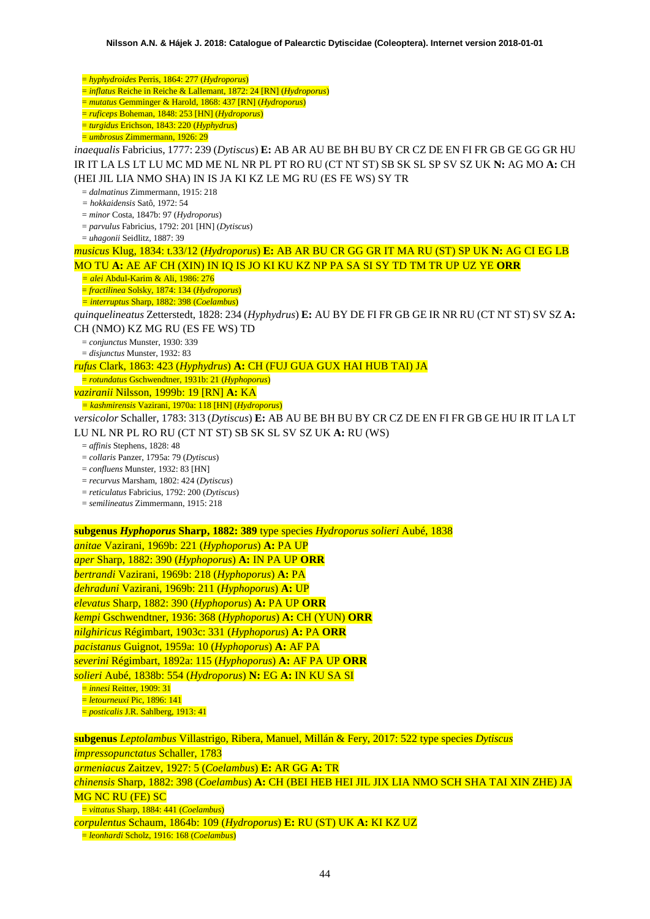= *hyphydroides* Perris, 1864: 277 (*Hydroporus*) = *inflatus* Reiche in Reiche & Lallemant, 1872: 24 [RN] (*Hydroporus*) = *mutatus* Gemminger & Harold, 1868: 437 [RN] (*Hydroporus*) = *ruficeps* Boheman, 1848: 253 [HN] (*Hydroporus*) = *turgidus* Erichson, 1843: 220 (*Hyphydrus*) = *umbrosus* Zimmermann, 1926: 29 *inaequalis* Fabricius, 1777: 239 (*Dytiscus*) **E:** AB AR AU BE BH BU BY CR CZ DE EN FI FR GB GE GG GR HU IR IT LA LS LT LU MC MD ME NL NR PL PT RO RU (CT NT ST) SB SK SL SP SV SZ UK **N:** AG MO **A:** CH (HEI JIL LIA NMO SHA) IN IS JA KI KZ LE MG RU (ES FE WS) SY TR = *dalmatinus* Zimmermann, 1915: 218 *= hokkaidensis* Satô, 1972: 54 = *minor* Costa, 1847b: 97 (*Hydroporus*) = *parvulus* Fabricius, 1792: 201 [HN] (*Dytiscus*) = *uhagonii* Seidlitz, 1887: 39 *musicus* Klug, 1834: t.33/12 (*Hydroporus*) **E:** AB AR BU CR GG GR IT MA RU (ST) SP UK **N:** AG CI EG LB MO TU **A:** AE AF CH (XIN) IN IQ IS JO KI KU KZ NP PA SA SI SY TD TM TR UP UZ YE **ORR** *= alei* Abdul-Karim & Ali, 1986: 276 = *fractilinea* Solsky, 1874: 134 (*Hydroporus*) *= interruptus* Sharp, 1882: 398 (*Coelambus*) *quinquelineatus* Zetterstedt, 1828: 234 (*Hyphydrus*) **E:** AU BY DE FI FR GB GE IR NR RU (CT NT ST) SV SZ **A:**  CH (NMO) KZ MG RU (ES FE WS) TD = *conjunctus* Munster, 1930: 339 = *disjunctus* Munster, 1932: 83 *rufus* Clark, 1863: 423 (*Hyphydrus*) **A:** CH (FUJ GUA GUX HAI HUB TAI) JA = *rotundatus* Gschwendtner, 1931b: 21 (*Hyphoporus*) *vaziranii* Nilsson, 1999b: 19 [RN] **A:** KA *= kashmirensis* Vazirani, 1970a: 118 [HN] (*Hydroporus*) *versicolor* Schaller, 1783: 313 (*Dytiscus*) **E:** AB AU BE BH BU BY CR CZ DE EN FI FR GB GE HU IR IT LA LT LU NL NR PL RO RU (CT NT ST) SB SK SL SV SZ UK **A:** RU (WS) = *affinis* Stephens, 1828: 48 = *collaris* Panzer, 1795a: 79 (*Dytiscus*) = *confluens* Munster, 1932: 83 [HN] = *recurvus* Marsham, 1802: 424 (*Dytiscus*) = *reticulatus* Fabricius, 1792: 200 (*Dytiscus*) = *semilineatus* Zimmermann, 1915: 218 **subgenus** *Hyphoporus* **Sharp, 1882: 389** type species *Hydroporus solieri* Aubé, 1838 *anitae* Vazirani, 1969b: 221 (*Hyphoporus*) **A:** PA UP *aper* Sharp, 1882: 390 (*Hyphoporus*) **A:** IN PA UP **ORR** *bertrandi* Vazirani, 1969b: 218 (*Hyphoporus*) **A:** PA *dehraduni* Vazirani, 1969b: 211 (*Hyphoporus*) **A:** UP *elevatus* Sharp, 1882: 390 (*Hyphoporus*) **A:** PA UP **ORR** *kempi* Gschwendtner, 1936: 368 (*Hyphoporus*) **A:** CH (YUN) **ORR** *nilghiricus* Régimbart, 1903c: 331 (*Hyphoporus*) **A:** PA **ORR** *pacistanus* Guignot, 1959a: 10 (*Hyphoporus*) **A:** AF PA *severini* Régimbart, 1892a: 115 (*Hyphoporus*) **A:** AF PA UP **ORR** *solieri* Aubé, 1838b: 554 (*Hydroporus*) **N:** EG **A:** IN KU SA SI = *innesi* Reitter, 1909: 31 = *letourneuxi* Pic, 1896: 141 = *posticalis* J.R. Sahlberg, 1913: 41 **subgenus** *Leptolambus* Villastrigo, Ribera, Manuel, Millán & Fery, 2017: 522 type species *Dytiscus impressopunctatus* Schaller, 1783 *armeniacus* Zaitzev, 1927: 5 (*Coelambus*) **E:** AR GG **A:** TR *chinensis* Sharp, 1882: 398 (*Coelambus*) **A:** CH (BEI HEB HEI JIL JIX LIA NMO SCH SHA TAI XIN ZHE) JA MG NC RU (FE) SC = *vittatus* Sharp, 1884: 441 (*Coelambus*)

*corpulentus* Schaum, 1864b: 109 (*Hydroporus*) **E:** RU (ST) UK **A:** KI KZ UZ = *leonhardi* Scholz, 1916: 168 (*Coelambus*)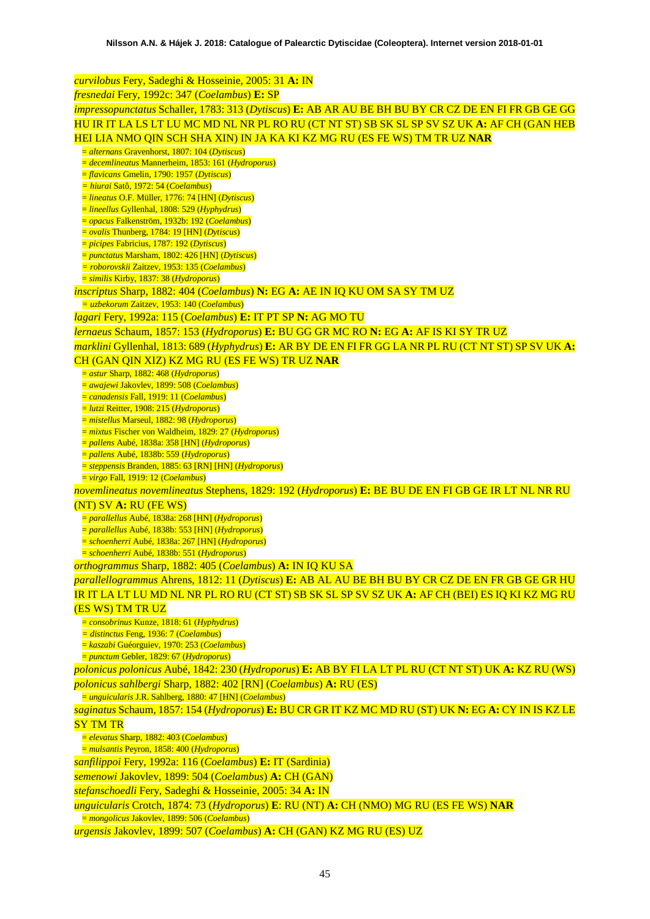*curvilobus* Fery, Sadeghi & Hosseinie, 2005: 31 **A:** IN *fresnedai* Fery, 1992c: 347 (*Coelambus*) **E:** SP *impressopunctatus* Schaller, 1783: 313 (*Dytiscus*) **E:** AB AR AU BE BH BU BY CR CZ DE EN FI FR GB GE GG HU IR IT LA LS LT LU MC MD NL NR PL RO RU (CT NT ST) SB SK SL SP SV SZ UK **A:** AF CH (GAN HEB HEI LIA NMO QIN SCH SHA XIN) IN JA KA KI KZ MG RU (ES FE WS) TM TR UZ **NAR** = *alternans* Gravenhorst, 1807: 104 (*Dytiscus*) = *decemlineatus* Mannerheim, 1853: 161 (*Hydroporus*) = *flavicans* Gmelin, 1790: 1957 (*Dytiscus*) *= hiurai* Satô, 1972: 54 (*Coelambus*) = *lineatus* O.F. Müller, 1776: 74 [HN] (*Dytiscus*) = *lineellus* Gyllenhal, 1808: 529 (*Hyphydrus*) = *opacus* Falkenström, 1932b: 192 (*Coelambus*) = *ovalis* Thunberg, 1784: 19 [HN] (*Dytiscus*) = *picipes* Fabricius, 1787: 192 (*Dytiscus*) = *punctatus* Marsham, 1802: 426 [HN] (*Dytiscus*) *= roborovskii* Zaitzev, 1953: 135 (*Coelambus*) = *similis* Kirby, 1837: 38 (*Hydroporus*) *inscriptus* Sharp, 1882: 404 (*Coelambus*) **N:** EG **A:** AE IN IQ KU OM SA SY TM UZ *= uzbekorum* Zaitzev, 1953: 140 (*Coelambus*) *lagari* Fery, 1992a: 115 (*Coelambus*) **E:** IT PT SP **N:** AG MO TU *lernaeus* Schaum, 1857: 153 (*Hydroporus*) **E:** BU GG GR MC RO **N:** EG **A:** AF IS KI SY TR UZ *marklini* Gyllenhal, 1813: 689 (*Hyphydrus*) **E:** AR BY DE EN FI FR GG LA NR PL RU (CT NT ST) SP SV UK **A:**  CH (GAN QIN XIZ) KZ MG RU (ES FE WS) TR UZ **NAR** = *astur* Sharp, 1882: 468 (*Hydroporus*) = *awajewi* Jakovlev, 1899: 508 (*Coelambus*) = *canadensis* Fall, 1919: 11 (*Coelambus*) = *lutzi* Reitter, 1908: 215 (*Hydroporus*) = *mistellus* Marseul, 1882: 98 (*Hydroporus*) = *mixtus* Fischer von Waldheim, 1829: 27 (*Hydroporus*) = *pallens* Aubé, 1838a: 358 [HN] (*Hydroporus*) = *pallens* Aubé, 1838b: 559 (*Hydroporus*) = *steppensis* Branden, 1885: 63 [RN] [HN] (*Hydroporus*) = *virgo* Fall, 1919: 12 (*Coelambus*) *novemlineatus novemlineatus* Stephens, 1829: 192 (*Hydroporus*) **E:** BE BU DE EN FI GB GE IR LT NL NR RU (NT) SV **A:** RU (FE WS) = *parallellus* Aubé, 1838a: 268 [HN] (*Hydroporus*) = *parallellus* Aubé, 1838b: 553 [HN] (*Hydroporus*) = *schoenherri* Aubé, 1838a: 267 [HN] (*Hydroporus*) = *schoenherri* Aubé, 1838b: 551 (*Hydroporus*) *orthogrammus* Sharp, 1882: 405 (*Coelambus*) **A:** IN IQ KU SA *parallellogrammus* Ahrens, 1812: 11 (*Dytiscus*) **E:** AB AL AU BE BH BU BY CR CZ DE EN FR GB GE GR HU IR IT LA LT LU MD NL NR PL RO RU (CT ST) SB SK SL SP SV SZ UK **A:** AF CH (BEI) ES IQ KI KZ MG RU (ES WS) TM TR UZ = *consobrinus* Kunze, 1818: 61 (*Hyphydrus*) *= distinctus* Feng, 1936: 7 (*Coelambus*) = *kaszabi* Guéorguiev, 1970: 253 (*Coelambus*) = *punctum* Gebler, 1829: 67 (*Hydroporus*) *polonicus polonicus* Aubé, 1842: 230 (*Hydroporus*) **E:** AB BY FI LA LT PL RU (CT NT ST) UK **A:** KZ RU (WS) *polonicus sahlbergi* Sharp, 1882: 402 [RN] (*Coelambus*) **A:** RU (ES) = *unguicularis* J.R. Sahlberg, 1880: 47 [HN] (*Coelambus*) *saginatus* Schaum, 1857: 154 (*Hydroporus*) **E:** BU CR GR IT KZ MC MD RU (ST) UK **N:** EG **A:** CY IN IS KZ LE SY TM TR = *elevatus* Sharp, 1882: 403 (*Coelambus*) = *mulsantis* Peyron, 1858: 400 (*Hydroporus*) *sanfilippoi* Fery, 1992a: 116 (*Coelambus*) **E:** IT (Sardinia) *semenowi* Jakovlev, 1899: 504 (*Coelambus*) **A:** CH (GAN) *stefanschoedli* Fery, Sadeghi & Hosseinie, 2005: 34 **A:** IN *unguicularis* Crotch, 1874: 73 (*Hydroporus*) **E**: RU (NT) **A:** CH (NMO) MG RU (ES FE WS) **NAR** = *mongolicus* Jakovlev, 1899: 506 (*Coelambus*)

*urgensis* Jakovlev, 1899: 507 (*Coelambus*) **A:** CH (GAN) KZ MG RU (ES) UZ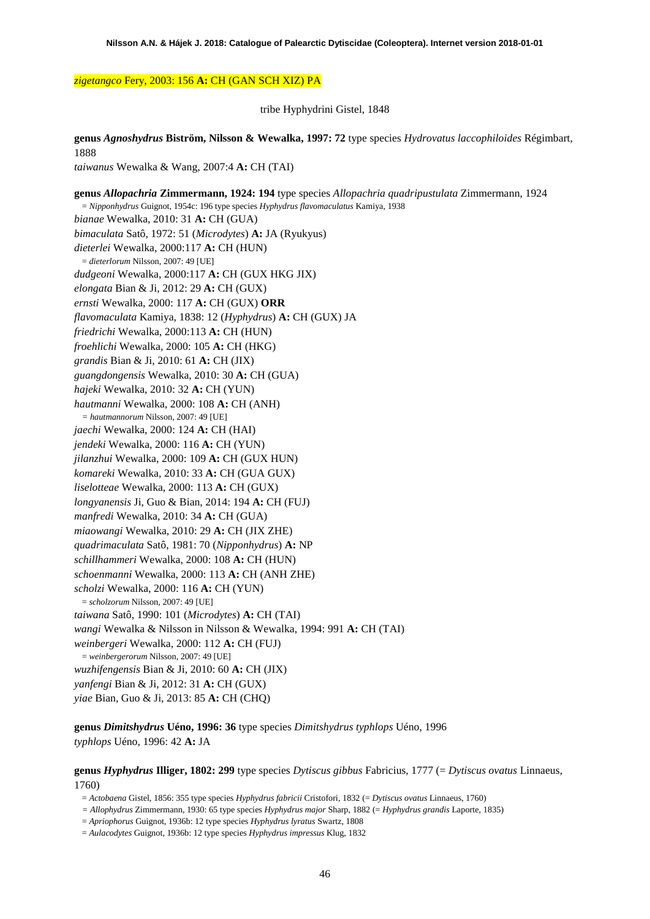### *zigetangco* Fery, 2003: 156 **A:** CH (GAN SCH XIZ) PA

tribe Hyphydrini Gistel, 1848

**genus** *Agnoshydrus* **Biström, Nilsson & Wewalka, 1997: 72** type species *Hydrovatus laccophiloides* Régimbart, 1888

*taiwanus* Wewalka & Wang, 2007:4 **A:** CH (TAI)

**genus** *Allopachria* **Zimmermann, 1924: 194** type species *Allopachria quadripustulata* Zimmermann, 1924 = *Nipponhydrus* Guignot, 1954c: 196 type species *Hyphydrus flavomaculatus* Kamiya, 1938 *bianae* Wewalka, 2010: 31 **A:** CH (GUA) *bimaculata* Satô, 1972: 51 (*Microdytes*) **A:** JA (Ryukyus) *dieterlei* Wewalka, 2000:117 **A:** CH (HUN) = *dieterlorum* Nilsson, 2007: 49 [UE] *dudgeoni* Wewalka, 2000:117 **A:** CH (GUX HKG JIX) *elongata* Bian & Ji, 2012: 29 **A:** CH (GUX) *ernsti* Wewalka, 2000: 117 **A:** CH (GUX) **ORR** *flavomaculata* Kamiya, 1838: 12 (*Hyphydrus*) **A:** CH (GUX) JA *friedrichi* Wewalka, 2000:113 **A:** CH (HUN) *froehlichi* Wewalka, 2000: 105 **A:** CH (HKG) *grandis* Bian & Ji, 2010: 61 **A:** CH (JIX) *guangdongensis* Wewalka, 2010: 30 **A:** CH (GUA) *hajeki* Wewalka, 2010: 32 **A:** CH (YUN) *hautmanni* Wewalka, 2000: 108 **A:** CH (ANH) *= hautmannorum* Nilsson, 2007: 49 [UE] *jaechi* Wewalka, 2000: 124 **A:** CH (HAI) *jendeki* Wewalka, 2000: 116 **A:** CH (YUN) *jilanzhui* Wewalka, 2000: 109 **A:** CH (GUX HUN) *komareki* Wewalka, 2010: 33 **A:** CH (GUA GUX) *liselotteae* Wewalka, 2000: 113 **A:** CH (GUX) *longyanensis* Ji, Guo & Bian, 2014: 194 **A:** CH (FUJ) *manfredi* Wewalka, 2010: 34 **A:** CH (GUA) *miaowangi* Wewalka, 2010: 29 **A:** CH (JIX ZHE) *quadrimaculata* Satô, 1981: 70 (*Nipponhydrus*) **A:** NP *schillhammeri* Wewalka, 2000: 108 **A:** CH (HUN) *schoenmanni* Wewalka, 2000: 113 **A:** CH (ANH ZHE) *scholzi* Wewalka, 2000: 116 **A:** CH (YUN) = *scholzorum* Nilsson, 2007: 49 [UE] *taiwana* Satô, 1990: 101 (*Microdytes*) **A:** CH (TAI) *wangi* Wewalka & Nilsson in Nilsson & Wewalka, 1994: 991 **A:** CH (TAI) *weinbergeri* Wewalka, 2000: 112 **A:** CH (FUJ) = *weinbergerorum* Nilsson, 2007: 49 [UE] *wuzhifengensis* Bian & Ji, 2010: 60 **A:** CH (JIX) *yanfengi* Bian & Ji, 2012: 31 **A:** CH (GUX) *yiae* Bian, Guo & Ji, 2013: 85 **A:** CH (CHQ)

**genus** *Dimitshydrus* **Uéno, 1996: 36** type species *Dimitshydrus typhlops* Uéno, 1996 *typhlops* Uéno, 1996: 42 **A:** JA

### **genus** *Hyphydrus* **Illiger, 1802: 299** type species *Dytiscus gibbus* Fabricius, 1777 (= *Dytiscus ovatus* Linnaeus, 1760)

= *Actobaena* Gistel, 1856: 355 type species *Hyphydrus fabricii* Cristofori, 1832 (= *Dytiscus ovatus* Linnaeus, 1760)

*= Allophydrus* Zimmermann, 1930: 65 type species *Hyphydrus major* Sharp, 1882 (= *Hyphydrus grandis* Laporte, 1835)

= *Apriophorus* Guignot, 1936b: 12 type species *Hyphydrus lyratus* Swartz, 1808

= *Aulacodytes* Guignot, 1936b: 12 type species *Hyphydrus impressus* Klug, 1832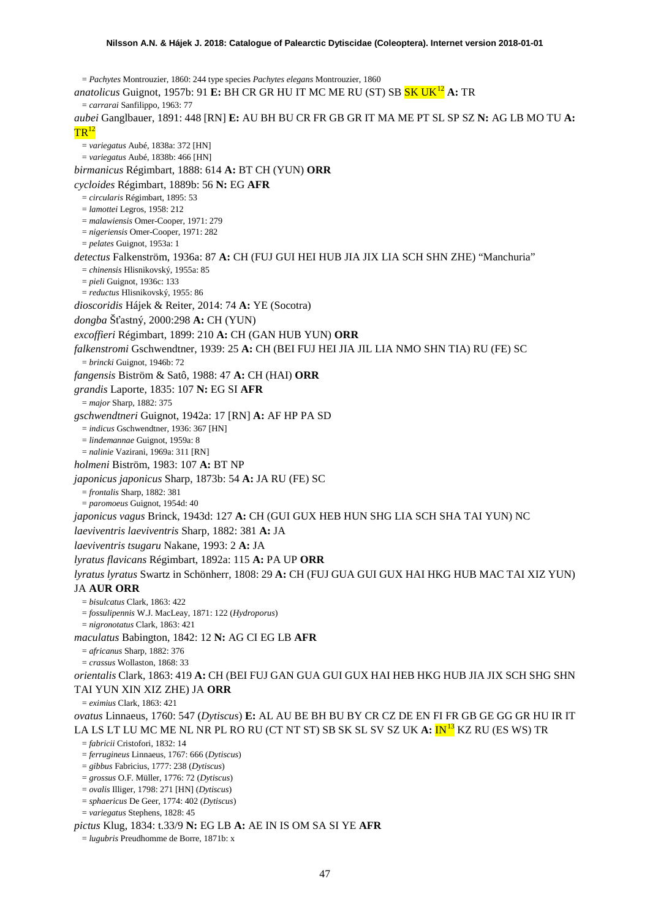= *Pachytes* Montrouzier, 1860: 244 type species *Pachytes elegans* Montrouzier, 1860 *anatolicus* Guignot, 1957b: 91 **E:** BH CR GR HU IT MC ME RU (ST) SB SK UK[12](#page-51-9) **A:** TR = *carrarai* Sanfilippo, 1963: 77 *aubei* Ganglbauer, 1891: 448 [RN] **E:** AU BH BU CR FR GB GR IT MA ME PT SL SP SZ **N:** AG LB MO TU **A:**  $TR^{12}$ = *variegatus* Aubé, 1838a: 372 [HN] = *variegatus* Aubé, 1838b: 466 [HN] *birmanicus* Régimbart, 1888: 614 **A:** BT CH (YUN) **ORR** *cycloides* Régimbart, 1889b: 56 **N:** EG **AFR** = *circularis* Régimbart, 1895: 53 = *lamottei* Legros, 1958: 212 = *malawiensis* Omer-Cooper, 1971: 279 = *nigeriensis* Omer-Cooper, 1971: 282 = *pelates* Guignot, 1953a: 1 *detectus* Falkenström, 1936a: 87 **A:** CH (FUJ GUI HEI HUB JIA JIX LIA SCH SHN ZHE) "Manchuria" = *chinensis* Hlisnikovský, 1955a: 85 = *pieli* Guignot, 1936c: 133 = *reductus* Hlisnikovský, 1955: 86 *dioscoridis* Hájek & Reiter, 2014: 74 **A:** YE (Socotra) *dongba* Šťastný, 2000:298 **A:** CH (YUN) *excoffieri* Régimbart, 1899: 210 **A:** CH (GAN HUB YUN) **ORR** *falkenstromi* Gschwendtner, 1939: 25 **A:** CH (BEI FUJ HEI JIA JIL LIA NMO SHN TIA) RU (FE) SC = *brincki* Guignot, 1946b: 72 *fangensis* Biström & Satô, 1988: 47 **A:** CH (HAI) **ORR** *grandis* Laporte, 1835: 107 **N:** EG SI **AFR** = *major* Sharp, 1882: 375 *gschwendtneri* Guignot, 1942a: 17 [RN] **A:** AF HP PA SD = *indicus* Gschwendtner, 1936: 367 [HN] = *lindemannae* Guignot, 1959a: 8 = *nalinie* Vazirani, 1969a: 311 [RN] *holmeni* Biström, 1983: 107 **A:** BT NP *japonicus japonicus* Sharp, 1873b: 54 **A:** JA RU (FE) SC = *frontalis* Sharp, 1882: 381 = *paromoeus* Guignot, 1954d: 40 *japonicus vagus* Brinck, 1943d: 127 **A:** CH (GUI GUX HEB HUN SHG LIA SCH SHA TAI YUN) NC *laeviventris laeviventris* Sharp, 1882: 381 **A:** JA *laeviventris tsugaru* Nakane, 1993: 2 **A:** JA *lyratus flavicans* Régimbart, 1892a: 115 **A:** PA UP **ORR** *lyratus lyratus* Swartz in Schönherr, 1808: 29 **A:** CH (FUJ GUA GUI GUX HAI HKG HUB MAC TAI XIZ YUN) JA **AUR ORR** = *bisulcatus* Clark, 1863: 422 = *fossulipennis* W.J. MacLeay, 1871: 122 (*Hydroporus*) = *nigronotatus* Clark, 1863: 421 *maculatus* Babington, 1842: 12 **N:** AG CI EG LB **AFR** = *africanus* Sharp, 1882: 376 = *crassus* Wollaston, 1868: 33 *orientalis* Clark, 1863: 419 **A:** CH (BEI FUJ GAN GUA GUI GUX HAI HEB HKG HUB JIA JIX SCH SHG SHN TAI YUN XIN XIZ ZHE) JA **ORR** = *eximius* Clark, 1863: 421 *ovatus* Linnaeus, 1760: 547 (*Dytiscus*) **E:** AL AU BE BH BU BY CR CZ DE EN FI FR GB GE GG GR HU IR IT LA LS LT LU MC ME NL NR PL RO RU (CT NT ST) SB SK SL SV SZ UK **A:** IN[13](#page-51-10) KZ RU (ES WS) TR = *fabricii* Cristofori, 1832: 14 = *ferrugineus* Linnaeus, 1767: 666 (*Dytiscus*) = *gibbus* Fabricius, 1777: 238 (*Dytiscus*) = *grossus* O.F. Müller, 1776: 72 (*Dytiscus*) = *ovalis* Illiger, 1798: 271 [HN] (*Dytiscus*) = *sphaericus* De Geer, 1774: 402 (*Dytiscus*) = *variegatus* Stephens, 1828: 45 *pictus* Klug, 1834: t.33/9 **N:** EG LB **A:** AE IN IS OM SA SI YE **AFR** = *lugubris* Preudhomme de Borre, 1871b: x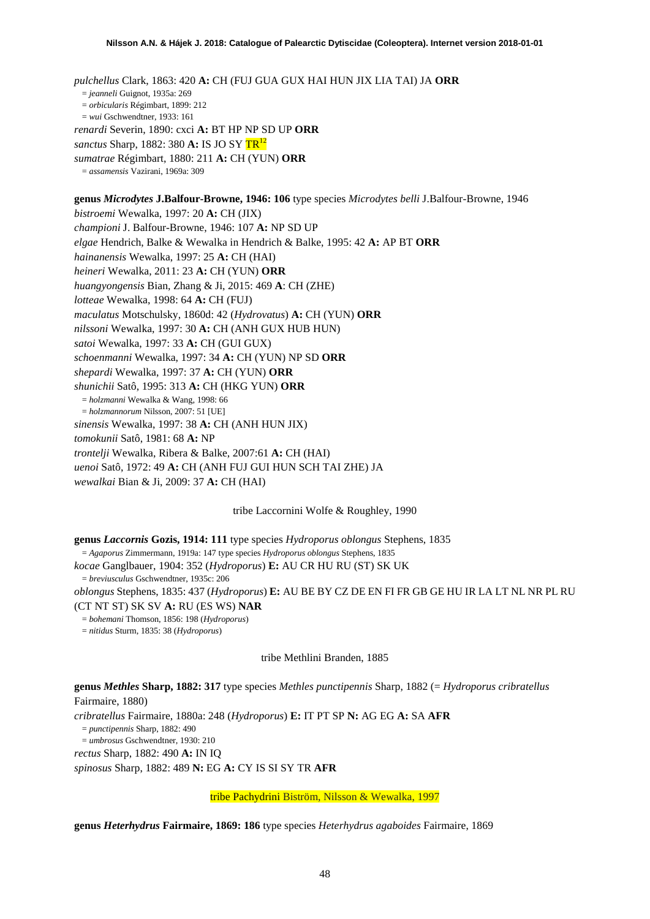*pulchellus* Clark, 1863: 420 **A:** CH (FUJ GUA GUX HAI HUN JIX LIA TAI) JA **ORR** = *jeanneli* Guignot, 1935a: 269 = *orbicularis* Régimbart, 1899: 212 = *wui* Gschwendtner, 1933: 161 *renardi* Severin, 1890: cxci **A:** BT HP NP SD UP **ORR** *sanctus* Sharp, 1882: 380 **A:** IS JO SY TR12 *sumatrae* Régimbart, 1880: 211 **A:** CH (YUN) **ORR** = *assamensis* Vazirani, 1969a: 309

**genus** *Microdytes* **J.Balfour-Browne, 1946: 106** type species *Microdytes belli* J.Balfour-Browne, 1946 *bistroemi* Wewalka, 1997: 20 **A:** CH (JIX) *championi* J. Balfour-Browne, 1946: 107 **A:** NP SD UP *elgae* Hendrich, Balke & Wewalka in Hendrich & Balke, 1995: 42 **A:** AP BT **ORR** *hainanensis* Wewalka, 1997: 25 **A:** CH (HAI) *heineri* Wewalka, 2011: 23 **A:** CH (YUN) **ORR** *huangyongensis* Bian, Zhang & Ji, 2015: 469 **A**: CH (ZHE) *lotteae* Wewalka, 1998: 64 **A:** CH (FUJ) *maculatus* Motschulsky, 1860d: 42 (*Hydrovatus*) **A:** CH (YUN) **ORR** *nilssoni* Wewalka, 1997: 30 **A:** CH (ANH GUX HUB HUN) *satoi* Wewalka, 1997: 33 **A:** CH (GUI GUX) *schoenmanni* Wewalka, 1997: 34 **A:** CH (YUN) NP SD **ORR** *shepardi* Wewalka, 1997: 37 **A:** CH (YUN) **ORR** *shunichii* Satô, 1995: 313 **A:** CH (HKG YUN) **ORR** = *holzmanni* Wewalka & Wang, 1998: 66 = *holzmannorum* Nilsson, 2007: 51 [UE] *sinensis* Wewalka, 1997: 38 **A:** CH (ANH HUN JIX) *tomokunii* Satô, 1981: 68 **A:** NP *trontelji* Wewalka, Ribera & Balke, 2007:61 **A:** CH (HAI)

*uenoi* Satô, 1972: 49 **A:** CH (ANH FUJ GUI HUN SCH TAI ZHE) JA

*wewalkai* Bian & Ji, 2009: 37 **A:** CH (HAI)

tribe Laccornini Wolfe & Roughley, 1990

**genus** *Laccornis* **Gozis, 1914: 111** type species *Hydroporus oblongus* Stephens, 1835 = *Agaporus* Zimmermann, 1919a: 147 type species *Hydroporus oblongus* Stephens, 1835 *kocae* Ganglbauer, 1904: 352 (*Hydroporus*) **E:** AU CR HU RU (ST) SK UK = *breviusculus* Gschwendtner, 1935c: 206 *oblongus* Stephens, 1835: 437 (*Hydroporus*) **E:** AU BE BY CZ DE EN FI FR GB GE HU IR LA LT NL NR PL RU (CT NT ST) SK SV **A:** RU (ES WS) **NAR** = *bohemani* Thomson, 1856: 198 (*Hydroporus*) = *nitidus* Sturm, 1835: 38 (*Hydroporus*)

tribe Methlini Branden, 1885

**genus** *Methles* **Sharp, 1882: 317** type species *Methles punctipennis* Sharp, 1882 (= *Hydroporus cribratellus* Fairmaire, 1880)

*cribratellus* Fairmaire, 1880a: 248 (*Hydroporus*) **E:** IT PT SP **N:** AG EG **A:** SA **AFR**

= *punctipennis* Sharp, 1882: 490

= *umbrosus* Gschwendtner, 1930: 210

*rectus* Sharp, 1882: 490 **A:** IN IQ

*spinosus* Sharp, 1882: 489 **N:** EG **A:** CY IS SI SY TR **AFR**

tribe Pachydrini Biström, Nilsson & Wewalka, 1997

**genus** *Heterhydrus* **Fairmaire, 1869: 186** type species *Heterhydrus agaboides* Fairmaire, 1869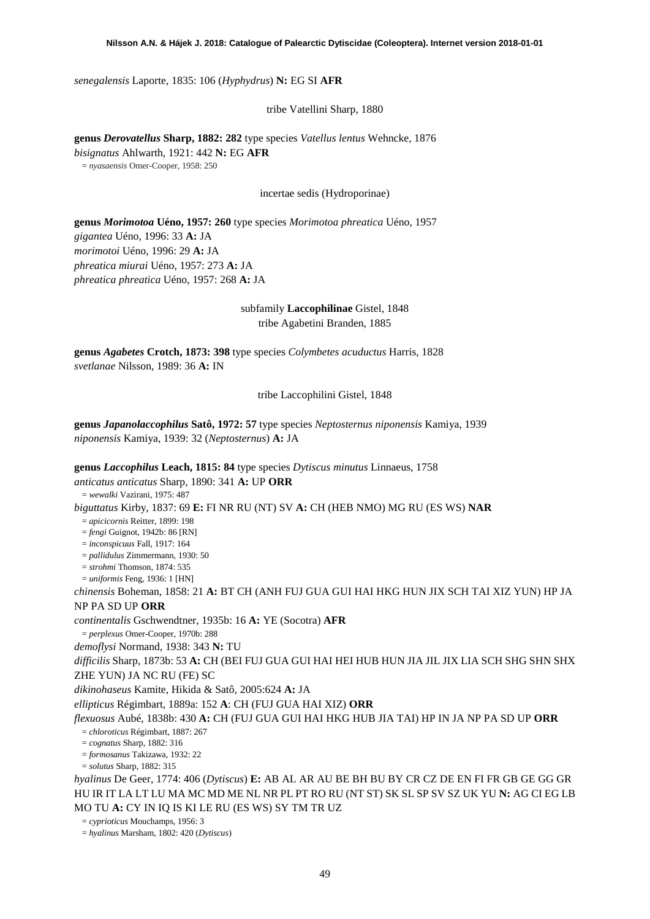*senegalensis* Laporte, 1835: 106 (*Hyphydrus*) **N:** EG SI **AFR**

tribe Vatellini Sharp, 1880

**genus** *Derovatellus* **Sharp, 1882: 282** type species *Vatellus lentus* Wehncke, 1876 *bisignatus* Ahlwarth, 1921: 442 **N:** EG **AFR** = *nyasaensis* Omer-Cooper, 1958: 250

incertae sedis (Hydroporinae)

**genus** *Morimotoa* **Uéno, 1957: 260** type species *Morimotoa phreatica* Uéno, 1957 *gigantea* Uéno, 1996: 33 **A:** JA *morimotoi* Uéno, 1996: 29 **A:** JA *phreatica miurai* Uéno, 1957: 273 **A:** JA *phreatica phreatica* Uéno, 1957: 268 **A:** JA

> subfamily **Laccophilinae** Gistel, 1848 tribe Agabetini Branden, 1885

**genus** *Agabetes* **Crotch, 1873: 398** type species *Colymbetes acuductus* Harris, 1828 *svetlanae* Nilsson, 1989: 36 **A:** IN

tribe Laccophilini Gistel, 1848

**genus** *Japanolaccophilus* **Satô, 1972: 57** type species *Neptosternus niponensis* Kamiya, 1939 *niponensis* Kamiya, 1939: 32 (*Neptosternus*) **A:** JA

**genus** *Laccophilus* **Leach, 1815: 84** type species *Dytiscus minutus* Linnaeus, 1758

*anticatus anticatus* Sharp, 1890: 341 **A:** UP **ORR**

= *wewalki* Vazirani, 1975: 487

*biguttatus* Kirby, 1837: 69 **E:** FI NR RU (NT) SV **A:** CH (HEB NMO) MG RU (ES WS) **NAR**

= *apicicornis* Reitter, 1899: 198

= *fengi* Guignot, 1942b: 86 [RN]

= *inconspicuus* Fall, 1917: 164

= *pallidulus* Zimmermann, 1930: 50

= *strohmi* Thomson, 1874: 535 = *uniformis* Feng, 1936: 1 [HN]

*chinensis* Boheman, 1858: 21 **A:** BT CH (ANH FUJ GUA GUI HAI HKG HUN JIX SCH TAI XIZ YUN) HP JA NP PA SD UP **ORR**

*continentalis* Gschwendtner, 1935b: 16 **A:** YE (Socotra) **AFR**

= *perplexus* Omer-Cooper, 1970b: 288

*demoflysi* Normand, 1938: 343 **N:** TU

*difficilis* Sharp, 1873b: 53 **A:** CH (BEI FUJ GUA GUI HAI HEI HUB HUN JIA JIL JIX LIA SCH SHG SHN SHX ZHE YUN) JA NC RU (FE) SC

*dikinohaseus* Kamite, Hikida & Satô, 2005:624 **A:** JA

*ellipticus* Régimbart, 1889a: 152 **A**: CH (FUJ GUA HAI XIZ) **ORR**

### *flexuosus* Aubé, 1838b: 430 **A:** CH (FUJ GUA GUI HAI HKG HUB JIA TAI) HP IN JA NP PA SD UP **ORR** = *chloroticus* Régimbart, 1887: 267

= *cognatus* Sharp, 1882: 316

= *formosanus* Takizawa, 1932: 22

= *solutus* Sharp, 1882: 315

*hyalinus* De Geer, 1774: 406 (*Dytiscus*) **E:** AB AL AR AU BE BH BU BY CR CZ DE EN FI FR GB GE GG GR HU IR IT LA LT LU MA MC MD ME NL NR PL PT RO RU (NT ST) SK SL SP SV SZ UK YU **N:** AG CI EG LB MO TU **A:** CY IN IQ IS KI LE RU (ES WS) SY TM TR UZ

= *cyprioticus* Mouchamps, 1956: 3

= *hyalinus* Marsham, 1802: 420 (*Dytiscus*)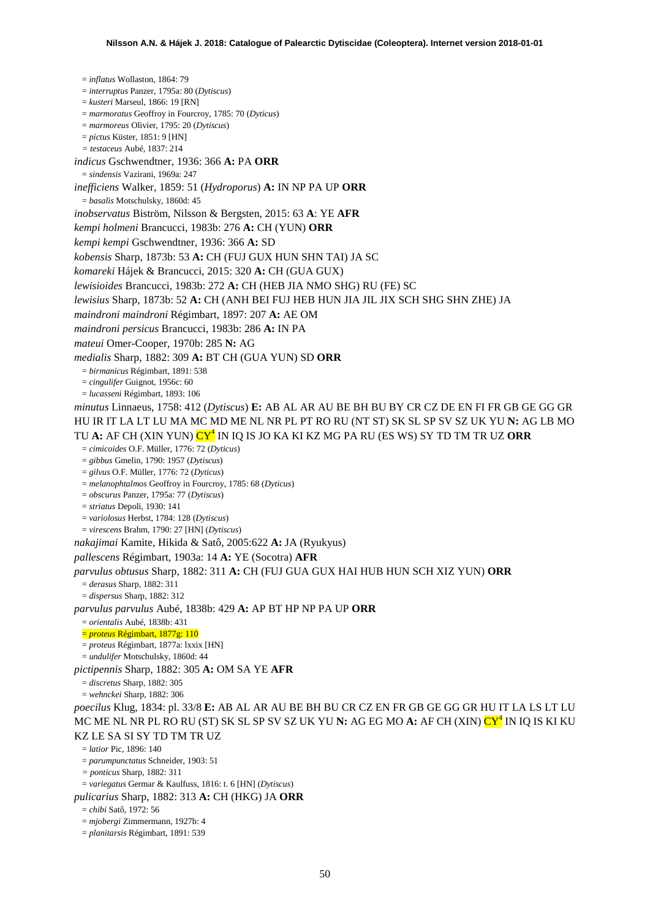= *inflatus* Wollaston, 1864: 79 = *interruptus* Panzer, 1795a: 80 (*Dytiscus*) = *kusteri* Marseul, 1866: 19 [RN] = *marmoratus* Geoffroy in Fourcroy, 1785: 70 (*Dyticus*) = *marmoreus* Olivier, 1795: 20 (*Dytiscus*) = *pictus* Küster, 1851: 9 [HN] *= testaceus* Aubé, 1837: 214 *indicus* Gschwendtner, 1936: 366 **A:** PA **ORR** = *sindensis* Vazirani, 1969a: 247 *inefficiens* Walker, 1859: 51 (*Hydroporus*) **A:** IN NP PA UP **ORR** = *basalis* Motschulsky, 1860d: 45 *inobservatus* Biström, Nilsson & Bergsten, 2015: 63 **A**: YE **AFR** *kempi holmeni* Brancucci, 1983b: 276 **A:** CH (YUN) **ORR** *kempi kempi* Gschwendtner, 1936: 366 **A:** SD *kobensis* Sharp, 1873b: 53 **A:** CH (FUJ GUX HUN SHN TAI) JA SC *komareki* Hájek & Brancucci, 2015: 320 **A:** CH (GUA GUX) *lewisioides* Brancucci, 1983b: 272 **A:** CH (HEB JIA NMO SHG) RU (FE) SC *lewisius* Sharp, 1873b: 52 **A:** CH (ANH BEI FUJ HEB HUN JIA JIL JIX SCH SHG SHN ZHE) JA *maindroni maindroni* Régimbart, 1897: 207 **A:** AE OM *maindroni persicus* Brancucci, 1983b: 286 **A:** IN PA *mateui* Omer-Cooper, 1970b: 285 **N:** AG *medialis* Sharp, 1882: 309 **A:** BT CH (GUA YUN) SD **ORR** = *birmanicus* Régimbart, 1891: 538 = *cingulifer* Guignot, 1956c: 60 = *lucasseni* Régimbart, 1893: 106 *minutus* Linnaeus, 1758: 412 (*Dytiscus*) **E:** AB AL AR AU BE BH BU BY CR CZ DE EN FI FR GB GE GG GR HU IR IT LA LT LU MA MC MD ME NL NR PL PT RO RU (NT ST) SK SL SP SV SZ UK YU **N:** AG LB MO TU **A:** AF CH (XIN YUN) C[Y](#page-22-0)<sup>4</sup> IN IQ IS JO KA KI KZ MG PA RU (ES WS) SY TD TM TR UZ **ORR** = *cimicoides* O.F. Müller, 1776: 72 (*Dyticus*) = *gibbus* Gmelin, 1790: 1957 (*Dytiscus*) = *gilvus* O.F. Müller, 1776: 72 (*Dyticus*) = *melanophtalmos* Geoffroy in Fourcroy, 1785: 68 (*Dyticus*) = *obscurus* Panzer, 1795a: 77 (*Dytiscus*) = *striatus* Depoli, 1930: 141 = *variolosus* Herbst, 1784: 128 (*Dytiscus*) = *virescens* Brahm, 1790: 27 [HN] (*Dytiscus*) *nakajimai* Kamite, Hikida & Satô, 2005:622 **A:** JA (Ryukyus) *pallescens* Régimbart, 1903a: 14 **A:** YE (Socotra) **AFR** *parvulus obtusus* Sharp, 1882: 311 **A:** CH (FUJ GUA GUX HAI HUB HUN SCH XIZ YUN) **ORR** = *derasus* Sharp, 1882: 311 = *dispersus* Sharp, 1882: 312 *parvulus parvulus* Aubé, 1838b: 429 **A:** AP BT HP NP PA UP **ORR** = *orientalis* Aubé, 1838b: 431 = *proteus* Régimbart, 1877g: 110 = *proteus* Régimbart, 1877a: lxxix [HN] = *undulifer* Motschulsky, 1860d: 44 *pictipennis* Sharp, 1882: 305 **A:** OM SA YE **AFR** = *discretus* Sharp, 1882: 305 = *wehnckei* Sharp, 1882: 306 *poecilus* Klug, 1834: pl. 33/8 **E:** AB AL AR AU BE BH BU CR CZ EN FR GB GE GG GR HU IT LA LS LT LU MC ME NL NR PL RO RU (ST) SK SL SP SV SZ UK [Y](#page-22-0)U **N:** AG EG MO **A:** AF CH (XIN) <mark>CY<sup>4</sup></mark> IN IQ IS KI KU KZ LE SA SI SY TD TM TR UZ  $=$  *latior* Pic, 1896; 140 = *parumpunctatus* Schneider, 1903: 51 *= ponticus* Sharp, 1882: 311 = *variegatus* Germar & Kaulfuss, 1816: t. 6 [HN] (*Dytiscus*) *pulicarius* Sharp, 1882: 313 **A:** CH (HKG) JA **ORR** = *chibi* Satô, 1972: 56 = *mjobergi* Zimmermann, 1927b: 4 = *planitarsis* Régimbart, 1891: 539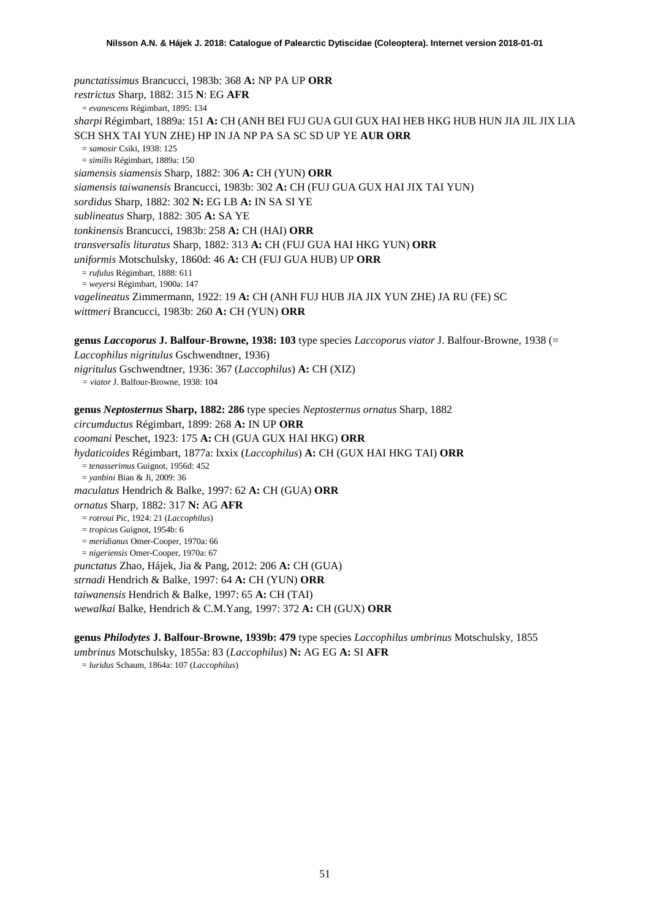<span id="page-50-1"></span><span id="page-50-0"></span>*punctatissimus* Brancucci, 1983b: 368 **A:** NP PA UP **ORR** *restrictus* Sharp, 1882: 315 **N**: EG **AFR** = *evanescens* Régimbart, 1895: 134 *sharpi* Régimbart, 1889a: 151 **A:** CH (ANH BEI FUJ GUA GUI GUX HAI HEB HKG HUB HUN JIA JIL JIX LIA SCH SHX TAI YUN ZHE) HP IN JA NP PA SA SC SD UP YE **AUR ORR** = *samosir* Csiki, 1938: 125 = *similis* Régimbart, 1889a: 150 *siamensis siamensis* Sharp, 1882: 306 **A:** CH (YUN) **ORR** *siamensis taiwanensis* Brancucci, 1983b: 302 **A:** CH (FUJ GUA GUX HAI JIX TAI YUN) *sordidus* Sharp, 1882: 302 **N:** EG LB **A:** IN SA SI YE *sublineatus* Sharp, 1882: 305 **A:** SA YE *tonkinensis* Brancucci, 1983b: 258 **A:** CH (HAI) **ORR** *transversalis lituratus* Sharp, 1882: 313 **A:** CH (FUJ GUA HAI HKG YUN) **ORR** *uniformis* Motschulsky, 1860d: 46 **A:** CH (FUJ GUA HUB) UP **ORR** = *rufulus* Régimbart, 1888: 611 = *weyersi* Régimbart, 1900a: 147 *vagelineatus* Zimmermann, 1922: 19 **A:** CH (ANH FUJ HUB JIA JIX YUN ZHE) JA RU (FE) SC *wittmeri* Brancucci, 1983b: 260 **A:** CH (YUN) **ORR**

**genus** *Laccoporus* **J. Balfour-Browne, 1938: 103** type species *Laccoporus viator* J. Balfour-Browne, 1938 (= *Laccophilus nigritulus* Gschwendtner, 1936) *nigritulus* Gschwendtner, 1936: 367 (*Laccophilus*) **A:** CH (XIZ) *= viator* J. Balfour-Browne, 1938: 104

**genus** *Neptosternus* **Sharp, 1882: 286** type species *Neptosternus ornatus* Sharp, 1882 *circumductus* Régimbart, 1899: 268 **A:** IN UP **ORR** *coomani* Peschet, 1923: 175 **A:** CH (GUA GUX HAI HKG) **ORR** *hydaticoides* Régimbart, 1877a: lxxix (*Laccophilus*) **A:** CH (GUX HAI HKG TAI) **ORR** = *tenasserimus* Guignot, 1956d: 452 = *yanbini* Bian & Ji, 2009: 36 *maculatus* Hendrich & Balke, 1997: 62 **A:** CH (GUA) **ORR** *ornatus* Sharp, 1882: 317 **N:** AG **AFR** = *rotroui* Pic, 1924: 21 (*Laccophilus*) = *tropicus* Guignot, 1954b: 6 = *meridianus* Omer-Cooper, 1970a: 66 = *nigeriensis* Omer-Cooper, 1970a: 67 *punctatus* Zhao, Hájek, Jia & Pang, 2012: 206 **A:** CH (GUA) *strnadi* Hendrich & Balke, 1997: 64 **A:** CH (YUN) **ORR** *taiwanensis* Hendrich & Balke, 1997: 65 **A:** CH (TAI)

*wewalkai* Balke, Hendrich & C.M.Yang, 1997: 372 **A:** CH (GUX) **ORR**

**genus** *Philodytes* **J. Balfour-Browne, 1939b: 479** type species *Laccophilus umbrinus* Motschulsky, 1855 *umbrinus* Motschulsky, 1855a: 83 (*Laccophilus*) **N:** AG EG **A:** SI **AFR**

= *luridus* Schaum, 1864a: 107 (*Laccophilus*)